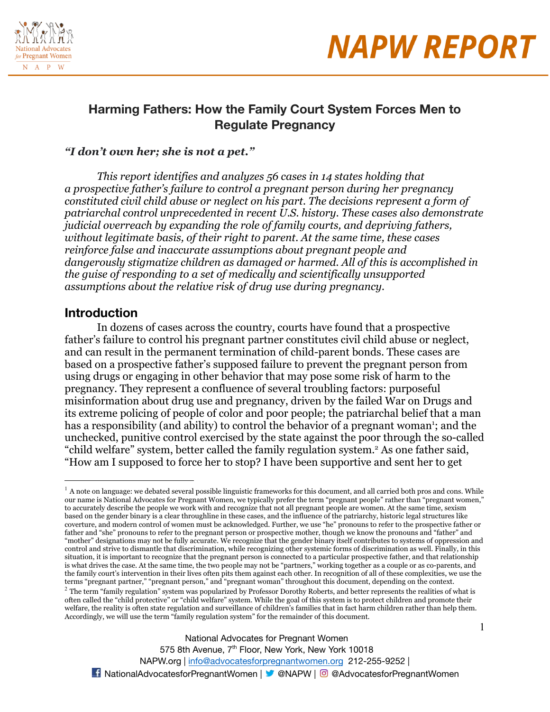



### **Harming Fathers: How the Family Court System Forces Men to Regulate Pregnancy**

#### *"I don't own her; she is not a pet."*

*This report identifies and analyzes 56 cases in 14 states holding that a prospective father's failure to control a pregnant person during her pregnancy constituted civil child abuse or neglect on his part. The decisions represent a form of patriarchal control unprecedented in recent U.S. history. These cases also demonstrate judicial overreach by expanding the role of family courts, and depriving fathers, without legitimate basis, of their right to parent. At the same time, these cases reinforce false and inaccurate assumptions about pregnant people and dangerously stigmatize children as damaged or harmed. All of this is accomplished in the guise of responding to a set of medically and scientifically unsupported assumptions about the relative risk of drug use during pregnancy.* 

### **Introduction**

In dozens of cases across the country, courts have found that a prospective father's failure to control his pregnant partner constitutes civil child abuse or neglect, and can result in the permanent termination of child-parent bonds. These cases are based on a prospective father's supposed failure to prevent the pregnant person from using drugs or engaging in other behavior that may pose some risk of harm to the pregnancy. They represent a confluence of several troubling factors: purposeful misinformation about drug use and pregnancy, driven by the failed War on Drugs and its extreme policing of people of color and poor people; the patriarchal belief that a man has a responsibility (and ability) to control the behavior of a pregnant woman<sup>1</sup>; and the unchecked, punitive control exercised by the state against the poor through the so-called "child welfare" system, better called the family regulation system.<sup>2</sup> As one father said, "How am I supposed to force her to stop? I have been supportive and sent her to get

 $1$  A note on language: we debated several possible linguistic frameworks for this document, and all carried both pros and cons. While our name is National Advocates for Pregnant Women, we typically prefer the term "pregnant people" rather than "pregnant women," to accurately describe the people we work with and recognize that not all pregnant people are women. At the same time, sexism based on the gender binary is a clear throughline in these cases, and the influence of the patriarchy, historic legal structures like coverture, and modern control of women must be acknowledged. Further, we use "he" pronouns to refer to the prospective father or father and "she" pronouns to refer to the pregnant person or prospective mother, though we know the pronouns and "father" and "mother" designations may not be fully accurate. We recognize that the gender binary itself contributes to systems of oppression and control and strive to dismantle that discrimination, while recognizing other systemic forms of discrimination as well. Finally, in this situation, it is important to recognize that the pregnant person is connected to a particular prospective father, and that relationship is what drives the case. At the same time, the two people may not be "partners," working together as a couple or as co-parents, and the family court's intervention in their lives often pits them against each other. In recognition of all of these complexities, we use the terms "pregnant partner," "pregnant person," and "pregnant woman" throughout this document, depending on the context.

 $2$  The term "family regulation" system was popularized by Professor Dorothy Roberts, and better represents the realities of what is often called the "child protective" or "child welfare" system. While the goal of this system is to protect children and promote their welfare, the reality is often state regulation and surveillance of children's families that in fact harm children rather than help them. Accordingly, we will use the term "family regulation system" for the remainder of this document.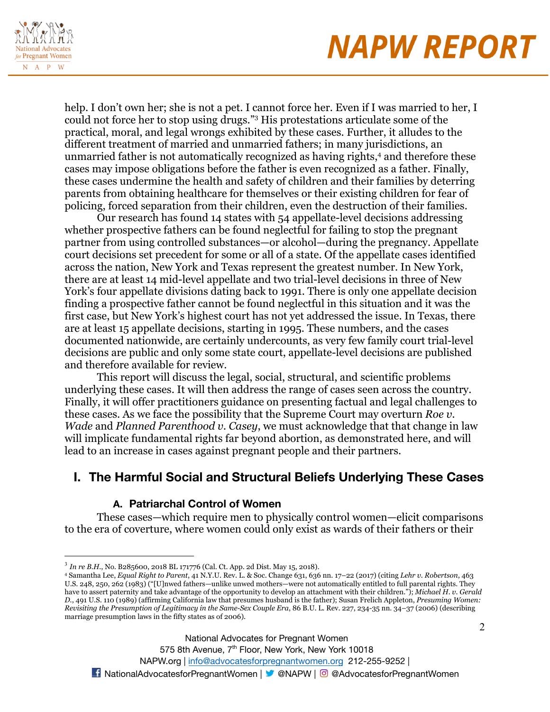

help. I don't own her; she is not a pet. I cannot force her. Even if I was married to her, I could not force her to stop using drugs."<sup>3</sup> His protestations articulate some of the practical, moral, and legal wrongs exhibited by these cases. Further, it alludes to the different treatment of married and unmarried fathers; in many jurisdictions, an unmarried father is not automatically recognized as having rights,<sup>4</sup> and therefore these cases may impose obligations before the father is even recognized as a father. Finally, these cases undermine the health and safety of children and their families by deterring parents from obtaining healthcare for themselves or their existing children for fear of policing, forced separation from their children, even the destruction of their families.

Our research has found 14 states with 54 appellate-level decisions addressing whether prospective fathers can be found neglectful for failing to stop the pregnant partner from using controlled substances—or alcohol—during the pregnancy. Appellate court decisions set precedent for some or all of a state. Of the appellate cases identified across the nation, New York and Texas represent the greatest number. In New York, there are at least 14 mid-level appellate and two trial-level decisions in three of New York's four appellate divisions dating back to 1991. There is only one appellate decision finding a prospective father cannot be found neglectful in this situation and it was the first case, but New York's highest court has not yet addressed the issue. In Texas, there are at least 15 appellate decisions, starting in 1995. These numbers, and the cases documented nationwide, are certainly undercounts, as very few family court trial-level decisions are public and only some state court, appellate-level decisions are published and therefore available for review.

This report will discuss the legal, social, structural, and scientific problems underlying these cases. It will then address the range of cases seen across the country. Finally, it will offer practitioners guidance on presenting factual and legal challenges to these cases. As we face the possibility that the Supreme Court may overturn *Roe v. Wade* and *Planned Parenthood v. Casey*, we must acknowledge that that change in law will implicate fundamental rights far beyond abortion, as demonstrated here, and will lead to an increase in cases against pregnant people and their partners.

### **I. The Harmful Social and Structural Beliefs Underlying These Cases**

### **A. Patriarchal Control of Women**

These cases—which require men to physically control women—elicit comparisons to the era of coverture, where women could only exist as wards of their fathers or their

National Advocates for Pregnant Women

575 8th Avenue, 7<sup>th</sup> Floor, New York, New York 10018 NAPW.org | [info@advocatesforpregnantwomen.org](mailto:info@advocatesforpregnantwomen.org) 212-255-9252 |

<sup>3</sup> *In re B.H.*, No. B285600, 2018 BL 171776 (Cal. Ct. App. 2d Dist. May 15, 2018).

<sup>4</sup> Samantha Lee, *Equal Right to Parent*, 41 N.Y.U. Rev. L. & Soc. Change 631, 636 nn. 17–22 (2017) (citing *Lehr v. Robertson*, 463 U.S. 248, 250, 262 (1983) ("[U]nwed fathers—unlike unwed mothers—were not automatically entitled to full parental rights. They have to assert paternity and take advantage of the opportunity to develop an attachment with their children."); *Michael H. v. Gerald D.*, 491 U.S. 110 (1989) (affirming California law that presumes husband is the father); Susan Frelich Appleton, *Presuming Women: Revisiting the Presumption of Legitimacy in the Same-Sex Couple Era*, 86 B.U. L. Rev. 227, 234-35 nn. 34–37 (2006) (describing marriage presumption laws in the fifty states as of 2006).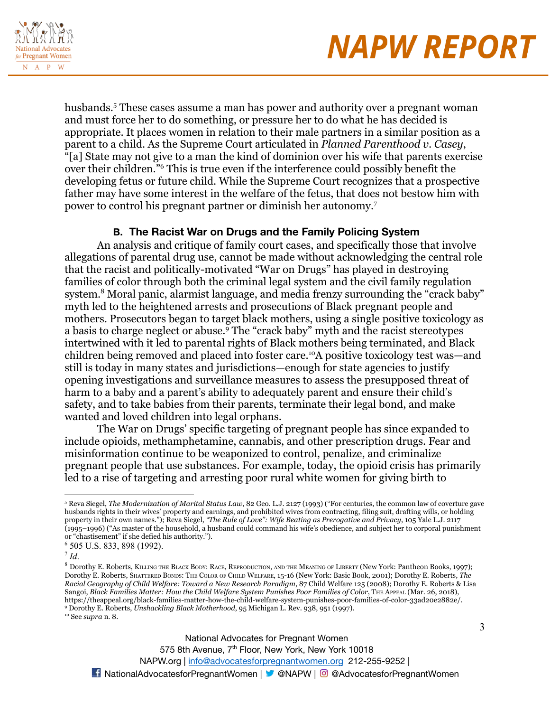

husbands.<sup>5</sup> These cases assume a man has power and authority over a pregnant woman and must force her to do something, or pressure her to do what he has decided is appropriate. It places women in relation to their male partners in a similar position as a parent to a child. As the Supreme Court articulated in *Planned Parenthood v. Casey*, "[a] State may not give to a man the kind of dominion over his wife that parents exercise over their children."<sup>6</sup> This is true even if the interference could possibly benefit the developing fetus or future child. While the Supreme Court recognizes that a prospective father may have some interest in the welfare of the fetus, that does not bestow him with power to control his pregnant partner or diminish her autonomy.<sup>7</sup>

### **B. The Racist War on Drugs and the Family Policing System**

An analysis and critique of family court cases, and specifically those that involve allegations of parental drug use, cannot be made without acknowledging the central role that the racist and politically-motivated "War on Drugs" has played in destroying families of color through both the criminal legal system and the civil family regulation system.<sup>8</sup> Moral panic, alarmist language, and media frenzy surrounding the "crack baby" myth led to the heightened arrests and prosecutions of Black pregnant people and mothers. Prosecutors began to target black mothers, using a single positive toxicology as a basis to charge neglect or abuse.<sup>9</sup> The "crack baby" myth and the racist stereotypes intertwined with it led to parental rights of Black mothers being terminated, and Black children being removed and placed into foster care.<sup>10</sup>A positive toxicology test was—and still is today in many states and jurisdictions—enough for state agencies to justify opening investigations and surveillance measures to assess the presupposed threat of harm to a baby and a parent's ability to adequately parent and ensure their child's safety, and to take babies from their parents, terminate their legal bond, and make wanted and loved children into legal orphans.

The War on Drugs' specific targeting of pregnant people has since expanded to include opioids, methamphetamine, cannabis, and other prescription drugs. Fear and misinformation continue to be weaponized to control, penalize, and criminalize pregnant people that use substances. For example, today, the opioid crisis has primarily led to a rise of targeting and arresting poor rural white women for giving birth to

575 8th Avenue, 7<sup>th</sup> Floor, New York, New York 10018

<sup>5</sup> Reva Siegel, *The Modernization of Marital Status Law*, 82 Geo. L.J. 2127 (1993) ("For centuries, the common law of coverture gave husbands rights in their wives' property and earnings, and prohibited wives from contracting, filing suit, drafting wills, or holding property in their own names."); Reva Siegel, *"The Rule of Love": Wife Beating as Prerogative and Privacy*, 105 Yale L.J. 2117 (1995–1996) ("As master of the household, a husband could command his wife's obedience, and subject her to corporal punishment or "chastisement" if she defied his authority.").

<sup>6</sup> 505 U.S. 833, 898 (1992).

<sup>7</sup> *Id*.

<sup>10</sup> See *supra* n. 8. <sup>9</sup> Dorothy E. Roberts, *Unshackling Black Motherhood*, 95 Michigan L. Rev. 938, 951 (1997). <sup>8</sup> Dorothy E. Roberts, KILLING THE BLACK BODY: RACE, REPRODUCTION, AND THE MEANING OF LIBERTY (New York: Pantheon Books, 1997); Dorothy E. Roberts, SHATTERED BONDS: THE COLOR OF CHILD WELFARE, 15-16 (New York: Basic Book, 2001); Dorothy E. Roberts, *The Racial Geography of Child Welfare: Toward a New Research Paradigm*, 87 Child Welfare 125 (2008); Dorothy E. Roberts & Lisa Sangoi, *Black Families Matter: How the Child Welfare System Punishes Poor Families of Color*, THE APPEAL (Mar. 26, 2018), https://theappeal.org/black-families-matter-how-the-child-welfare-system-punishes-poor-families-of-color-33ad20e2882e/.

National Advocates for Pregnant Women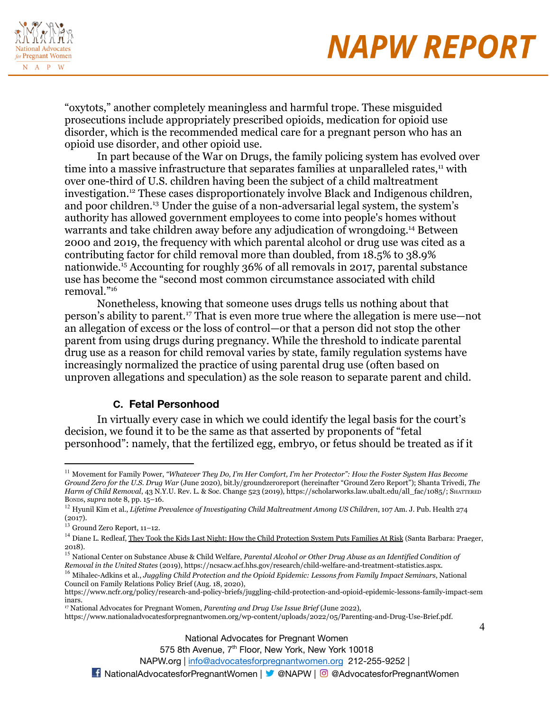

4

"oxytots," another completely meaningless and harmful trope. These misguided prosecutions include appropriately prescribed opioids, medication for opioid use disorder, which is the recommended medical care for a pregnant person who has an opioid use disorder, and other opioid use.

In part because of the War on Drugs, the family policing system has evolved over time into a massive infrastructure that separates families at unparalleled rates, $<sup>11</sup>$  with</sup> over one-third of U.S. children having been the subject of a child maltreatment investigation.<sup>12</sup> These cases disproportionately involve Black and Indigenous children, and poor children.<sup>13</sup> Under the guise of a non-adversarial legal system, the system's authority has allowed government employees to come into people's homes without warrants and take children away before any adjudication of wrongdoing.<sup>14</sup> Between 2000 and 2019, the frequency with which parental alcohol or drug use was cited as a contributing factor for child removal more than doubled, from 18.5% to 38.9% nationwide.<sup>15</sup> Accounting for roughly 36% of all removals in 2017, parental substance use has become the "second most common circumstance associated with child removal."<sup>16</sup>

Nonetheless, knowing that someone uses drugs tells us nothing about that person's ability to parent.<sup>17</sup> That is even more true where the allegation is mere use—not an allegation of excess or the loss of control—or that a person did not stop the other parent from using drugs during pregnancy. While the threshold to indicate parental drug use as a reason for child removal varies by state, family regulation systems have increasingly normalized the practice of using parental drug use (often based on unproven allegations and speculation) as the sole reason to separate parent and child.

#### **C. Fetal Personhood**

In virtually every case in which we could identify the legal basis for the court's decision, we found it to be the same as that asserted by proponents of "fetal personhood": namely, that the fertilized egg, embryo, or fetus should be treated as if it

575 8th Avenue, 7<sup>th</sup> Floor, New York, New York 10018

<sup>11</sup> Movement for Family Power, *"Whatever They Do, I'm Her Comfort, I'm her Protector": How the Foster System Has Become Ground Zero for the U.S. Drug War* (June 2020), bit.ly/groundzeroreport (hereinafter "Ground Zero Report"); Shanta Trivedi, *The Harm of Child Removal*, 43 N.Y.U. Rev. L. & Soc. Change 523 (2019), https://scholarworks.law.ubalt.edu/all\_fac/1085/; SHATTERED BONDS, *supra* note 8, pp. 15–16.

<sup>12</sup> Hyunil Kim et al., *Lifetime Prevalence of Investigating Child Maltreatment Among US Children*, 107 Am. J. Pub. Health 274 (2017).

<sup>13</sup> Ground Zero Report, 11–12.

<sup>&</sup>lt;sup>14</sup> Diane L. Redleaf, They Took the Kids Last Night: How the Child Protection System Puts Families At Risk (Santa Barbara: Praeger, 2018).

<sup>15</sup> National Center on Substance Abuse & Child Welfare, *Parental Alcohol or Other Drug Abuse as an Identified Condition of Removal in the United States* (2019), https://ncsacw.acf.hhs.gov/research/child-welfare-and-treatment-statistics.aspx.

<sup>16</sup> Mihalec-Adkins et al., *Juggling Child Protection and the Opioid Epidemic: Lessons from Family Impact Seminars*, National Council on Family Relations Policy Brief (Aug. 18, 2020),

https://www.ncfr.org/policy/research-and-policy-briefs/juggling-child-protection-and-opioid-epidemic-lessons-family-impact-sem inars.

<sup>17</sup> National Advocates for Pregnant Women, *Parenting and Drug Use Issue Brief* (June 2022),

https://www.nationaladvocatesforpregnantwomen.org/wp-content/uploads/2022/05/Parenting-and-Drug-Use-Brief.pdf.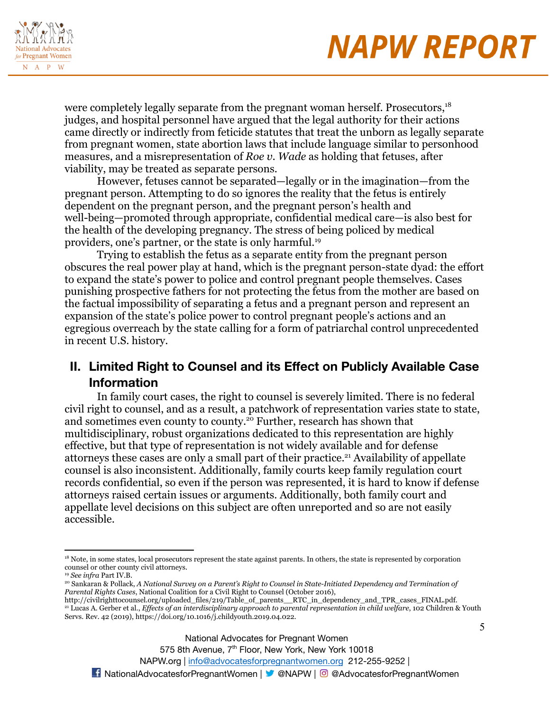

were completely legally separate from the pregnant woman herself. Prosecutors,<sup>18</sup> judges, and hospital personnel have argued that the legal authority for their actions came directly or indirectly from feticide statutes that treat the unborn as legally separate from pregnant women, state abortion laws that include language similar to personhood measures, and a misrepresentation of *Roe v. Wade* as holding that fetuses, after viability, may be treated as separate persons.

However, fetuses cannot be separated—legally or in the imagination—from the pregnant person. Attempting to do so ignores the reality that the fetus is entirely dependent on the pregnant person, and the pregnant person's health and well-being—promoted through appropriate, confidential medical care—is also best for the health of the developing pregnancy. The stress of being policed by medical providers, one's partner, or the state is only harmful.<sup>19</sup>

Trying to establish the fetus as a separate entity from the pregnant person obscures the real power play at hand, which is the pregnant person-state dyad: the effort to expand the state's power to police and control pregnant people themselves. Cases punishing prospective fathers for not protecting the fetus from the mother are based on the factual impossibility of separating a fetus and a pregnant person and represent an expansion of the state's police power to control pregnant people's actions and an egregious overreach by the state calling for a form of patriarchal control unprecedented in recent U.S. history.

### **II. Limited Right to Counsel and its Effect on Publicly Available Case Information**

In family court cases, the right to counsel is severely limited. There is no federal civil right to counsel, and as a result, a patchwork of representation varies state to state, and sometimes even county to county.<sup>20</sup> Further, research has shown that multidisciplinary, robust organizations dedicated to this representation are highly effective, but that type of representation is not widely available and for defense attorneys these cases are only a small part of their practice.<sup>21</sup> Availability of appellate counsel is also inconsistent. Additionally, family courts keep family regulation court records confidential, so even if the person was represented, it is hard to know if defense attorneys raised certain issues or arguments. Additionally, both family court and appellate level decisions on this subject are often unreported and so are not easily accessible.

<sup>&</sup>lt;sup>18</sup> Note, in some states, local prosecutors represent the state against parents. In others, the state is represented by corporation counsel or other county civil attorneys.

<sup>19</sup> *See infra* Part IV.B.

<sup>&</sup>lt;sup>20</sup> Sankaran & Pollack, A National Survey on a Parent's Right to Counsel in State-Initiated Dependency and Termination of *Parental Rights Cases*, National Coalition for a Civil Right to Counsel (October 2016),

<sup>21</sup> Lucas A. Gerber et al., *Ef ects of an interdisciplinary approach to parental representation in child welfare*, 102 Children & Youth Servs. Rev. 42 (2019), https://doi.org/10.1016/j.childyouth.2019.04.022. http://civilrighttocounsel.org/uploaded\_files/219/Table\_of\_parents\_\_RTC\_in\_dependency\_and\_TPR\_cases\_FINAL.pdf.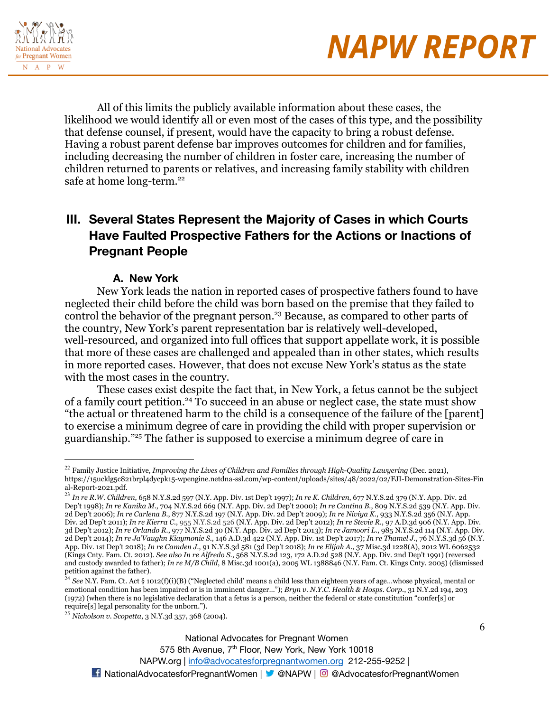



All of this limits the publicly available information about these cases, the likelihood we would identify all or even most of the cases of this type, and the possibility that defense counsel, if present, would have the capacity to bring a robust defense. Having a robust parent defense bar improves outcomes for children and for families, including decreasing the number of children in foster care, increasing the number of children returned to parents or relatives, and increasing family stability with children safe at home long-term.<sup>22</sup>

### **III. Several States Represent the Majority of Cases in which Courts Have Faulted Prospective Fathers for the Actions or Inactions of Pregnant People**

#### **A. New York**

New York leads the nation in reported cases of prospective fathers found to have neglected their child before the child was born based on the premise that they failed to control the behavior of the pregnant person.<sup>23</sup> Because, as compared to other parts of the country, New York's parent representation bar is relatively well-developed, well-resourced, and organized into full offices that support appellate work, it is possible that more of these cases are challenged and appealed than in other states, which results in more reported cases. However, that does not excuse New York's status as the state with the most cases in the country.

These cases exist despite the fact that, in New York, a fetus cannot be the subject of a family court petition.<sup>24</sup> To succeed in an abuse or neglect case, the state must show "the actual or threatened harm to the child is a consequence of the failure of the [parent] to exercise a minimum degree of care in providing the child with proper supervision or guardianship."<sup>25</sup> The father is supposed to exercise a minimum degree of care in

<sup>22</sup> Family Justice Initiative, *Improving the Lives of Children and Families through High-Quality Lawyering* (Dec. 2021), https://15ucklg5c821brpl4dycpk15-wpengine.netdna-ssl.com/wp-content/uploads/sites/48/2022/02/FJI-Demonstration-Sites-Fin al-Report-2021.pdf.

<sup>23</sup> *In re R.W. Children*, 658 N.Y.S.2d 597 (N.Y. App. Div. 1st Dep't 1997); *In re K. Children*, 677 N.Y.S.2d 379 (N.Y. App. Div. 2d Dep't 1998); *In re Kanika M.*, 704 N.Y.S.2d 669 (N.Y. App. Div. 2d Dep't 2000); *In re Cantina B.*, 809 N.Y.S.2d 539 (N.Y. App. Div. 2d Dep't 2006); *In re Carlena B.*, 877 N.Y.S.2d 197 (N.Y. App. Div. 2d Dep't 2009); *In re Niviya K.*, 933 N.Y.S.2d 356 (N.Y. App. Div. 2d Dep't 2011); *In re Kierra C.*, 955 N.Y.S.2d 526 (N.Y. App. Div. 2d Dep't 2012); *In re Stevie R.*, 97 A.D.3d 906 (N.Y. App. Div. 3d Dep't 2012); *In re Orlando R.*, 977 N.Y.S.2d 30 (N.Y. App. Div. 2d Dep't 2013); *In re Jamoori L.*, 985 N.Y.S.2d 114 (N.Y. App. Div. 2d Dep't 2014); *In re Ja'Vaughn Kiaymonie S.*, 146 A.D.3d 422 (N.Y. App. Div. 1st Dep't 2017); *In re Thamel J.*, 76 N.Y.S.3d 56 (N.Y. App. Div. 1st Dep't 2018); *In re Camden J.*, 91 N.Y.S.3d 581 (3d Dep't 2018); *In re Elijah A.*, 37 Misc.3d 1228(A), 2012 WL 6062532 (Kings Cnty. Fam. Ct. 2012). *See also In re Alfredo S.*, 568 N.Y.S.2d 123, 172 A.D.2d 528 (N.Y. App. Div. 2nd Dep't 1991) (reversed and custody awarded to father); *In re M/B Child*, 8 Misc.3d 1001(a), 2005 WL 1388846 (N.Y. Fam. Ct. Kings Cnty. 2005) (dismissed petition against the father).

<sup>24</sup> *See* N.Y. Fam. Ct. Act § 1012(f)(i)(B) ("Neglected child' means a child less than eighteen years of age…whose physical, mental or emotional condition has been impaired or is in imminent danger…"); *Bryn v. N.Y.C. Health & Hosps. Corp.*, 31 N.Y.2d 194, 203 (1972) (when there is no legislative declaration that a fetus is a person, neither the federal or state constitution "confer[s] or require[s] legal personality for the unborn.").

<sup>25</sup> *Nicholson v. Scopetta*, 3 N.Y.3d 357, 368 (2004).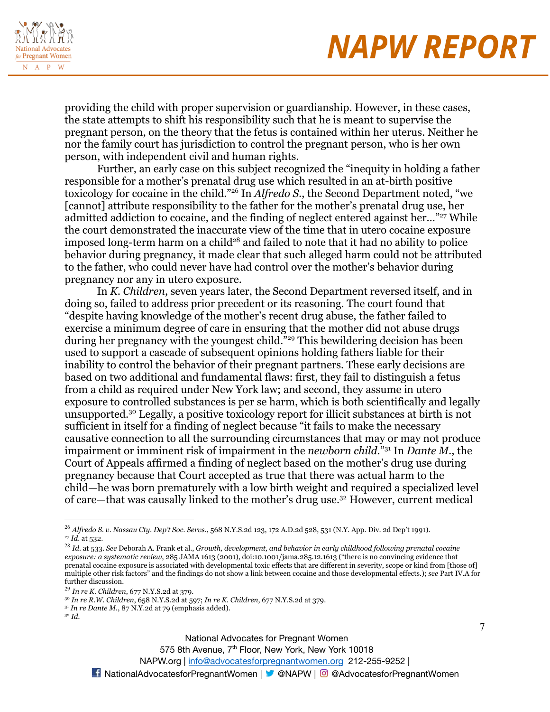

providing the child with proper supervision or guardianship. However, in these cases, the state attempts to shift his responsibility such that he is meant to supervise the pregnant person, on the theory that the fetus is contained within her uterus. Neither he nor the family court has jurisdiction to control the pregnant person, who is her own person, with independent civil and human rights.

Further, an early case on this subject recognized the "inequity in holding a father responsible for a mother's prenatal drug use which resulted in an at-birth positive toxicology for cocaine in the child."<sup>26</sup> In *Alfredo S.*, the Second Department noted, "we [cannot] attribute responsibility to the father for the mother's prenatal drug use, her admitted addiction to cocaine, and the finding of neglect entered against her..."<sup>27</sup> While the court demonstrated the inaccurate view of the time that in utero cocaine exposure imposed long-term harm on a child<sup>28</sup> and failed to note that it had no ability to police behavior during pregnancy, it made clear that such alleged harm could not be attributed to the father, who could never have had control over the mother's behavior during pregnancy nor any in utero exposure.

In *K. Children*, seven years later, the Second Department reversed itself, and in doing so, failed to address prior precedent or its reasoning. The court found that "despite having knowledge of the mother's recent drug abuse, the father failed to exercise a minimum degree of care in ensuring that the mother did not abuse drugs during her pregnancy with the youngest child."<sup>29</sup> This bewildering decision has been used to support a cascade of subsequent opinions holding fathers liable for their inability to control the behavior of their pregnant partners. These early decisions are based on two additional and fundamental flaws: first, they fail to distinguish a fetus from a child as required under New York law; and second, they assume in utero exposure to controlled substances is per se harm, which is both scientifically and legally unsupported.<sup>30</sup> Legally, a positive toxicology report for illicit substances at birth is not sufficient in itself for a finding of neglect because "it fails to make the necessary causative connection to all the surrounding circumstances that may or may not produce impairment or imminent risk of impairment in the *newborn child*."<sup>31</sup> In *Dante M.*, the Court of Appeals affirmed a finding of neglect based on the mother's drug use during pregnancy because that Court accepted as true that there was actual harm to the child—he was born prematurely with a low birth weight and required a specialized level of care—that was causally linked to the mother's drug use.<sup>32</sup> However, current medical

575 8th Avenue, 7<sup>th</sup> Floor, New York, New York 10018

<sup>27</sup> *Id.* at 532. <sup>26</sup> *Alfredo S. v. Nassau Cty. Dep't Soc. Servs.*, 568 N.Y.S.2d 123, 172 A.D.2d 528, 531 (N.Y. App. Div. 2d Dep't 1991).

<sup>28</sup> *Id.* at 533. *See* Deborah A. Frank et al., *Growth, development, and behavior in early childhood following prenatal cocaine exposure: a systematic review*, 285 JAMA 1613 (2001), doi:10.1001/jama.285.12.1613 ("there is no convincing evidence that prenatal cocaine exposure is associated with developmental toxic effects that are different in severity, scope or kind from [those of] multiple other risk factors" and the findings do not show a link between cocaine and those developmental effects.); *see* Part IV.A for further discussion.

<sup>29</sup> *In re K. Children*, 677 N.Y.S.2d at 379.

<sup>30</sup> *In re R.W. Children*, 658 N.Y.S.2d at 597; *In re K. Children*, 677 N.Y.S.2d at 379.

<sup>31</sup> *In re Dante M.*, 87 N.Y.2d at 79 (emphasis added).

<sup>32</sup> *Id.*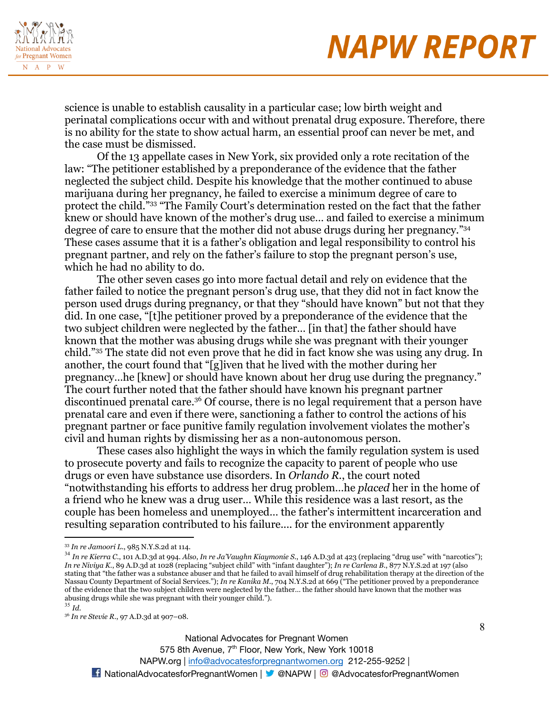

science is unable to establish causality in a particular case; low birth weight and perinatal complications occur with and without prenatal drug exposure. Therefore, there is no ability for the state to show actual harm, an essential proof can never be met, and the case must be dismissed.

Of the 13 appellate cases in New York, six provided only a rote recitation of the law: "The petitioner established by a preponderance of the evidence that the father neglected the subject child. Despite his knowledge that the mother continued to abuse marijuana during her pregnancy, he failed to exercise a minimum degree of care to protect the child."<sup>33</sup> "The Family Court's determination rested on the fact that the father knew or should have known of the mother's drug use… and failed to exercise a minimum degree of care to ensure that the mother did not abuse drugs during her pregnancy."<sup>34</sup> These cases assume that it is a father's obligation and legal responsibility to control his pregnant partner, and rely on the father's failure to stop the pregnant person's use, which he had no ability to do.

The other seven cases go into more factual detail and rely on evidence that the father failed to notice the pregnant person's drug use, that they did not in fact know the person used drugs during pregnancy, or that they "should have known" but not that they did. In one case, "[t]he petitioner proved by a preponderance of the evidence that the two subject children were neglected by the father… [in that] the father should have known that the mother was abusing drugs while she was pregnant with their younger child."<sup>35</sup> The state did not even prove that he did in fact know she was using any drug. In another, the court found that "[g]iven that he lived with the mother during her pregnancy…he [knew] or should have known about her drug use during the pregnancy." The court further noted that the father should have known his pregnant partner discontinued prenatal care.<sup>36</sup> Of course, there is no legal requirement that a person have prenatal care and even if there were, sanctioning a father to control the actions of his pregnant partner or face punitive family regulation involvement violates the mother's civil and human rights by dismissing her as a non-autonomous person.

These cases also highlight the ways in which the family regulation system is used to prosecute poverty and fails to recognize the capacity to parent of people who use drugs or even have substance use disorders. In *Orlando R.*, the court noted "notwithstanding his efforts to address her drug problem…he *placed* her in the home of a friend who he knew was a drug user… While this residence was a last resort, as the couple has been homeless and unemployed… the father's intermittent incarceration and resulting separation contributed to his failure.... for the environment apparently

<sup>33</sup> *In re Jamoori L.*, 985 N.Y.S.2d at 114.

<sup>35</sup> *Id.* <sup>34</sup> *In re Kierra C.*, 101 A.D.3d at 994. *Also*, *In re Ja'Vaughn Kiaymonie S.*, 146 A.D.3d at 423 (replacing "drug use" with "narcotics"); *In re Niviya K.*, 89 A.D.3d at 1028 (replacing "subject child" with "infant daughter"); *In re Carlena B.*, 877 N.Y.S.2d at 197 (also stating that "the father was a substance abuser and that he failed to avail himself of drug rehabilitation therapy at the direction of the Nassau County Department of Social Services."); *In re Kanika M.*, 704 N.Y.S.2d at 669 ("The petitioner proved by a preponderance of the evidence that the two subject children were neglected by the father… the father should have known that the mother was abusing drugs while she was pregnant with their younger child.").

<sup>36</sup> *In re Stevie R.*, 97 A.D.3d at 907–08.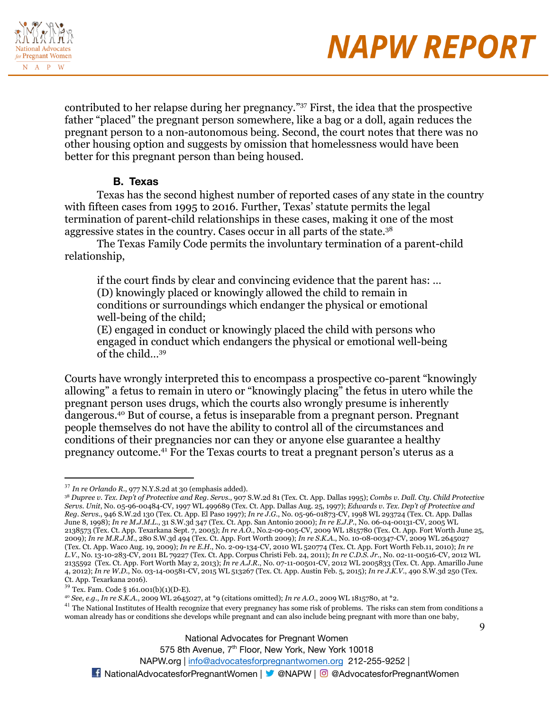



contributed to her relapse during her pregnancy."<sup>37</sup> First, the idea that the prospective father "placed" the pregnant person somewhere, like a bag or a doll, again reduces the pregnant person to a non-autonomous being. Second, the court notes that there was no other housing option and suggests by omission that homelessness would have been better for this pregnant person than being housed.

#### **B. Texas**

Texas has the second highest number of reported cases of any state in the country with fifteen cases from 1995 to 2016. Further, Texas' statute permits the legal termination of parent-child relationships in these cases, making it one of the most aggressive states in the country. Cases occur in all parts of the state.<sup>38</sup>

The Texas Family Code permits the involuntary termination of a parent-child relationship,

if the court finds by clear and convincing evidence that the parent has: … (D) knowingly placed or knowingly allowed the child to remain in conditions or surroundings which endanger the physical or emotional well-being of the child;

(E) engaged in conduct or knowingly placed the child with persons who engaged in conduct which endangers the physical or emotional well-being of the child…<sup>39</sup>

Courts have wrongly interpreted this to encompass a prospective co-parent "knowingly allowing" a fetus to remain in utero or "knowingly placing" the fetus in utero while the pregnant person uses drugs, which the courts also wrongly presume is inherently dangerous.<sup>40</sup> But of course, a fetus is inseparable from a pregnant person. Pregnant people themselves do not have the ability to control all of the circumstances and conditions of their pregnancies nor can they or anyone else guarantee a healthy pregnancy outcome.<sup>41</sup> For the Texas courts to treat a pregnant person's uterus as a

<sup>40</sup> *See, e.g.*, *In re S.K.A.*, 2009 WL 2645027, at \*9 (citations omitted); *In re A.O.*, 2009 WL 1815780, at \*2.

 $41$  The National Institutes of Health recognize that every pregnancy has some risk of problems. The risks can stem from conditions a woman already has or conditions she develops while pregnant and can also include being pregnant with more than one baby,

National Advocates for Pregnant Women

575 8th Avenue, 7<sup>th</sup> Floor, New York, New York 10018

NAPW.org | [info@advocatesforpregnantwomen.org](mailto:info@advocatesforpregnantwomen.org) 212-255-9252 |

**14** NationalAdvocatesforPregnantWomen | **X** @NAPW | © @AdvocatesforPregnantWomen

 $\mathbf Q$ 

<sup>37</sup> *In re Orlando R.*, 977 N.Y.S.2d at 30 (emphasis added).

<sup>&</sup>lt;sup>38</sup> Dupree v. Tex. Dep't of Protective and Reg. Servs., 907 S.W.2d 81 (Tex. Ct. App. Dallas 1995); Combs v. Dall. Cty. Child Protective *Servs. Unit*, No. 05-96-00484-CV, 1997 WL 499689 (Tex. Ct. App. Dallas Aug. 25, 1997); *Edwards v. Tex. Dep't of Protective and Reg. Servs.*, 946 S.W.2d 130 (Tex. Ct. App. El Paso 1997); *In re J.G.*, No. 05-96-01873-CV, 1998 WL 293724 (Tex. Ct. App. Dallas June 8, 1998); *In re M.J.M.L.*, 31 S.W.3d 347 (Tex. Ct. App. San Antonio 2000); *In re E.J.P.*, No. 06-04-00131-CV, 2005 WL 2138573 (Tex. Ct. App. Texarkana Sept. 7, 2005); *In re A.O.*, No.2-09-005-CV, 2009 WL 1815780 (Tex. Ct. App. Fort Worth June 25, 2009); *In re M.R.J.M.*, 280 S.W.3d 494 (Tex. Ct. App. Fort Worth 2009); *In re S.K.A.*, No. 10-08-00347-CV, 2009 WL 2645027 (Tex. Ct. App. Waco Aug. 19, 2009); *In re E.H.*, No. 2-09-134-CV, 2010 WL 520774 (Tex. Ct. App. Fort Worth Feb.11, 2010); *In re L.V.*, No. 13-10-283-CV, 2011 BL 79227 (Tex. Ct. App. Corpus Christi Feb. 24, 2011); *In re C.D.S. Jr.*, No. 02-11-00516-CV, 2012 WL 2135592 (Tex. Ct. App. Fort Worth May 2, 2013); *In re A.J.R.*, No. 07-11-00501-CV, 2012 WL 2005833 (Tex. Ct. App. Amarillo June 4, 2012); *In re W.D.*, No. 03-14-00581-CV, 2015 WL 513267 (Tex. Ct. App. Austin Feb. 5, 2015); *In re J.K.V.*, 490 S.W.3d 250 (Tex. Ct. App. Texarkana 2016).

<sup>39</sup> Tex. Fam. Code § 161.001(b)(1)(D-E).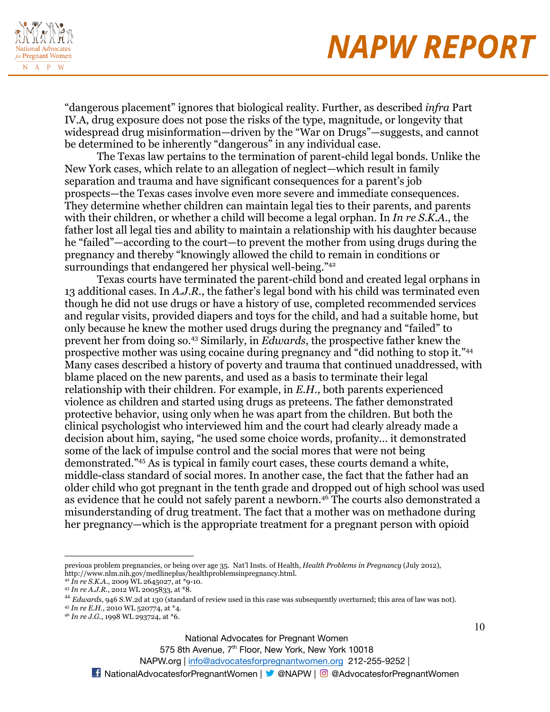

"dangerous placement" ignores that biological reality. Further, as described *infra* Part IV.A, drug exposure does not pose the risks of the type, magnitude, or longevity that widespread drug misinformation—driven by the "War on Drugs"—suggests, and cannot be determined to be inherently "dangerous" in any individual case.

The Texas law pertains to the termination of parent-child legal bonds. Unlike the New York cases, which relate to an allegation of neglect—which result in family separation and trauma and have significant consequences for a parent's job prospects—the Texas cases involve even more severe and immediate consequences. They determine whether children can maintain legal ties to their parents, and parents with their children, or whether a child will become a legal orphan. In *In re S.K.A.*, the father lost all legal ties and ability to maintain a relationship with his daughter because he "failed"—according to the court—to prevent the mother from using drugs during the pregnancy and thereby "knowingly allowed the child to remain in conditions or surroundings that endangered her physical well-being."<sup>42</sup>

Texas courts have terminated the parent-child bond and created legal orphans in 13 additional cases. In *A.J.R.*, the father's legal bond with his child was terminated even though he did not use drugs or have a history of use, completed recommended services and regular visits, provided diapers and toys for the child, and had a suitable home, but only because he knew the mother used drugs during the pregnancy and "failed" to prevent her from doing so.<sup>43</sup> Similarly, in *Edwards*, the prospective father knew the prospective mother was using cocaine during pregnancy and "did nothing to stop it."<sup>44</sup> Many cases described a history of poverty and trauma that continued unaddressed, with blame placed on the new parents, and used as a basis to terminate their legal relationship with their children. For example, in *E.H.*, both parents experienced violence as children and started using drugs as preteens. The father demonstrated protective behavior, using only when he was apart from the children. But both the clinical psychologist who interviewed him and the court had clearly already made a decision about him, saying, "he used some choice words, profanity… it demonstrated some of the lack of impulse control and the social mores that were not being demonstrated."<sup>45</sup> As is typical in family court cases, these courts demand a white, middle-class standard of social mores. In another case, the fact that the father had an older child who got pregnant in the tenth grade and dropped out of high school was used as evidence that he could not safely parent a newborn.<sup>46</sup> The courts also demonstrated a misunderstanding of drug treatment. The fact that a mother was on methadone during her pregnancy—which is the appropriate treatment for a pregnant person with opioid

National Advocates for Pregnant Women

575 8th Avenue, 7<sup>th</sup> Floor, New York, New York 10018

previous problem pregnancies, or being over age 35. Nat'l Insts. of Health, *Health Problems in Pregnancy* (July 2012), http://www.nlm.nih.gov/medlineplus/healthproblemsinpregnancy.html.

<sup>42</sup> *In re S.K.A.*, 2009 WL 2645027, at \*9-10.

<sup>43</sup> *In re A.J.R.*, 2012 WL 2005833, at \*8.

<sup>44</sup> *Edwards*, 946 S.W.2d at 130 (standard of review used in this case was subsequently overturned; this area of law was not).

<sup>45</sup> *In re E.H.*, 2010 WL 520774, at \*4.

<sup>46</sup> *In re J.G.*, 1998 WL 293724, at \*6.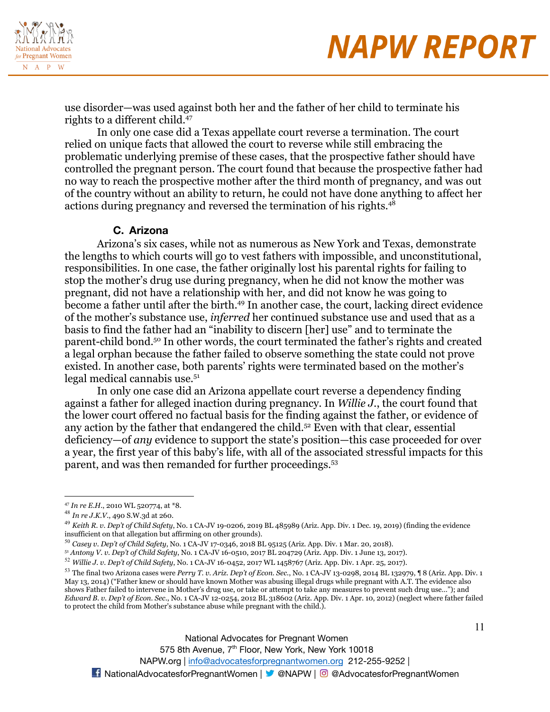

use disorder—was used against both her and the father of her child to terminate his rights to a different child.<sup>47</sup>

In only one case did a Texas appellate court reverse a termination. The court relied on unique facts that allowed the court to reverse while still embracing the problematic underlying premise of these cases, that the prospective father should have controlled the pregnant person. The court found that because the prospective father had no way to reach the prospective mother after the third month of pregnancy, and was out of the country without an ability to return, he could not have done anything to affect her actions during pregnancy and reversed the termination of his rights.<sup>48</sup>

#### **C. Arizona**

Arizona's six cases, while not as numerous as New York and Texas, demonstrate the lengths to which courts will go to vest fathers with impossible, and unconstitutional, responsibilities. In one case, the father originally lost his parental rights for failing to stop the mother's drug use during pregnancy, when he did not know the mother was pregnant, did not have a relationship with her, and did not know he was going to become a father until after the birth.<sup>49</sup> In another case, the court, lacking direct evidence of the mother's substance use, *inferred* her continued substance use and used that as a basis to find the father had an "inability to discern [her] use" and to terminate the parent-child bond.<sup>50</sup> In other words, the court terminated the father's rights and created a legal orphan because the father failed to observe something the state could not prove existed. In another case, both parents' rights were terminated based on the mother's legal medical cannabis use.<sup>51</sup>

In only one case did an Arizona appellate court reverse a dependency finding against a father for alleged inaction during pregnancy. In *Willie J.*, the court found that the lower court offered no factual basis for the finding against the father, or evidence of any action by the father that endangered the child.<sup>52</sup> Even with that clear, essential deficiency—of *any* evidence to support the state's position—this case proceeded for over a year, the first year of this baby's life, with all of the associated stressful impacts for this parent, and was then remanded for further proceedings.<sup>53</sup>

<sup>51</sup> *Antony V. v. Dep't of Child Safety*, No. 1 CA-JV 16-0510, 2017 BL 204729 (Ariz. App. Div. 1 June 13, 2017).

National Advocates for Pregnant Women

575 8th Avenue, 7<sup>th</sup> Floor, New York, New York 10018

NAPW.org | [info@advocatesforpregnantwomen.org](mailto:info@advocatesforpregnantwomen.org) 212-255-9252 |

<sup>47</sup> *In re E.H.*, 2010 WL 520774, at \*8.

<sup>48</sup> *In re J.K.V.*, 490 S.W.3d at 260.

<sup>49</sup> *Keith R. v. Dep't of Child Safety*, No. 1 CA-JV 19-0206, 2019 BL 485989 (Ariz. App. Div. 1 Dec. 19, 2019) (finding the evidence insufficient on that allegation but affirming on other grounds).

<sup>50</sup> *Casey v. Dep't of Child Safety*, No. 1 CA-JV 17-0346, 2018 BL 95125 (Ariz. App. Div. 1 Mar. 20, 2018).

<sup>52</sup> *Willie J. v. Dep't of Child Safety*, No. 1 CA-JV 16-0452, 2017 WL 1458767 (Ariz. App. Div. 1 Apr. 25, 2017).

<sup>53</sup> The final two Arizona cases were *Perry T. v. Ariz. Dep't of Econ. Sec.*, No. 1 CA-JV 13-0298, 2014 BL 132979, ¶ 8 (Ariz. App. Div. 1 May 13, 2014) ("Father knew or should have known Mother was abusing illegal drugs while pregnant with A.T. The evidence also shows Father failed to intervene in Mother's drug use, or take or attempt to take any measures to prevent such drug use…"); and *Edward B. v. Dep't of Econ. Sec.*, No. 1 CA-JV 12-0254, 2012 BL 318602 (Ariz. App. Div. 1 Apr. 10, 2012) (neglect where father failed to protect the child from Mother's substance abuse while pregnant with the child.).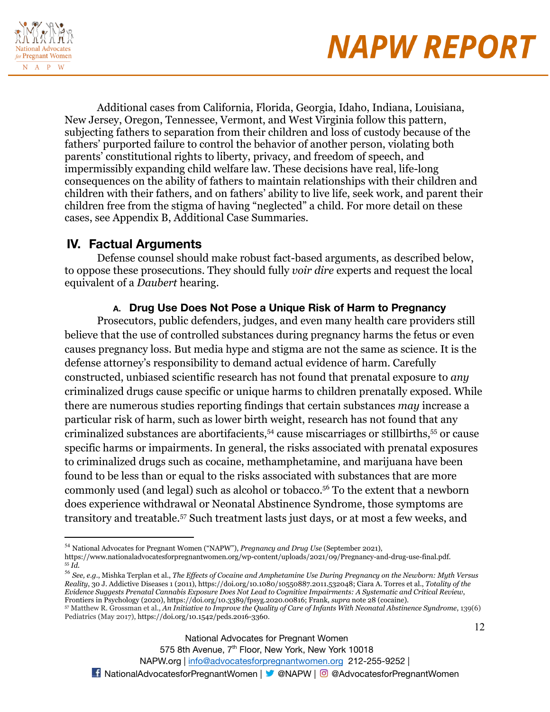



Additional cases from California, Florida, Georgia, Idaho, Indiana, Louisiana, New Jersey, Oregon, Tennessee, Vermont, and West Virginia follow this pattern, subjecting fathers to separation from their children and loss of custody because of the fathers' purported failure to control the behavior of another person, violating both parents' constitutional rights to liberty, privacy, and freedom of speech, and impermissibly expanding child welfare law. These decisions have real, life-long consequences on the ability of fathers to maintain relationships with their children and children with their fathers, and on fathers' ability to live life, seek work, and parent their children free from the stigma of having "neglected" a child. For more detail on these cases, see Appendix B, Additional Case Summaries.

### **IV. Factual Arguments**

Defense counsel should make robust fact-based arguments, as described below, to oppose these prosecutions. They should fully *voir dire* experts and request the local equivalent of a *Daubert* hearing.

### **A. Drug Use Does Not Pose a Unique Risk of Harm to Pregnancy**

Prosecutors, public defenders, judges, and even many health care providers still believe that the use of controlled substances during pregnancy harms the fetus or even causes pregnancy loss. But media hype and stigma are not the same as science. It is the defense attorney's responsibility to demand actual evidence of harm. Carefully constructed, unbiased scientific research has not found that prenatal exposure to *any* criminalized drugs cause specific or unique harms to children prenatally exposed. While there are numerous studies reporting findings that certain substances *may* increase a particular risk of harm, such as lower birth weight, research has not found that any criminalized substances are abortifacients,<sup>54</sup> cause miscarriages or stillbirths,<sup>55</sup> or cause specific harms or impairments. In general, the risks associated with prenatal exposures to criminalized drugs such as cocaine, methamphetamine, and marijuana have been found to be less than or equal to the risks associated with substances that are more commonly used (and legal) such as alcohol or tobacco.<sup>56</sup> To the extent that a newborn does experience withdrawal or Neonatal Abstinence Syndrome, those symptoms are transitory and treatable.<sup>57</sup> Such treatment lasts just days, or at most a few weeks, and

<sup>55</sup> *Id.* <sup>54</sup> National Advocates for Pregnant Women ("NAPW"), *Pregnancy and Drug Use* (September 2021), https://www.nationaladvocatesforpregnantwomen.org/wp-content/uploads/2021/09/Pregnancy-and-drug-use-final.pdf.

<sup>57</sup> Matthew R. Grossman et al., An Initiative to Improve the Quality of Care of Infants With Neonatal Abstinence Syndrome, 139(6)  $^{56}$  See, e.g., Mishka Terplan et al., The Effects of Cocaine and Amphetamine Use During Pregnancy on the Newborn: Myth Versus *Reality*, 30 J. Addictive Diseases 1 (2011), https://doi.org/10.1080/10550887.2011.532048; Ciara A. Torres et al., *Totality of the* Evidence Suggests Prenatal Cannabis Exposure Does Not Lead to Cognitive Impairments: A Systematic and Critical Review, Frontiers in Psychology (2020), https://doi.org/10.3389/fpsyg.2020.00816; Frank, *supra* note 28 (cocaine).

Pediatrics (May 2017), https://doi.org/10.1542/peds.2016-3360.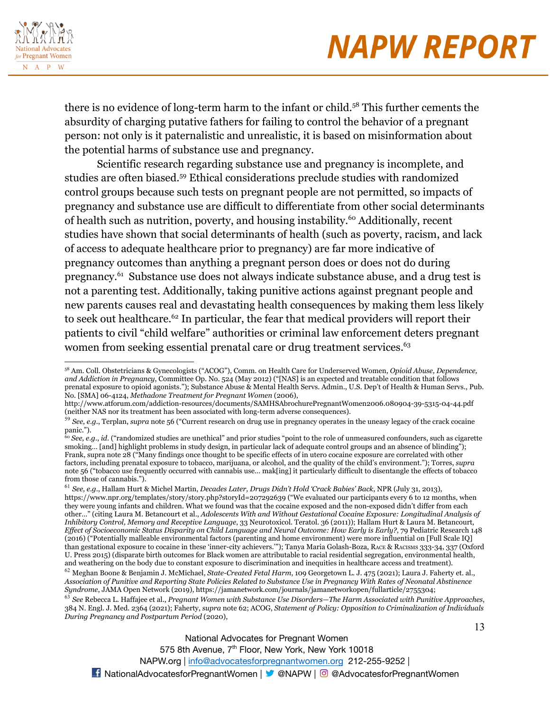

13

there is no evidence of long-term harm to the infant or child.<sup>58</sup> This further cements the absurdity of charging putative fathers for failing to control the behavior of a pregnant person: not only is it paternalistic and unrealistic, it is based on misinformation about the potential harms of substance use and pregnancy.

Scientific research regarding substance use and pregnancy is incomplete, and studies are often biased.<sup>59</sup> Ethical considerations preclude studies with randomized control groups because such tests on pregnant people are not permitted, so impacts of pregnancy and substance use are difficult to differentiate from other social determinants of health such as nutrition, poverty, and housing instability.<sup>60</sup> Additionally, recent studies have shown that social determinants of health (such as poverty, racism, and lack of access to adequate healthcare prior to pregnancy) are far more indicative of pregnancy outcomes than anything a pregnant person does or does not do during pregnancy.<sup>61</sup> Substance use does not always indicate substance abuse, and a drug test is not a parenting test. Additionally, taking punitive actions against pregnant people and new parents causes real and devastating health consequences by making them less likely to seek out healthcare.<sup>62</sup> In particular, the fear that medical providers will report their patients to civil "child welfare" authorities or criminal law enforcement deters pregnant women from seeking essential prenatal care or drug treatment services.<sup>63</sup>

<sup>63</sup> *See* Rebecca L. Haffajee et al., *Pregnant Women with Substance Use Disorders—The Harm Associated with Punitive Approaches*, 384 N. Engl. J. Med. 2364 (2021); Faherty, *supra* note 62; ACOG, *Statement of Policy: Opposition to [Criminalization](https://www.acog.org/clinical-information/policy-and-position-statements/statements-of-policy/2020/opposition-criminalization-of-individuals-pregnancy-and-postpartum-period.) of Individuals During Pregnancy and [Postpartum](https://www.acog.org/clinical-information/policy-and-position-statements/statements-of-policy/2020/opposition-criminalization-of-individuals-pregnancy-and-postpartum-period.) Period* (2020),

National Advocates for Pregnant Women

575 8th Avenue, 7<sup>th</sup> Floor, New York, New York 10018

<sup>58</sup> Am. Coll. Obstetricians & Gynecologists ("ACOG"), Comm. on Health Care for Underserved Women, *Opioid Abuse, Dependence, and Addiction in Pregnancy*, Committee Op. No. 524 (May 2012) ("[NAS] is an expected and treatable condition that follows prenatal exposure to opioid agonists."); Substance Abuse & Mental Health Servs. Admin., U.S. Dep't of Health & Human Servs., Pub. No. [SMA] 06-4124, *Methadone Treatment for Pregnant Women* (2006),

http://www.atforum.com/addiction-resources/documents/SAMHSAbrochurePregnantWomen2006.080904-39-5315-04-44.pdf (neither NAS nor its treatment has been associated with long-term adverse consequences).

<sup>59</sup> *See, e.g.*, Terplan, *supra* note 56 ("Current research on drug use in pregnancy operates in the uneasy legacy of the crack cocaine panic.").

<sup>60</sup> *See, e.g.*, *id*. ("randomized studies are unethical" and prior studies "point to the role of unmeasured confounders, such as cigarette smoking... [and] highlight problems in study design, in particular lack of adequate control groups and an absence of blinding"); Frank, supra note 28 ("Many findings once thought to be specific effects of in utero cocaine exposure are correlated with other factors, including prenatal exposure to tobacco, marijuana, or alcohol, and the quality of the child's environment."); Torres, *supra* note 56 ("tobacco use frequently occurred with cannabis use… mak[ing] it particularly difficult to disentangle the effects of tobacco from those of cannabis.").

<sup>61</sup> *See, e.g.*, Hallam Hurt & Michel Martin, *Decades Later, Drugs Didn't Hold 'Crack Babies' Back*, NPR (July 31, 2013), https://www.npr.org/templates/story/story.php?storyId=207292639 ("We evaluated our participants every 6 to 12 months, when they were young infants and children. What we found was that the cocaine exposed and the non-exposed didn't differ from each other…" (citing Laura M. Betancourt et al., *Adolescents With and Without Gestational Cocaine Exposure: Longitudinal Analysis of Inhibitory Control, Memory and Receptive Language*, 33 Neurotoxicol. Teratol. 36 (2011)); Hallam Hurt & Laura M. Betancourt, Effect of Socioeconomic Status Disparity on Child Language and Neural Outcome: How Early is Early?, 79 Pediatric Research 148 (2016) ("Potentially malleable environmental factors (parenting and home environment) were more influential on [Full Scale IQ] than gestational exposure to cocaine in these 'inner-city achievers.'"); Tanya Maria Golash-Boza, RACE & RACISMS 333-34, 337 (Oxford U. Press 2015) (disparate birth outcomes for Black women are attributable to racial residential segregation, environmental health, and weathering on the body due to constant exposure to discrimination and inequities in healthcare access and treatment).

<sup>62</sup> Meghan Boone & Benjamin J. McMichael, *State-Created Fetal Harm*, 109 Georgetown L. J. 475 (2021); Laura J. Faherty et. al., Association of Punitive and Reporting State Policies Related to Substance Use in Pregnancy With Rates of Neonatal Abstinence *Syndrome*, JAMA Open Network (2019), https://jamanetwork.com/journals/jamanetworkopen/fullarticle/2755304;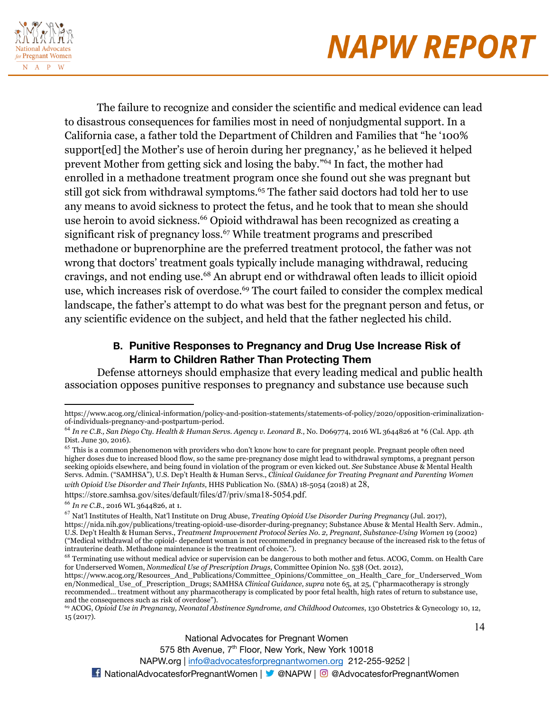

14

The failure to recognize and consider the scientific and medical evidence can lead to disastrous consequences for families most in need of nonjudgmental support. In a California case, a father told the Department of Children and Families that "he '100% support[ed] the Mother's use of heroin during her pregnancy,' as he believed it helped prevent Mother from getting sick and losing the baby."<sup>64</sup> In fact, the mother had enrolled in a methadone treatment program once she found out she was pregnant but still got sick from withdrawal symptoms.<sup>65</sup> The father said doctors had told her to use any means to avoid sickness to protect the fetus, and he took that to mean she should use heroin to avoid sickness.<sup>66</sup> Opioid withdrawal has been recognized as creating a significant risk of pregnancy loss.<sup>67</sup> While treatment programs and prescribed methadone or buprenorphine are the preferred treatment protocol, the father was not wrong that doctors' treatment goals typically include managing withdrawal, reducing cravings, and not ending use.<sup>68</sup> An abrupt end or withdrawal often leads to illicit opioid use, which increases risk of overdose.<sup>69</sup> The court failed to consider the complex medical landscape, the father's attempt to do what was best for the pregnant person and fetus, or any scientific evidence on the subject, and held that the father neglected his child.

### **B. Punitive Responses to Pregnancy and Drug Use Increase Risk of Harm to Children Rather Than Protecting Them**

Defense attorneys should emphasize that every leading medical and public health association opposes punitive responses to pregnancy and substance use because such

https://www.acog.org/clinical-information/policy-and-position-statements/statements-of-policy/2020/opposition-criminalizationof-individuals-pregnancy-and-postpartum-period.

<sup>64</sup> *In re C.B., San Diego Cty. Health & Human Servs. Agency v. Leonard B.*, No. D069774, 2016 WL 3644826 at \*6 (Cal. App. 4th Dist. June 30, 2016).

 $65$  This is a common phenomenon with providers who don't know how to care for pregnant people. Pregnant people often need higher doses due to increased blood flow, so the same pre-pregnancy dose might lead to withdrawal symptoms, a pregnant person seeking opioids elsewhere, and being found in violation of the program or even kicked out. *See* Substance Abuse & Mental Health Servs. Admin. ("SAMHSA"), U.S. Dep't Health & Human Servs., *Clinical Guidance for Treating Pregnant and Parenting Women with Opioid Use Disorder and Their Infants*, HHS Publication No. (SMA) 18-5054 (2018) at 28,

https://store.samhsa.gov/sites/default/files/d7/priv/sma18-5054.pdf.

<sup>66</sup> *In re C.B.*, 2016 WL 3644826, at 1.

<sup>67</sup> Nat'l Institutes of Health, Nat'l Institute on Drug Abuse, *Treating Opioid Use Disorder During Pregnancy* (Jul. 2017), https://nida.nih.gov/publications/treating-opioid-use-disorder-during-pregnancy; Substance Abuse & Mental Health Serv. Admin., U.S. Dep't Health & Human Servs., *Treatment Improvement Protocol Series No. 2, Pregnant, Substance-Using Women* 19 (2002) ("Medical withdrawal of the opioid- dependent woman is not recommended in pregnancy because of the increased risk to the fetus of intrauterine death. Methadone maintenance is the treatment of choice.").

<sup>&</sup>lt;sup>68</sup> Terminating use without medical advice or supervision can be dangerous to both mother and fetus. ACOG, Comm. on Health Care for Underserved Women, *Nonmedical Use of Prescription Drugs,* Committee Opinion No. 538 (Oct. 2012),

https://www.acog.org/Resources\_And\_Publications/Committee\_Opinions/Committee\_on\_Health\_Care\_for\_Underserved\_Wom en/Nonmedical\_Use\_of\_Prescription\_Drugs; SAMHSA *Clinical Guidance*, *supra* note 65, at 25, ("pharmacotherapy is strongly recommended… treatment without any pharmacotherapy is complicated by poor fetal health, high rates of return to substance use, and the consequences such as risk of overdose").

<sup>69</sup> ACOG, *Opioid Use in Pregnancy, Neonatal Abstinence Syndrome, and Childhood Outcomes*, 130 Obstetrics & Gynecology 10, 12, 15 (2017).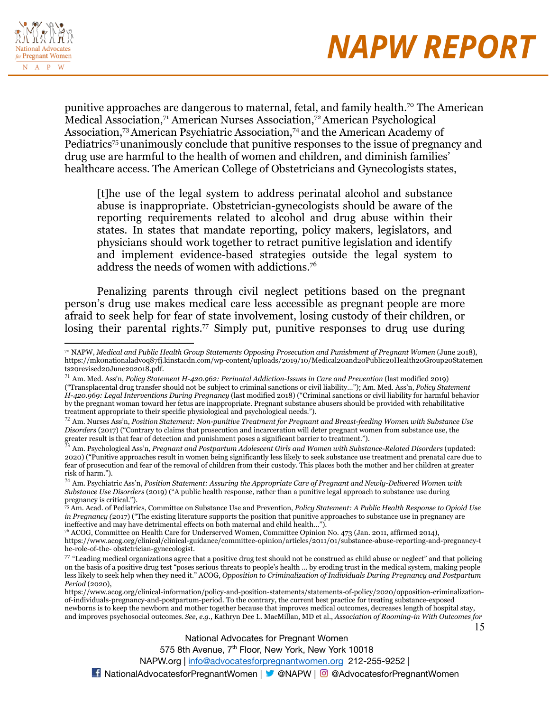

punitive approaches are dangerous to maternal, fetal, and family health.<sup>70</sup> The American Medical Association,<sup>71</sup> American Nurses Association,<sup>72</sup> American Psychological Association,<sup>73</sup>American Psychiatric Association,<sup>74</sup> and the American Academy of Pediatrics<sup>75</sup> unanimously conclude that punitive responses to the issue of pregnancy and drug use are harmful to the health of women and children, and diminish families' healthcare access. The American College of Obstetricians and Gynecologists states,

[t]he use of the legal system to address perinatal alcohol and substance abuse is inappropriate. Obstetrician-gynecologists should be aware of the reporting requirements related to alcohol and drug abuse within their states. In states that mandate reporting, policy makers, legislators, and physicians should work together to retract punitive legislation and identify and implement evidence-based strategies outside the legal system to address the needs of women with addictions.<sup>76</sup>

Penalizing parents through civil neglect petitions based on the pregnant person's drug use makes medical care less accessible as pregnant people are more afraid to seek help for fear of state involvement, losing custody of their children, or losing their parental rights.<sup>77</sup> Simply put, punitive responses to drug use during

https://www.acog.org/clinical-information/policy-and-position-statements/statements-of-policy/2020/opposition-criminalizationof-individuals-pregnancy-and-postpartum-period. To the contrary, the current best practice for treating substance-exposed newborns is to keep the newborn and mother together because that improves medical outcomes, decreases length of hospital stay, and improves psychosocial outcomes. *See*, *e.g.*, Kathryn Dee L. MacMillan, MD et al., *Association of Rooming-in With Outcomes for*

National Advocates for Pregnant Women

575 8th Avenue, 7<sup>th</sup> Floor, New York, New York 10018

NAPW.org | [info@advocatesforpregnantwomen.org](mailto:info@advocatesforpregnantwomen.org) 212-255-9252 |

<sup>70</sup> NAPW, *Medical and Public Health Group Statements Opposing Prosecution and Punishment of Pregnant Women* (June 2018), https://mk0nationaladvoq87fj.kinstacdn.com/wp-content/uploads/2019/10/Medical20and20Public20Health20Group20Statemen ts20revised20June202018.pdf.

<sup>71</sup> Am. Med. Ass'n, *Policy Statement H-420.962: Perinatal Addiction-Issues in Care and Prevention* (last modified 2019)

<sup>(&</sup>quot;Transplacental drug transfer should not be subject to criminal sanctions or civil liability…"); Am. Med. Ass'n, *Policy Statement H-420.969: Legal Interventions During Pregnancy* (last modified 2018) ("Criminal sanctions or civil liability for harmful behavior by the pregnant woman toward her fetus are inappropriate. Pregnant substance abusers should be provided with rehabilitative treatment appropriate to their specific physiological and psychological needs.").

<sup>72</sup> Am. Nurses Ass'n, *Position Statement: Non-punitive Treatment for Pregnant and Breast-feeding Women with Substance Use Disorders* (2017) ("Contrary to claims that prosecution and incarceration will deter pregnant women from substance use, the greater result is that fear of detection and punishment poses a significant barrier to treatment.").

<sup>73</sup> Am. Psychological Ass'n, *Pregnant and Postpartum Adolescent Girls and Women with Substance-Related Disorders* (updated: 2020) ("Punitive approaches result in women being significantly less likely to seek substance use treatment and prenatal care due to fear of prosecution and fear of the removal of children from their custody. This places both the mother and her children at greater risk of harm.").

<sup>74</sup> Am. Psychiatric Ass'n, *Position Statement: Assuring the Appropriate Care of Pregnant and Newly-Delivered Women with Substance Use Disorders* (2019) ("A public health response, rather than a punitive legal approach to substance use during pregnancy is critical.").

<sup>75</sup> Am. Acad. of Pediatrics, Committee on Substance Use and Prevention, *Policy Statement: A Public Health Response to Opioid Use in Pregnancy* (2017) ("The existing literature supports the position that punitive approaches to substance use in pregnancy are ineffective and may have detrimental effects on both maternal and child health…").

<sup>76</sup> ACOG, Committee on Health Care for Underserved Women, Committee Opinion No. 473 (Jan. 2011, affirmed 2014), https://www.acog.org/clinical/clinical-guidance/committee-opinion/articles/2011/01/substance-abuse-reporting-and-pregnancy-t he-role-of-the- obstetrician-gynecologist.

 $77$  "Leading medical organizations agree that a positive drug test should not be construed as child abuse or neglect" and that policing on the basis of a positive drug test "poses serious threats to people's health … by eroding trust in the medical system, making people less likely to seek help when they need it." ACOG, *Opposition to Criminalization of Individuals During Pregnancy and Postpartum Period* (2020),

<sup>15</sup>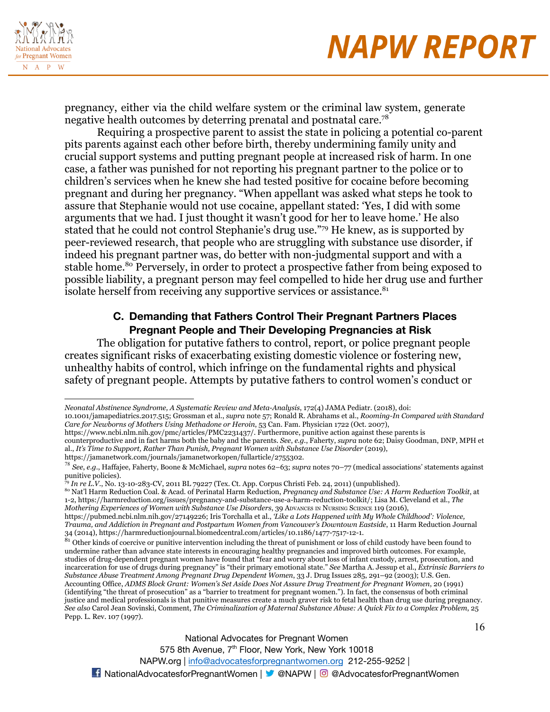

pregnancy, either via the child welfare system or the criminal law system, generate negative health outcomes by deterring prenatal and postnatal care.<sup>78</sup>

Requiring a prospective parent to assist the state in policing a potential co-parent pits parents against each other before birth, thereby undermining family unity and crucial support systems and putting pregnant people at increased risk of harm. In one case, a father was punished for not reporting his pregnant partner to the police or to children's services when he knew she had tested positive for cocaine before becoming pregnant and during her pregnancy. "When appellant was asked what steps he took to assure that Stephanie would not use cocaine, appellant stated: 'Yes, I did with some arguments that we had. I just thought it wasn't good for her to leave home.' He also stated that he could not control Stephanie's drug use."<sup>79</sup> He knew, as is supported by peer-reviewed research, that people who are struggling with substance use disorder, if indeed his pregnant partner was, do better with non-judgmental support and with a stable home.<sup>80</sup> Perversely, in order to protect a prospective father from being exposed to possible liability, a pregnant person may feel compelled to hide her drug use and further isolate herself from receiving any supportive services or assistance.<sup>81</sup>

### **C. Demanding that Fathers Control Their Pregnant Partners Places Pregnant People and Their Developing Pregnancies at Risk**

The obligation for putative fathers to control, report, or police pregnant people creates significant risks of exacerbating existing domestic violence or fostering new, unhealthy habits of control, which infringe on the fundamental rights and physical safety of pregnant people. Attempts by putative fathers to control women's conduct or

<sup>79</sup> *In re L.V.*, No. 13-10-283-CV, 2011 BL 79227 (Tex. Ct. App. Corpus Christi Feb. 24, 2011) (unpublished).

National Advocates for Pregnant Women

575 8th Avenue, 7<sup>th</sup> Floor, New York, New York 10018

*Neonatal Abstinence Syndrome, A Systematic Review and Meta-Analysis*, 172(4) JAMA Pediatr. (2018), doi:

<sup>10.1001/</sup>jamapediatrics.2017.515; Grossman et al., *supra* note 57; Ronald R. Abrahams et al., *Rooming-In Compared with Standard Care for Newborns of Mothers Using Methadone or Heroin*, 53 Can. Fam. Physician 1722 (Oct. 2007),

https://www.ncbi.nlm.nih.gov/pmc/articles/PMC2231437/. Furthermore, punitive action against these parents is counterproductive and in fact harms both the baby and the parents. *See*, *e.g.*, Faherty, *supra* note 62; Daisy Goodman, DNP, MPH et

al., *It's Time to Support, Rather Than Punish, Pregnant Women with Substance Use Disorder* (2019),

https://jamanetwork.com/journals/jamanetworkopen/fullarticle/2755302.

<sup>78</sup> *See*, *e.g.*, Haffajee, Faherty, Boone & McMichael, *supra* notes 62–63; *supra* notes 70–77 (medical associations' statements against punitive policies).

<sup>80</sup> Nat'l Harm Reduction Coal. & Acad. of Perinatal Harm Reduction, *Pregnancy and Substance Use: A Harm Reduction Toolkit*, at 1-2, https://harmreduction.org/issues/pregnancy-and-substance-use-a-harm-reduction-toolkit/; Lisa M. Cleveland et al., *The Mothering Experiences of Women with Substance Use Disorders*, 39 ADVANCES IN NURSING SCIENCE 119 (2016),

https://pubmed.ncbi.nlm.nih.gov/27149226; Iris Torchalla et al., *'Like a Lots Happened with My Whole Childhood': Violence, Trauma, and Addiction in Pregnant and Postpartum Women from Vancouver's Downtown Eastside*, 11 Harm Reduction Journal 34 (2014), https://harmreductionjournal.biomedcentral.com/articles/10.1186/1477-7517-12-1.

 $81$  Other kinds of coercive or punitive intervention including the threat of punishment or loss of child custody have been found to undermine rather than advance state interests in encouraging healthy pregnancies and improved birth outcomes. For example, studies of drug-dependent pregnant women have found that "fear and worry about loss of infant custody, arrest, prosecution, and incarceration for use of drugs during pregnancy" is "their primary emotional state." *See* Martha A. Jessup et al., *Extrinsic Barriers to Substance Abuse Treatment Among Pregnant Drug Dependent Women*, 33 J. Drug Issues 285, 291–92 (2003); U.S. Gen. Accounting Office, *ADMS Block Grant: Women's Set Aside Does Not Assure Drug Treatment for Pregnant Women*, 20 (1991) (identifying "the threat of prosecution" as a "barrier to treatment for pregnant women."). In fact, the consensus of both criminal justice and medical professionals is that punitive measures create a much graver risk to fetal health than drug use during pregnancy. See also Carol Jean Sovinski, Comment, The Criminalization of Maternal Substance Abuse: A Quick Fix to a Complex Problem, 25 Pepp. L. Rev. 107 (1997).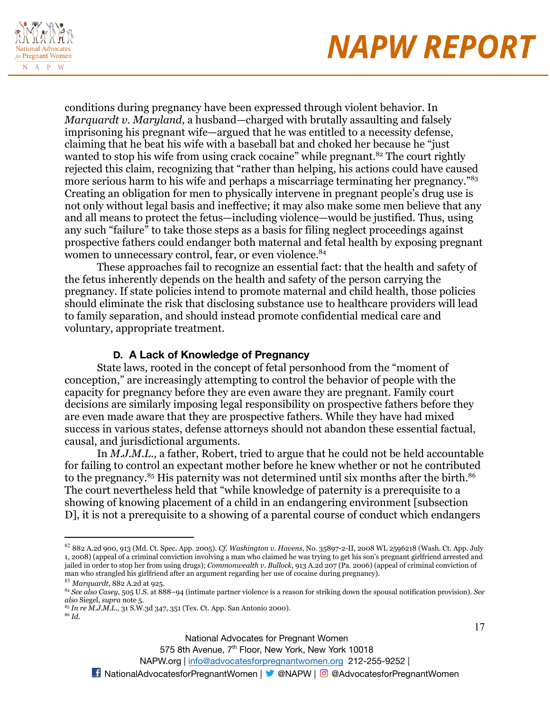

17

conditions during pregnancy have been expressed through violent behavior. In *Marquardt v. Maryland*, a husband—charged with brutally assaulting and falsely imprisoning his pregnant wife—argued that he was entitled to a necessity defense, claiming that he beat his wife with a baseball bat and choked her because he "just wanted to stop his wife from using crack cocaine" while pregnant.<sup>82</sup> The court rightly rejected this claim, recognizing that "rather than helping, his actions could have caused more serious harm to his wife and perhaps a miscarriage terminating her pregnancy."<sup>83</sup> Creating an obligation for men to physically intervene in pregnant people's drug use is not only without legal basis and ineffective; it may also make some men believe that any and all means to protect the fetus—including violence—would be justified. Thus, using any such "failure" to take those steps as a basis for filing neglect proceedings against prospective fathers could endanger both maternal and fetal health by exposing pregnant women to unnecessary control, fear, or even violence.<sup>84</sup>

These approaches fail to recognize an essential fact: that the health and safety of the fetus inherently depends on the health and safety of the person carrying the pregnancy. If state policies intend to promote maternal and child health, those policies should eliminate the risk that disclosing substance use to healthcare providers will lead to family separation, and should instead promote confidential medical care and voluntary, appropriate treatment.

#### **D. A Lack of Knowledge of Pregnancy**

State laws, rooted in the concept of fetal personhood from the "moment of conception," are increasingly attempting to control the behavior of people with the capacity for pregnancy before they are even aware they are pregnant. Family court decisions are similarly imposing legal responsibility on prospective fathers before they are even made aware that they are prospective fathers. While they have had mixed success in various states, defense attorneys should not abandon these essential factual, causal, and jurisdictional arguments.

In *M.J.M.L.*, a father, Robert, tried to argue that he could not be held accountable for failing to control an expectant mother before he knew whether or not he contributed to the pregnancy.<sup>85</sup> His paternity was not determined until six months after the birth.<sup>86</sup> The court nevertheless held that "while knowledge of paternity is a prerequisite to a showing of knowing placement of a child in an endangering environment [subsection D], it is not a prerequisite to a showing of a parental course of conduct which endangers

575 8th Avenue, 7<sup>th</sup> Floor, New York, New York 10018

<sup>82</sup> 882 A.2d 900, 913 (Md. Ct. Spec. App. 2005). *Cf. Washington v. Havens*, No. 35897-2-II, 2008 WL 2596218 (Wash. Ct. App. July 1, 2008) (appeal of a criminal conviction involving a man who claimed he was trying to get his son's pregnant girlfriend arrested and jailed in order to stop her from using drugs); *Commonwealth v. Bullock*, 913 A.2d 207 (Pa. 2006) (appeal of criminal conviction of man who strangled his girlfriend after an argument regarding her use of cocaine during pregnancy).

<sup>83</sup> *Marquardt*, 882 A.2d at 925.

<sup>84</sup> *See also Casey*, 505 U.S. at 888–94 (intimate partner violence is a reason for striking down the spousal notification provision). *See also* Siegel, *supra* note 5.

<sup>85</sup> *In re M.J.M.L.*, 31 S.W.3d 347, 351 (Tex. Ct. App. San Antonio 2000).

<sup>86</sup> *Id.*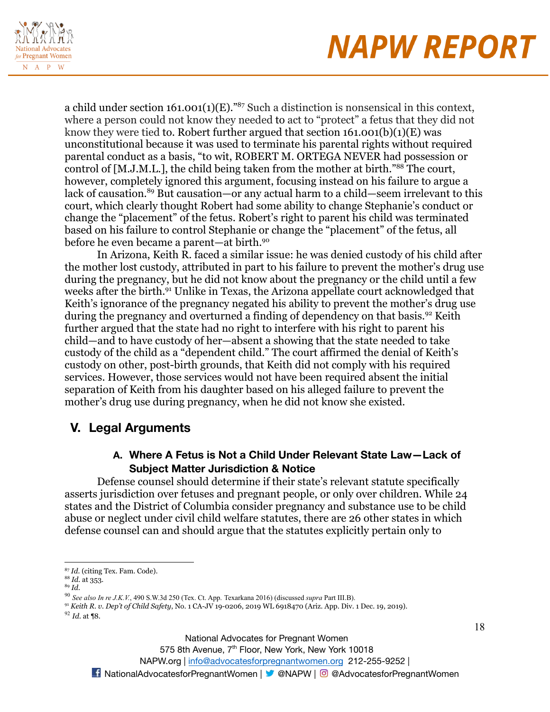

a child under section  $161.001(1)(E)$ ."<sup>87</sup> Such a distinction is nonsensical in this context, where a person could not know they needed to act to "protect" a fetus that they did not know they were tied to. Robert further argued that section  $161.001(b)(1)(E)$  was unconstitutional because it was used to terminate his parental rights without required parental conduct as a basis, "to wit, ROBERT M. ORTEGA NEVER had possession or control of [M.J.M.L.], the child being taken from the mother at birth."<sup>88</sup> The court, however, completely ignored this argument, focusing instead on his failure to argue a lack of causation.<sup>89</sup> But causation—or any actual harm to a child—seem irrelevant to this court, which clearly thought Robert had some ability to change Stephanie's conduct or change the "placement" of the fetus. Robert's right to parent his child was terminated based on his failure to control Stephanie or change the "placement" of the fetus, all before he even became a parent—at birth.<sup>90</sup>

In Arizona, Keith R. faced a similar issue: he was denied custody of his child after the mother lost custody, attributed in part to his failure to prevent the mother's drug use during the pregnancy, but he did not know about the pregnancy or the child until a few weeks after the birth.<sup>91</sup> Unlike in Texas, the Arizona appellate court acknowledged that Keith's ignorance of the pregnancy negated his ability to prevent the mother's drug use during the pregnancy and overturned a finding of dependency on that basis.<sup>92</sup> Keith further argued that the state had no right to interfere with his right to parent his child—and to have custody of her—absent a showing that the state needed to take custody of the child as a "dependent child." The court affirmed the denial of Keith's custody on other, post-birth grounds, that Keith did not comply with his required services. However, those services would not have been required absent the initial separation of Keith from his daughter based on his alleged failure to prevent the mother's drug use during pregnancy, when he did not know she existed.

### **V. Legal Arguments**

### **A. Where A Fetus is Not a Child Under Relevant State Law—Lack of Subject Matter Jurisdiction & Notice**

Defense counsel should determine if their state's relevant statute specifically asserts jurisdiction over fetuses and pregnant people, or only over children. While 24 states and the District of Columbia consider pregnancy and substance use to be child abuse or neglect under civil child welfare statutes, there are 26 other states in which defense counsel can and should argue that the statutes explicitly pertain only to

<sup>90</sup> *See also In re J.K.V.*, 490 S.W.3d 250 (Tex. Ct. App. Texarkana 2016) (discussed *supra* Part III.B).

<sup>91</sup> *Keith R. v. Dep't of Child Safety*, No. 1 CA-JV 19-0206, 2019 WL 6918470 (Ariz. App. Div. 1 Dec. 19, 2019).

<sup>87</sup> *Id.* (citing Tex. Fam. Code).

<sup>88</sup> *Id.* at 353.

<sup>89</sup> *Id.*

<sup>92</sup> *Id.* at ¶8.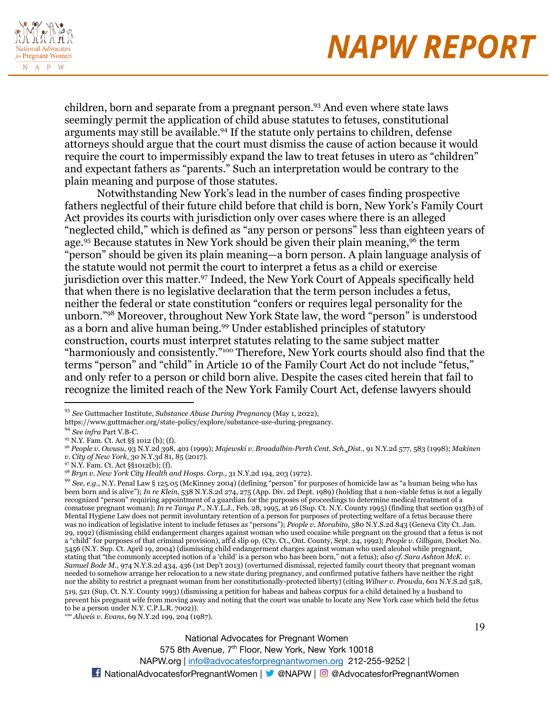

19

children, born and separate from a pregnant person.<sup>93</sup> And even where state laws seemingly permit the application of child abuse statutes to fetuses, constitutional arguments may still be available.<sup>94</sup> If the statute only pertains to children, defense attorneys should argue that the court must dismiss the cause of action because it would require the court to impermissibly expand the law to treat fetuses in utero as "children" and expectant fathers as "parents." Such an interpretation would be contrary to the plain meaning and purpose of those statutes.

Notwithstanding New York's lead in the number of cases finding prospective fathers neglectful of their future child before that child is born, New York's Family Court Act provides its courts with jurisdiction only over cases where there is an alleged "neglected child," which is defined as "any person or persons" less than eighteen years of age.<sup>95</sup> Because statutes in New York should be given their plain meaning,<sup>96</sup> the term "person" should be given its plain meaning—a born person. A plain language analysis of the statute would not permit the court to interpret a fetus as a child or exercise jurisdiction over this matter.<sup>97</sup> Indeed, the New York Court of Appeals specifically held that when there is no legislative declaration that the term person includes a fetus, neither the federal or state constitution "confers or requires legal personality for the unborn."<sup>98</sup> Moreover, throughout New York State law, the word "person" is understood as a born and alive human being.<sup>99</sup> Under established principles of statutory construction, courts must interpret statutes relating to the same subject matter "harmoniously and consistently."<sup>100</sup> Therefore, New York courts should also find that the terms "person" and "child" in Article 10 of the Family Court Act do not include "fetus," and only refer to a person or child born alive. Despite the cases cited herein that fail to recognize the limited reach of the New York Family Court Act, defense lawyers should

*v. City of New York*, 30 N.Y.3d 81, 85 (2017).

519, 521 (Sup. Ct. N.Y. County 1993) (dismissing a petition for habeas and habeas corpus for a child detained by a husband to prevent his pregnant wife from moving away and noting that the court was unable to locate any New York case which held the fetus to be a person under N.Y. C.P.L.R. 7002)).

<sup>93</sup> *See* Guttmacher Institute, *Substance Abuse During Pregnancy* (May 1, 2022),

https://www.guttmacher.org/state-policy/explore/substance-use-during-pregnancy.

<sup>94</sup> *See infra* Part V.B-C.

<sup>95</sup> N.Y. Fam. Ct. Act §§ 1012 (b); (f).

<sup>96</sup> *People v. Owusu*, 93 N.Y.2d 398, 401 (1999); *Majewski v. Broadalbin-Perth Cent. Sch. Dist.*, 91 N.Y.2d 577, 583 (1998); *Makinen*

<sup>97</sup> N.Y. Fam. Ct. Act §§1012(b); (f).

<sup>98</sup> *Bryn v. New York City Health and Hosps. Corp.*, 31 N.Y.2d 194, 203 (1972).

<sup>99</sup> *See, e.g.*, N.Y. Penal Law § 125.05 (McKinney 2004) (defining "person" for purposes of homicide law as "a human being who has been born and is alive"); *In re Klein*, 538 N.Y.S.2d 274, 275 (App. Div. 2d Dept. 1989) (holding that a non-viable fetus is not a legally recognized "person" requiring appointment of a guardian for the purposes of proceedings to determine medical treatment of a comatose pregnant woman); *In re Tanya P.*, N.Y.L.J., Feb. 28, 1995, at 26 (Sup. Ct. N.Y. County 1995) (finding that section 913(b) of Mental Hygiene Law does not permit involuntary retention of a person for purposes of protecting welfare of a fetus because there was no indication of legislative intent to include fetuses as "persons"); *People v. Morabito*, 580 N.Y.S.2d 843 (Geneva City Ct. Jan. 29, 1992) (dismissing child endangerment charges against woman who used cocaine while pregnant on the ground that a fetus is not a "child" for purposes of that criminal provision), aff'd slip op. (Cty. Ct., Ont. County, Sept. 24, 1992); *People v. Gilligan*, Docket No. 5456 (N.Y. Sup. Ct. April 19, 2004) (dismissing child endangerment charges against woman who used alcohol while pregnant, stating that "the commonly accepted notion of a 'child' is a person who has been born," not a fetus); *also cf. Sara Ashton McK. v. Samuel Bode M.*, 974 N.Y.S.2d 434, 436 (1st Dep't 2013) (overturned dismissal, rejected family court theory that pregnant woman needed to somehow arrange her relocation to a new state during pregnancy, and confirmed putative fathers have neither the right nor the ability to restrict a pregnant woman from her constitutionally-protected liberty) (citing *Wilner v. Prowda*, 601 N.Y.S.2d 518,

<sup>100</sup> *Alweis v. Evans*, 69 N.Y.2d 199, 204 (1987).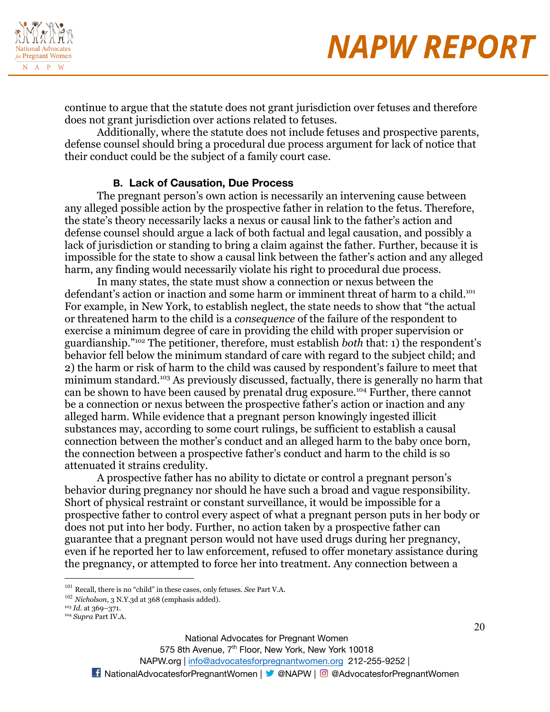

continue to argue that the statute does not grant jurisdiction over fetuses and therefore does not grant jurisdiction over actions related to fetuses.

Additionally, where the statute does not include fetuses and prospective parents, defense counsel should bring a procedural due process argument for lack of notice that their conduct could be the subject of a family court case.

#### **B. Lack of Causation, Due Process**

The pregnant person's own action is necessarily an intervening cause between any alleged possible action by the prospective father in relation to the fetus. Therefore, the state's theory necessarily lacks a nexus or causal link to the father's action and defense counsel should argue a lack of both factual and legal causation, and possibly a lack of jurisdiction or standing to bring a claim against the father. Further, because it is impossible for the state to show a causal link between the father's action and any alleged harm, any finding would necessarily violate his right to procedural due process.

In many states, the state must show a connection or nexus between the defendant's action or inaction and some harm or imminent threat of harm to a child.<sup>101</sup> For example, in New York, to establish neglect, the state needs to show that "the actual or threatened harm to the child is a *consequence* of the failure of the respondent to exercise a minimum degree of care in providing the child with proper supervision or guardianship."<sup>102</sup> The petitioner, therefore, must establish *both* that: 1) the respondent's behavior fell below the minimum standard of care with regard to the subject child; and 2) the harm or risk of harm to the child was caused by respondent's failure to meet that minimum standard.<sup>103</sup> As previously discussed, factually, there is generally no harm that can be shown to have been caused by prenatal drug exposure.<sup>104</sup> Further, there cannot be a connection or nexus between the prospective father's action or inaction and any alleged harm. While evidence that a pregnant person knowingly ingested illicit substances may, according to some court rulings, be sufficient to establish a causal connection between the mother's conduct and an alleged harm to the baby once born, the connection between a prospective father's conduct and harm to the child is so attenuated it strains credulity.

A prospective father has no ability to dictate or control a pregnant person's behavior during pregnancy nor should he have such a broad and vague responsibility. Short of physical restraint or constant surveillance, it would be impossible for a prospective father to control every aspect of what a pregnant person puts in her body or does not put into her body. Further, no action taken by a prospective father can guarantee that a pregnant person would not have used drugs during her pregnancy, even if he reported her to law enforcement, refused to offer monetary assistance during the pregnancy, or attempted to force her into treatment. Any connection between a

National Advocates for Pregnant Women

575 8th Avenue, 7<sup>th</sup> Floor, New York, New York 10018

NAPW.org | [info@advocatesforpregnantwomen.org](mailto:info@advocatesforpregnantwomen.org) 212-255-9252 |

<sup>101</sup> Recall, there is no "child" in these cases, only fetuses. *See* Part V.A.

<sup>102</sup> *Nicholson*, 3 N.Y.3d at 368 (emphasis added).

<sup>103</sup> *Id.* at 369–371.

<sup>104</sup> *Supra* Part IV.A.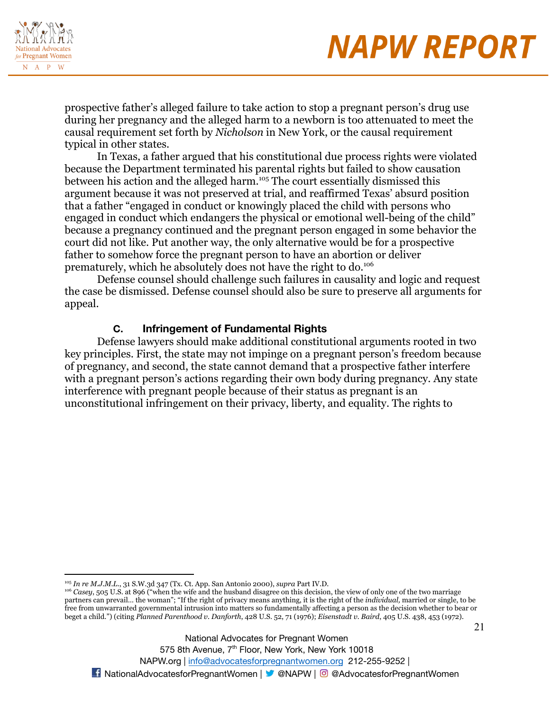

prospective father's alleged failure to take action to stop a pregnant person's drug use during her pregnancy and the alleged harm to a newborn is too attenuated to meet the causal requirement set forth by *Nicholson* in New York, or the causal requirement typical in other states.

In Texas, a father argued that his constitutional due process rights were violated because the Department terminated his parental rights but failed to show causation between his action and the alleged harm.<sup>105</sup> The court essentially dismissed this argument because it was not preserved at trial, and reaffirmed Texas' absurd position that a father "engaged in conduct or knowingly placed the child with persons who engaged in conduct which endangers the physical or emotional well-being of the child" because a pregnancy continued and the pregnant person engaged in some behavior the court did not like. Put another way, the only alternative would be for a prospective father to somehow force the pregnant person to have an abortion or deliver prematurely, which he absolutely does not have the right to do.<sup>106</sup>

Defense counsel should challenge such failures in causality and logic and request the case be dismissed. Defense counsel should also be sure to preserve all arguments for appeal.

#### **C. Infringement of Fundamental Rights**

Defense lawyers should make additional constitutional arguments rooted in two key principles. First, the state may not impinge on a pregnant person's freedom because of pregnancy, and second, the state cannot demand that a prospective father interfere with a pregnant person's actions regarding their own body during pregnancy. Any state interference with pregnant people because of their status as pregnant is an unconstitutional infringement on their privacy, liberty, and equality. The rights to

National Advocates for Pregnant Women

575 8th Avenue, 7<sup>th</sup> Floor, New York, New York 10018 NAPW.org | [info@advocatesforpregnantwomen.org](mailto:info@advocatesforpregnantwomen.org) 212-255-9252 | **14** NationalAdvocatesforPregnantWomen | **X** @NAPW | © @AdvocatesforPregnantWomen

<sup>105</sup> *In re M.J.M.L.*, 31 S.W.3d 347 (Tx. Ct. App. San Antonio 2000), *supra* Part IV.D.

<sup>&</sup>lt;sup>106</sup> *Casey*, 505 U.S. at 896 ("when the wife and the husband disagree on this decision, the view of only one of the two marriage partners can prevail… the woman"; "If the right of privacy means anything, it is the right of the *individual,* married or single, to be free from unwarranted governmental intrusion into matters so fundamentally affecting a person as the decision whether to bear or beget a child.") (citing *Planned Parenthood v. Danforth*, 428 U.S. 52, 71 (1976); *Eisenstadt v. Baird*, 405 U.S. 438, 453 (1972).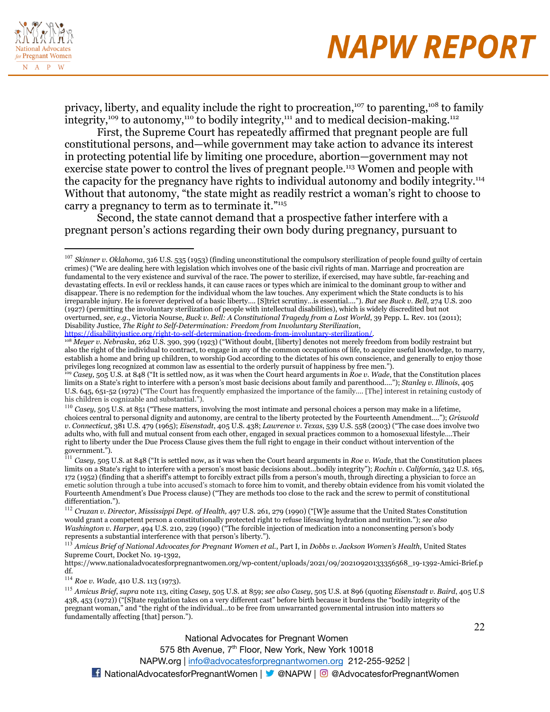

privacy, liberty, and equality include the right to procreation,<sup>107</sup> to parenting,<sup>108</sup> to family integrity,<sup>109</sup> to autonomy,<sup>110</sup> to bodily integrity,<sup>111</sup> and to medical decision-making.<sup>112</sup>

First, the Supreme Court has repeatedly affirmed that pregnant people are full constitutional persons, and—while government may take action to advance its interest in protecting potential life by limiting one procedure, abortion—government may not exercise state power to control the lives of pregnant people.<sup>113</sup> Women and people with the capacity for the pregnancy have rights to individual autonomy and bodily integrity.<sup>114</sup> Without that autonomy, "the state might as readily restrict a woman's right to choose to carry a pregnancy to term as to terminate it."<sup>115</sup>

Second, the state cannot demand that a prospective father interfere with a pregnant person's actions regarding their own body during pregnancy, pursuant to

[https://disabilityjustice.org/right-to-self-determination-freedom-from-involuntary-sterilization/.](https://disabilityjustice.org/right-to-self-determination-freedom-from-involuntary-sterilization/)

<sup>108</sup> *Meyer v. Nebraska,* 262 U.S. 390, 399 (1923) ("Without doubt, [liberty] denotes not merely freedom from bodily restraint but also the right of the individual to contract, to engage in any of the common occupations of life, to acquire useful knowledge, to marry, establish a home and bring up children, to worship God according to the dictates of his own conscience, and generally to enjoy those privileges long recognized at common law as essential to the orderly pursuit of happiness by free men.").

<sup>110</sup> *Casey*, 505 U.S. at 851 ("These matters, involving the most intimate and personal choices a person may make in a lifetime, choices central to personal dignity and autonomy, are central to the liberty protected by the Fourteenth Amendment…."); *Griswold v. Connecticut*, 381 U.S. 479 (1965); *Eisenstadt*, 405 U.S. 438; *Lawrence v. Texas*, 539 U.S. 558 (2003) ("The case does involve two adults who, with full and mutual consent from each other, engaged in sexual practices common to a homosexual lifestyle….Their right to liberty under the Due Process Clause gives them the full right to engage in their conduct without intervention of the government.").

<sup>114</sup> *Roe v. Wade,* 410 U.S. 113 (1973).

<sup>115</sup> *Amicus Brief*, *supra* note 113, citing *Casey*, 505 U.S. at 859; *see also Casey*, 505 U.S. at 896 (quoting *Eisenstadt v. Baird*, 405 U.S 438, 453 (1972)) ("[S]tate regulation takes on a very different cast" before birth because it burdens the "bodily integrity of the pregnant woman," and "the right of the individual…to be free from unwarranted governmental intrusion into matters so fundamentally affecting [that] person.").

> National Advocates for Pregnant Women 575 8th Avenue, 7<sup>th</sup> Floor, New York, New York 10018 NAPW.org | [info@advocatesforpregnantwomen.org](mailto:info@advocatesforpregnantwomen.org) 212-255-9252 |

<sup>107</sup> *Skinner v. Oklahoma*, 316 U.S. 535 (1953) (finding unconstitutional the compulsory sterilization of people found guilty of certain crimes) ("We are dealing here with legislation which involves one of the basic civil rights of man. Marriage and procreation are fundamental to the very existence and survival of the race. The power to sterilize, if exercised, may have subtle, far-reaching and devastating effects. In evil or reckless hands, it can cause races or types which are inimical to the dominant group to wither and disappear. There is no redemption for the individual whom the law touches. Any experiment which the State conducts is to his irreparable injury. He is forever deprived of a basic liberty…. [S]trict scrutiny…is essential…."). *But see Buck v. Bell*, 274 U.S. 200 (1927) (permitting the involuntary sterilization of people with intellectual disabilities), which is widely discredited but not overturned, *see, e.g.*, Victoria Nourse, *Buck v. Bell: A Constitutional Tragedy from a Lost World*, 39 Pepp. L. Rev. 101 (2011); Disability Justice, *The Right to Self-Determination: Freedom from Involuntary Sterilization*,

<sup>109</sup> *Casey,* 505 U.S. at 848 ("It is settled now, as it was when the Court heard arguments in *Roe v. Wade*, that the Constitution places limits on a State's right to interfere with a person's most basic decisions about family and parenthood…."); *Stanley v. Illinois*, 405 U.S. 645, 651-52 (1972) ("The Court has frequently emphasized the importance of the family…. [The] interest in retaining custody of his children is cognizable and substantial.").

<sup>111</sup> *Casey,* 505 U.S. at 848 ("It is settled now, as it was when the Court heard arguments in *Roe v. Wade*, that the Constitution places limits on a State's right to interfere with a person's most basic decisions about…bodily integrity"); *Rochin v. California*, 342 U.S. 165, 172 (1952) (finding that a sheriff's attempt to forcibly extract pills from a person's mouth, through directing a physician to force an emetic solution through a tube into accused's stomach to force him to vomit, and thereby obtain evidence from his vomit violated the Fourteenth Amendment's Due Process clause) ("They are methods too close to the rack and the screw to permit of constitutional differentiation.").

<sup>112</sup> *Cruzan v. Director, Mississippi Dept. of Health,* 497 U.S. 261, 279 (1990) ("[W]e assume that the United States Constitution would grant a competent person a constitutionally protected right to refuse lifesaving hydration and nutrition."); *see also Washington v. Harper*, 494 U.S. 210, 229 (1990) ("The forcible injection of medication into a nonconsenting person's body represents a substantial interference with that person's liberty.").

<sup>&</sup>lt;sup>113</sup> Amicus Brief of National Advocates for Pregnant Women et al., Part I, in Dobbs v. Jackson Women's Health, United States Supreme Court, Docket No. 19-1392,

https://www.nationaladvocatesforpregnantwomen.org/wp-content/uploads/2021/09/20210920133356568\_19-1392-Amici-Brief.p df.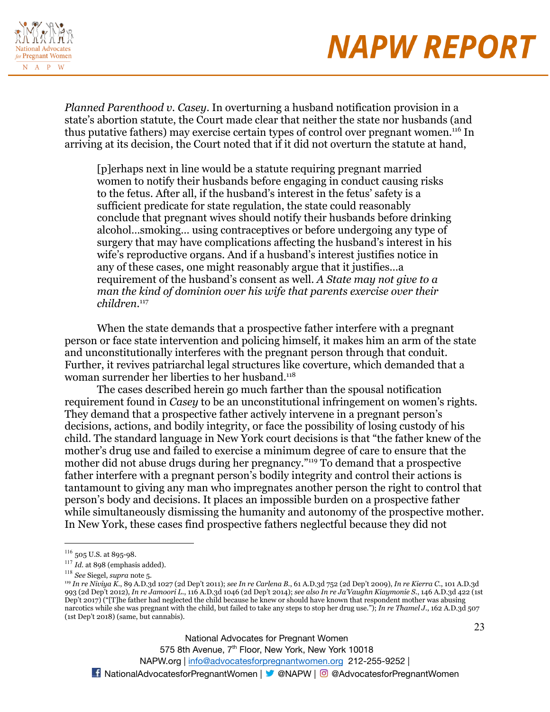

*Planned Parenthood v. Casey*. In overturning a husband notification provision in a state's abortion statute, the Court made clear that neither the state nor husbands (and thus putative fathers) may exercise certain types of control over pregnant women.<sup>116</sup> In arriving at its decision, the Court noted that if it did not overturn the statute at hand,

[p]erhaps next in line would be a statute requiring pregnant married women to notify their husbands before engaging in conduct causing risks to the fetus. After all, if the husband's interest in the fetus' safety is a sufficient predicate for state regulation, the state could reasonably conclude that pregnant wives should notify their husbands before drinking alcohol…smoking… using contraceptives or before undergoing any type of surgery that may have complications affecting the husband's interest in his wife's reproductive organs. And if a husband's interest justifies notice in any of these cases, one might reasonably argue that it justifies…a requirement of the husband's consent as well. *A State may not give to a man the kind of dominion over his wife that parents exercise over their children.*<sup>117</sup>

When the state demands that a prospective father interfere with a pregnant person or face state intervention and policing himself, it makes him an arm of the state and unconstitutionally interferes with the pregnant person through that conduit. Further, it revives patriarchal legal structures like coverture, which demanded that a woman surrender her liberties to her husband.<sup>118</sup>

The cases described herein go much farther than the spousal notification requirement found in *Casey* to be an unconstitutional infringement on women's rights*.* They demand that a prospective father actively intervene in a pregnant person's decisions, actions, and bodily integrity, or face the possibility of losing custody of his child. The standard language in New York court decisions is that "the father knew of the mother's drug use and failed to exercise a minimum degree of care to ensure that the mother did not abuse drugs during her pregnancy."<sup>119</sup> To demand that a prospective father interfere with a pregnant person's bodily integrity and control their actions is tantamount to giving any man who impregnates another person the right to control that person's body and decisions. It places an impossible burden on a prospective father while simultaneously dismissing the humanity and autonomy of the prospective mother. In New York, these cases find prospective fathers neglectful because they did not

National Advocates for Pregnant Women 575 8th Avenue, 7<sup>th</sup> Floor, New York, New York 10018

NAPW.org | [info@advocatesforpregnantwomen.org](mailto:info@advocatesforpregnantwomen.org) 212-255-9252 |

<sup>116</sup> 505 U.S. at 895-98*.*

<sup>117</sup> *Id.* at 898 (emphasis added).

<sup>118</sup> *See* Siegel, *supra* note 5.

<sup>119</sup> *In re Niviya K.*, 89 A.D.3d 1027 (2d Dep't 2011); *see In re Carlena B.*, 61 A.D.3d 752 (2d Dep't 2009), *In re Kierra C.*, 101 A.D.3d 993 (2d Dep't 2012), *In re Jamoori L.*, 116 A.D.3d 1046 (2d Dep't 2014); *see also In re Ja'Vaughn Kiaymonie S.*, 146 A.D.3d 422 (1st Dep't 2017) ("[T]he father had neglected the child because he knew or should have known that respondent mother was abusing narcotics while she was pregnant with the child, but failed to take any steps to stop her drug use."); *In re Thamel J.*, 162 A.D.3d 507 (1st Dep't 2018) (same, but cannabis).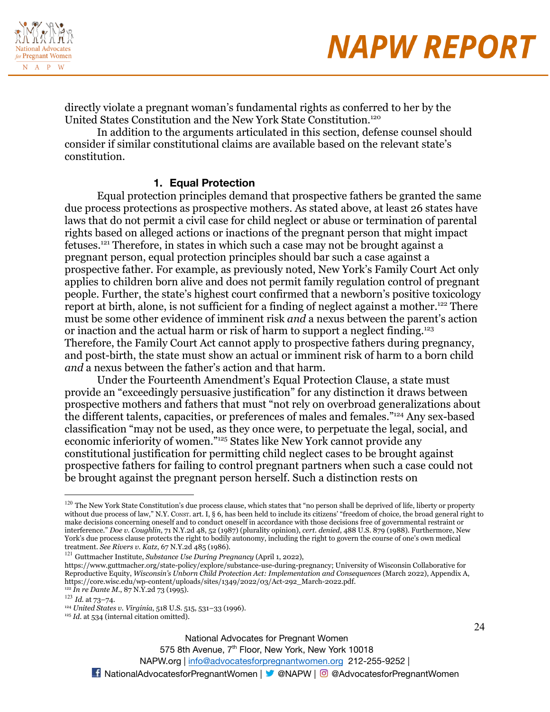



directly violate a pregnant woman's fundamental rights as conferred to her by the United States Constitution and the New York State Constitution.<sup>120</sup>

In addition to the arguments articulated in this section, defense counsel should consider if similar constitutional claims are available based on the relevant state's constitution.

#### **1. Equal Protection**

Equal protection principles demand that prospective fathers be granted the same due process protections as prospective mothers. As stated above, at least 26 states have laws that do not permit a civil case for child neglect or abuse or termination of parental rights based on alleged actions or inactions of the pregnant person that might impact fetuses.<sup>121</sup> Therefore, in states in which such a case may not be brought against a pregnant person, equal protection principles should bar such a case against a prospective father. For example, as previously noted, New York's Family Court Act only applies to children born alive and does not permit family regulation control of pregnant people. Further, the state's highest court confirmed that a newborn's positive toxicology report at birth, alone, is not sufficient for a finding of neglect against a mother.<sup>122</sup> There must be some other evidence of imminent risk *and* a nexus between the parent's action or inaction and the actual harm or risk of harm to support a neglect finding.<sup>123</sup> Therefore, the Family Court Act cannot apply to prospective fathers during pregnancy, and post-birth, the state must show an actual or imminent risk of harm to a born child *and* a nexus between the father's action and that harm.

Under the Fourteenth Amendment's Equal Protection Clause, a state must provide an "exceedingly persuasive justification" for any distinction it draws between prospective mothers and fathers that must "not rely on overbroad generalizations about the different talents, capacities, or preferences of males and females."<sup>124</sup> Any sex-based classification "may not be used, as they once were, to perpetuate the legal, social, and economic inferiority of women."<sup>125</sup> States like New York cannot provide any constitutional justification for permitting child neglect cases to be brought against prospective fathers for failing to control pregnant partners when such a case could not be brought against the pregnant person herself. Such a distinction rests on

NAPW.org | [info@advocatesforpregnantwomen.org](mailto:info@advocatesforpregnantwomen.org) 212-255-9252 |

<sup>&</sup>lt;sup>120</sup> The New York State Constitution's due process clause, which states that "no person shall be deprived of life, liberty or property without due process of law," N.Y. CONST. art. I, § 6, has been held to include its citizens' "freedom of choice, the broad general right to make decisions concerning oneself and to conduct oneself in accordance with those decisions free of governmental restraint or interference." *Doe v. Coughlin*, 71 N.Y.2d 48, 52 (1987) (plurality opinion), *cert. denied*, 488 U.S. 879 (1988). Furthermore, New York's due process clause protects the right to bodily autonomy, including the right to govern the course of one's own medical treatment. *See Rivers v. Katz*, 67 N.Y.2d 485 (1986).

<sup>121</sup> Guttmacher Institute, *Substance Use During Pregnancy* (April 1, 2022),

https://www.guttmacher.org/state-policy/explore/substance-use-during-pregnancy; University of Wisconsin Collaborative for Reproductive Equity, *Wisconsin's Unborn Child Protection Act: Implementation and Consequences* (March 2022), Appendix A, https://core.wisc.edu/wp-content/uploads/sites/1349/2022/03/Act-292\_March-2022.pdf.

<sup>122</sup> *In re Dante M.*, 87 N.Y.2d 73 (1995).

<sup>123</sup> *Id.* at 73–74.

<sup>124</sup> *United States v. Virginia*, 518 U.S. 515, 531–33 (1996).

<sup>&</sup>lt;sup>125</sup> *Id.* at 534 (internal citation omitted).

National Advocates for Pregnant Women 575 8th Avenue, 7<sup>th</sup> Floor, New York, New York 10018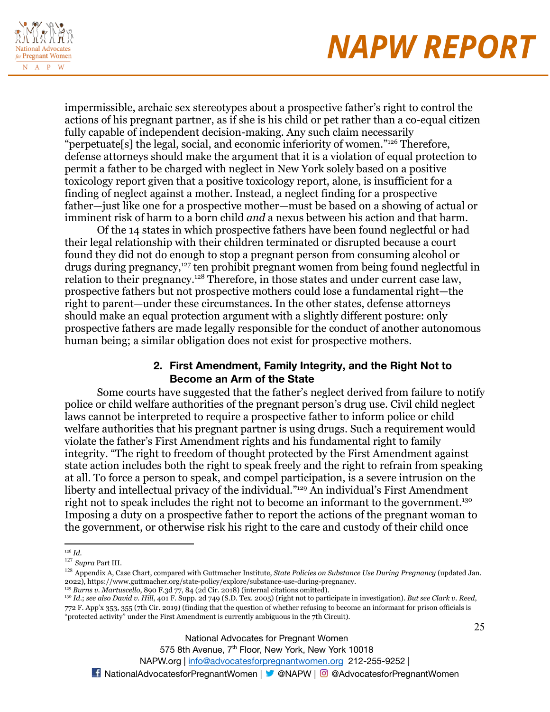

impermissible, archaic sex stereotypes about a prospective father's right to control the actions of his pregnant partner, as if she is his child or pet rather than a co-equal citizen fully capable of independent decision-making. Any such claim necessarily "perpetuate[s] the legal, social, and economic inferiority of women."<sup>126</sup> Therefore, defense attorneys should make the argument that it is a violation of equal protection to permit a father to be charged with neglect in New York solely based on a positive toxicology report given that a positive toxicology report, alone, is insufficient for a finding of neglect against a mother. Instead, a neglect finding for a prospective father—just like one for a prospective mother—must be based on a showing of actual or imminent risk of harm to a born child *and* a nexus between his action and that harm.

Of the 14 states in which prospective fathers have been found neglectful or had their legal relationship with their children terminated or disrupted because a court found they did not do enough to stop a pregnant person from consuming alcohol or drugs during pregnancy,<sup>127</sup> ten prohibit pregnant women from being found neglectful in relation to their pregnancy.<sup>128</sup> Therefore, in those states and under current case law, prospective fathers but not prospective mothers could lose a fundamental right—the right to parent—under these circumstances. In the other states, defense attorneys should make an equal protection argument with a slightly different posture: only prospective fathers are made legally responsible for the conduct of another autonomous human being; a similar obligation does not exist for prospective mothers.

### **2. First Amendment, Family Integrity, and the Right Not to Become an Arm of the State**

Some courts have suggested that the father's neglect derived from failure to notify police or child welfare authorities of the pregnant person's drug use. Civil child neglect laws cannot be interpreted to require a prospective father to inform police or child welfare authorities that his pregnant partner is using drugs. Such a requirement would violate the father's First Amendment rights and his fundamental right to family integrity. "The right to freedom of thought protected by the First Amendment against state action includes both the right to speak freely and the right to refrain from speaking at all. To force a person to speak, and compel participation, is a severe intrusion on the liberty and intellectual privacy of the individual."<sup>129</sup> An individual's First Amendment right not to speak includes the right not to become an informant to the government.<sup>130</sup> Imposing a duty on a prospective father to report the actions of the pregnant woman to the government, or otherwise risk his right to the care and custody of their child once

National Advocates for Pregnant Women

575 8th Avenue, 7<sup>th</sup> Floor, New York, New York 10018

<sup>126</sup> *Id*.

<sup>127</sup> *Supra* Part III.

<sup>128</sup> Appendix A, Case Chart, compared with Guttmacher Institute, *State Policies on Substance Use During Pregnancy* (updated Jan. 2022), https://www.guttmacher.org/state-policy/explore/substance-use-during-pregnancy.

<sup>130</sup> *Id*.; *see also David v. Hill*, 401 F. Supp. 2d 749 (S.D. Tex. 2005) (right not to participate in investigation). *But see Clark v. Reed*, <sup>129</sup> *Burns v. Martuscello*, 890 F.3d 77, 84 (2d Cir. 2018) (internal citations omitted).

<sup>772</sup> F. App'x 353, 355 (7th Cir. 2019) (finding that the question of whether refusing to become an informant for prison officials is "protected activity" under the First Amendment is currently ambiguous in the 7th Circuit).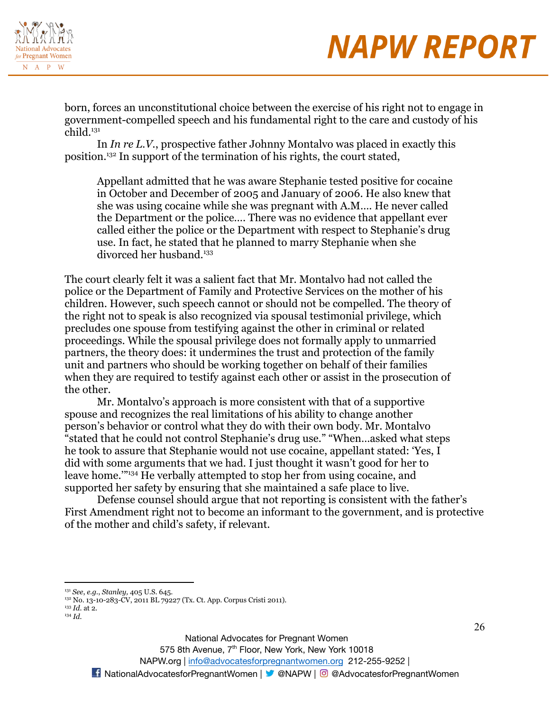

born, forces an unconstitutional choice between the exercise of his right not to engage in government-compelled speech and his fundamental right to the care and custody of his child.<sup>131</sup>

In *In re L.V.*, prospective father Johnny Montalvo was placed in exactly this position.<sup>132</sup> In support of the termination of his rights, the court stated,

Appellant admitted that he was aware Stephanie tested positive for cocaine in October and December of 2005 and January of 2006. He also knew that she was using cocaine while she was pregnant with A.M…. He never called the Department or the police…. There was no evidence that appellant ever called either the police or the Department with respect to Stephanie's drug use. In fact, he stated that he planned to marry Stephanie when she divorced her husband.<sup>133</sup>

The court clearly felt it was a salient fact that Mr. Montalvo had not called the police or the Department of Family and Protective Services on the mother of his children. However, such speech cannot or should not be compelled. The theory of the right not to speak is also recognized via spousal testimonial privilege, which precludes one spouse from testifying against the other in criminal or related proceedings. While the spousal privilege does not formally apply to unmarried partners, the theory does: it undermines the trust and protection of the family unit and partners who should be working together on behalf of their families when they are required to testify against each other or assist in the prosecution of the other.

Mr. Montalvo's approach is more consistent with that of a supportive spouse and recognizes the real limitations of his ability to change another person's behavior or control what they do with their own body. Mr. Montalvo "stated that he could not control Stephanie's drug use." "When…asked what steps he took to assure that Stephanie would not use cocaine, appellant stated: 'Yes, I did with some arguments that we had. I just thought it wasn't good for her to leave home.'"<sup>134</sup> He verbally attempted to stop her from using cocaine, and supported her safety by ensuring that she maintained a safe place to live.

Defense counsel should argue that not reporting is consistent with the father's First Amendment right not to become an informant to the government, and is protective of the mother and child's safety, if relevant.

National Advocates for Pregnant Women

575 8th Avenue, 7<sup>th</sup> Floor, New York, New York 10018

<sup>131</sup> *See*, *e.g.*, *Stanley,* 405 U.S. 645.

 $^{132}$  No. 13-10-283-CV, 2011 BL 79227 (Tx. Ct. App. Corpus Cristi 2011).

<sup>134</sup> *Id.* <sup>133</sup> *Id.* at 2.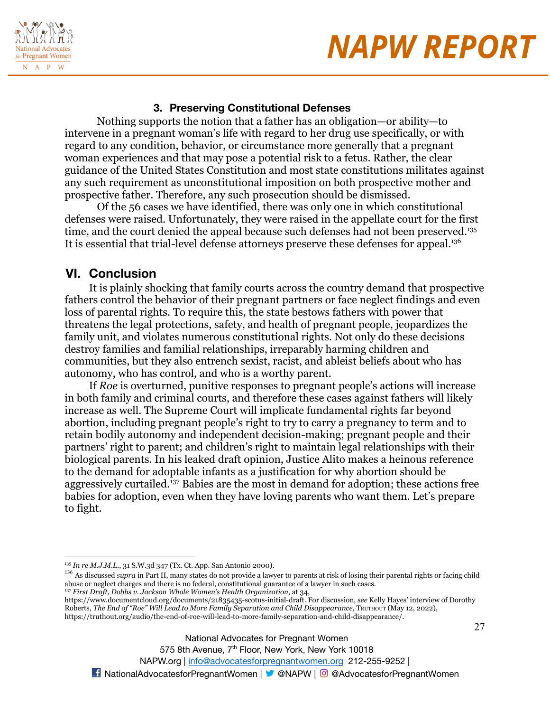



### **3. Preserving Constitutional Defenses**

Nothing supports the notion that a father has an obligation—or ability—to intervene in a pregnant woman's life with regard to her drug use specifically, or with regard to any condition, behavior, or circumstance more generally that a pregnant woman experiences and that may pose a potential risk to a fetus. Rather, the clear guidance of the United States Constitution and most state constitutions militates against any such requirement as unconstitutional imposition on both prospective mother and prospective father. Therefore, any such prosecution should be dismissed.

Of the 56 cases we have identified, there was only one in which constitutional defenses were raised. Unfortunately, they were raised in the appellate court for the first time, and the court denied the appeal because such defenses had not been preserved.<sup>135</sup> It is essential that trial-level defense attorneys preserve these defenses for appeal.<sup>136</sup>

### **VI. Conclusion**

It is plainly shocking that family courts across the country demand that prospective fathers control the behavior of their pregnant partners or face neglect findings and even loss of parental rights. To require this, the state bestows fathers with power that threatens the legal protections, safety, and health of pregnant people, jeopardizes the family unit, and violates numerous constitutional rights. Not only do these decisions destroy families and familial relationships, irreparably harming children and communities, but they also entrench sexist, racist, and ableist beliefs about who has autonomy, who has control, and who is a worthy parent.

If *Roe* is overturned, punitive responses to pregnant people's actions will increase in both family and criminal courts, and therefore these cases against fathers will likely increase as well. The Supreme Court will implicate fundamental rights far beyond abortion, including pregnant people's right to try to carry a pregnancy to term and to retain bodily autonomy and independent decision-making; pregnant people and their partners' right to parent; and children's right to maintain legal relationships with their biological parents. In his leaked draft opinion, Justice Alito makes a heinous reference to the demand for adoptable infants as a justification for why abortion should be aggressively curtailed.<sup>137</sup> Babies are the most in demand for adoption; these actions free babies for adoption, even when they have loving parents who want them. Let's prepare to fight.

National Advocates for Pregnant Women

575 8th Avenue, 7<sup>th</sup> Floor, New York, New York 10018

<sup>135</sup> *In re M.J.M.L.*, 31 S.W.3d 347 (Tx. Ct. App. San Antonio 2000).

<sup>&</sup>lt;sup>136</sup> As discussed *supra* in Part II, many states do not provide a lawyer to parents at risk of losing their parental rights or facing child abuse or neglect charges and there is no federal, constitutional guarantee of a lawyer in such cases.

<sup>137</sup> *First Draft, Dobbs v. Jackson Whole Women's Health Organization*, at 34,

https://www.documentcloud.org/documents/21835435-scotus-initial-draft. For discussion, *see* Kelly Hayes' interview of Dorothy Roberts, *The End of "Roe" Will Lead to More Family Separation and Child Disappearance*, TRUTHOUT (May 12, 2022), https://truthout.org/audio/the-end-of-roe-will-lead-to-more-family-separation-and-child-disappearance/.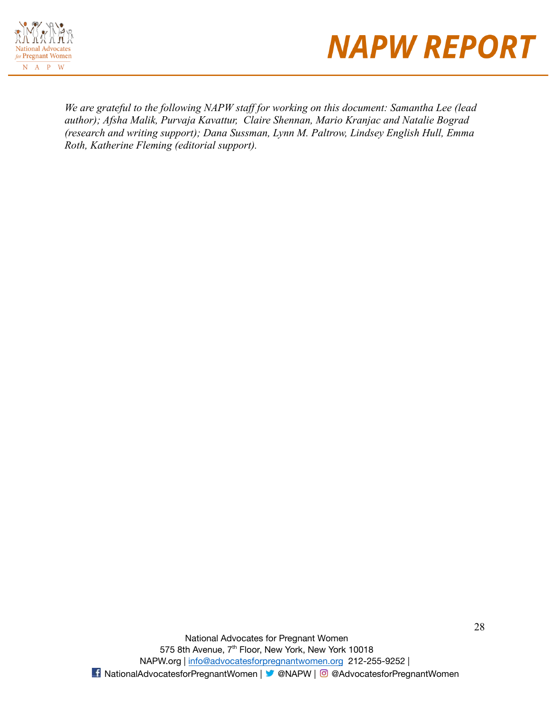



*We are grateful to the following NAPW staff for working on this document: Samantha Lee (lead author); Afsha Malik, Purvaja Kavattur, Claire Shennan, Mario Kranjac and Natalie Bograd (research and writing support); Dana Sussman, Lynn M. Paltrow, Lindsey English Hull, Emma Roth, Katherine Fleming (editorial support).*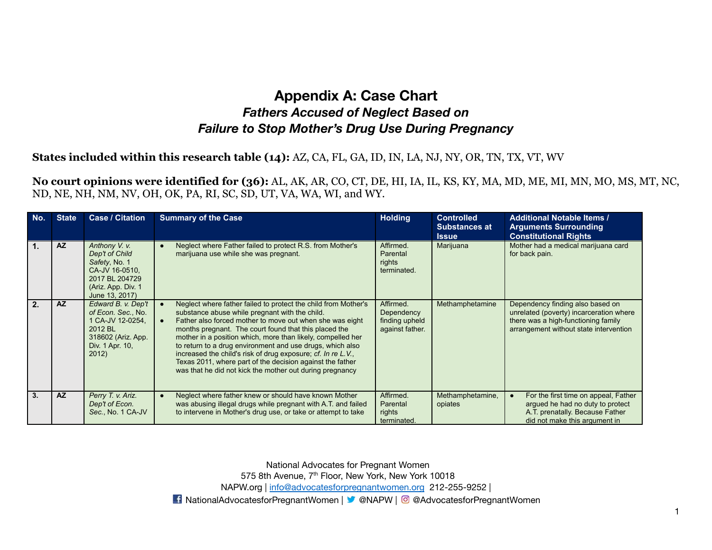### **Appendix A: Case Chart** *Fathers Accused of Neglect Based on Failure to Stop Mother's Drug Use During Pregnancy*

### **States included within this research table (14):** AZ, CA, FL, GA, ID, IN, LA, NJ, NY, OR, TN, TX, VT, WV

**No court opinions were identified for (36):** AL, AK, AR, CO, CT, DE, HI, IA, IL, KS, KY, MA, MD, ME, MI, MN, MO, MS, MT, NC, ND, NE, NH, NM, NV, OH, OK, PA, RI, SC, SD, UT, VA, WA, WI, and WY.

| No.           | <b>State</b> | <b>Case / Citation</b>                                                                                                       | <b>Summary of the Case</b>                                                                                                                                                                                                                                                                                                                                                                                                                                                                                                                                                           | <b>Holding</b>                                               | <b>Controlled</b><br><b>Substances at</b><br><b>Issue</b> | <b>Additional Notable Items /</b><br><b>Arguments Surrounding</b><br><b>Constitutional Rights</b>                                                            |
|---------------|--------------|------------------------------------------------------------------------------------------------------------------------------|--------------------------------------------------------------------------------------------------------------------------------------------------------------------------------------------------------------------------------------------------------------------------------------------------------------------------------------------------------------------------------------------------------------------------------------------------------------------------------------------------------------------------------------------------------------------------------------|--------------------------------------------------------------|-----------------------------------------------------------|--------------------------------------------------------------------------------------------------------------------------------------------------------------|
| $\mathbf 1$ . | <b>AZ</b>    | Anthony V. v.<br>Dep't of Child<br>Safety, No. 1<br>CA-JV 16-0510,<br>2017 BL 204729<br>(Ariz. App. Div. 1<br>June 13, 2017) | Neglect where Father failed to protect R.S. from Mother's<br>$\bullet$<br>marijuana use while she was pregnant.                                                                                                                                                                                                                                                                                                                                                                                                                                                                      | Affirmed.<br>Parental<br>rights<br>terminated.               | Marijuana                                                 | Mother had a medical marijuana card<br>for back pain.                                                                                                        |
| 2.            | <b>AZ</b>    | Edward B. v. Dep't<br>of Econ. Sec., No.<br>1 CA-JV 12-0254,<br>2012 BL<br>318602 (Ariz. App.<br>Div. 1 Apr. 10,<br>2012)    | Neglect where father failed to protect the child from Mother's<br>$\bullet$<br>substance abuse while pregnant with the child.<br>Father also forced mother to move out when she was eight<br>$\bullet$<br>months pregnant. The court found that this placed the<br>mother in a position which, more than likely, compelled her<br>to return to a drug environment and use drugs, which also<br>increased the child's risk of drug exposure; cf. In re L.V.,<br>Texas 2011, where part of the decision against the father<br>was that he did not kick the mother out during pregnancy | Affirmed.<br>Dependency<br>finding upheld<br>against father. | Methamphetamine                                           | Dependency finding also based on<br>unrelated (poverty) incarceration where<br>there was a high-functioning family<br>arrangement without state intervention |
| 3.            | <b>AZ</b>    | Perry T. v. Ariz.<br>Dep't of Econ.<br>Sec., No. 1 CA-JV                                                                     | Neglect where father knew or should have known Mother<br>$\bullet$<br>was abusing illegal drugs while pregnant with A.T. and failed<br>to intervene in Mother's drug use, or take or attempt to take                                                                                                                                                                                                                                                                                                                                                                                 | Affirmed.<br>Parental<br>rights<br>terminated.               | Methamphetamine,<br>opiates                               | For the first time on appeal, Father<br>argued he had no duty to protect<br>A.T. prenatally. Because Father<br>did not make this aroument in                 |

National Advocates for Pregnant Women

575 8th Avenue, 7<sup>th</sup> Floor, New York, New York 10018

NAPW.org | [info@advocatesforpregnantwomen.org](mailto:info@advocatesforpregnantwomen.org) 212-255-9252 |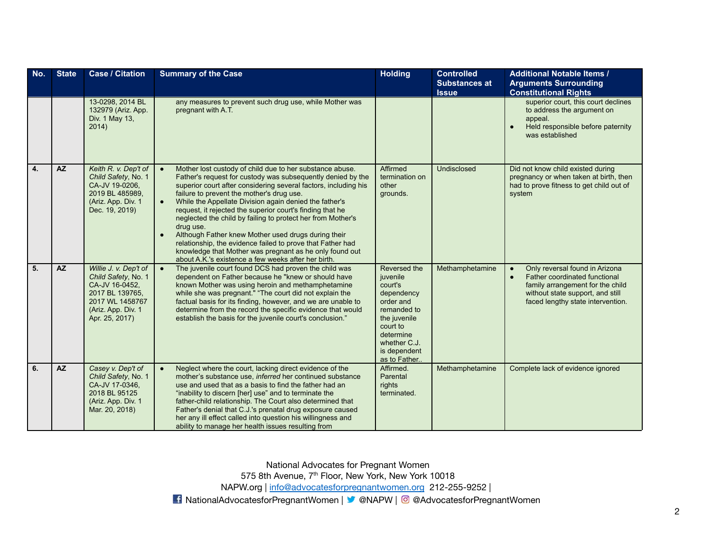| No. | <b>State</b> | <b>Case / Citation</b>                                                                                                                       | <b>Summary of the Case</b>                                                                                                                                                                                                                                                                                                                                                                                                                                                                                                                                                                                                                                                                                  | <b>Holding</b>                                                                                                                                                          | <b>Controlled</b><br><b>Substances at</b><br><b>Issue</b> | <b>Additional Notable Items /</b><br><b>Arguments Surrounding</b><br><b>Constitutional Rights</b>                                                                            |
|-----|--------------|----------------------------------------------------------------------------------------------------------------------------------------------|-------------------------------------------------------------------------------------------------------------------------------------------------------------------------------------------------------------------------------------------------------------------------------------------------------------------------------------------------------------------------------------------------------------------------------------------------------------------------------------------------------------------------------------------------------------------------------------------------------------------------------------------------------------------------------------------------------------|-------------------------------------------------------------------------------------------------------------------------------------------------------------------------|-----------------------------------------------------------|------------------------------------------------------------------------------------------------------------------------------------------------------------------------------|
|     |              | 13-0298, 2014 BL<br>132979 (Ariz. App.<br>Div. 1 May 13,<br>2014)                                                                            | any measures to prevent such drug use, while Mother was<br>pregnant with A.T.                                                                                                                                                                                                                                                                                                                                                                                                                                                                                                                                                                                                                               |                                                                                                                                                                         |                                                           | superior court, this court declines<br>to address the argument on<br>appeal.<br>Held responsible before paternity<br>was established                                         |
| 4.  | <b>AZ</b>    | Keith R. v. Dep't of<br>Child Safety, No. 1<br>CA-JV 19-0206.<br>2019 BL 485989,<br>(Ariz. App. Div. 1<br>Dec. 19, 2019)                     | $\bullet$<br>Mother lost custody of child due to her substance abuse.<br>Father's request for custody was subsequently denied by the<br>superior court after considering several factors, including his<br>failure to prevent the mother's drug use.<br>While the Appellate Division again denied the father's<br>$\bullet$<br>request, it rejected the superior court's finding that he<br>neglected the child by failing to protect her from Mother's<br>drug use.<br>Although Father knew Mother used drugs during their<br>relationship, the evidence failed to prove that Father had<br>knowledge that Mother was pregnant as he only found out<br>about A.K.'s existence a few weeks after her birth. | Affirmed<br>termination on<br>other<br>grounds.                                                                                                                         | Undisclosed                                               | Did not know child existed during<br>pregnancy or when taken at birth, then<br>had to prove fitness to get child out of<br>system                                            |
| 5.  | <b>AZ</b>    | Willie J. v. Dep't of<br>Child Safety, No. 1<br>CA-JV 16-0452,<br>2017 BL 139765.<br>2017 WL 1458767<br>(Ariz. App. Div. 1<br>Apr. 25, 2017) | The juvenile court found DCS had proven the child was<br>$\bullet$<br>dependent on Father because he "knew or should have<br>known Mother was using heroin and methamphetamine<br>while she was pregnant." "The court did not explain the<br>factual basis for its finding, however, and we are unable to<br>determine from the record the specific evidence that would<br>establish the basis for the juvenile court's conclusion."                                                                                                                                                                                                                                                                        | Reversed the<br>juvenile<br>court's<br>dependency<br>order and<br>remanded to<br>the juvenile<br>court to<br>determine<br>whether C.J.<br>is dependent<br>as to Father. | Methamphetamine                                           | Only reversal found in Arizona<br>Father coordinated functional<br>family arrangement for the child<br>without state support, and still<br>faced lengthy state intervention. |
| 6.  | <b>AZ</b>    | Casey v. Dep't of<br>Child Safety, No. 1<br>CA-JV 17-0346,<br>2018 BL 95125<br>(Ariz. App. Div. 1<br>Mar. 20, 2018)                          | Neglect where the court, lacking direct evidence of the<br>$\bullet$<br>mother's substance use, <i>inferred</i> her continued substance<br>use and used that as a basis to find the father had an<br>"inability to discern [her] use" and to terminate the<br>father-child relationship. The Court also determined that<br>Father's denial that C.J.'s prenatal drug exposure caused<br>her any ill effect called into question his willingness and<br>ability to manage her health issues resulting from                                                                                                                                                                                                   | Affirmed.<br>Parental<br>rights<br>terminated.                                                                                                                          | Methamphetamine                                           | Complete lack of evidence ignored                                                                                                                                            |

575 8th Avenue, 7<sup>th</sup> Floor, New York, New York 10018

NAPW.org | [info@advocatesforpregnantwomen.org](mailto:info@advocatesforpregnantwomen.org) 212-255-9252 |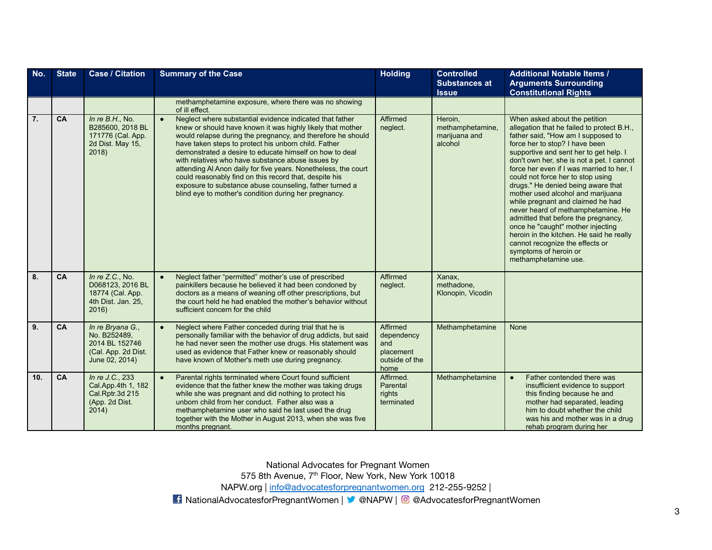| No. | <b>State</b> | <b>Case / Citation</b>                                                                      | <b>Summary of the Case</b>                                                                                                                                                                                                                                                                                                                                                                                                                                                                                                                                                                                                 | <b>Holding</b>                                                       | <b>Controlled</b><br><b>Substances at</b><br><b>Issue</b> | <b>Additional Notable Items /</b><br><b>Arguments Surrounding</b><br><b>Constitutional Rights</b>                                                                                                                                                                                                                                                                                                                                                                                                                                                                                                                                                                                              |
|-----|--------------|---------------------------------------------------------------------------------------------|----------------------------------------------------------------------------------------------------------------------------------------------------------------------------------------------------------------------------------------------------------------------------------------------------------------------------------------------------------------------------------------------------------------------------------------------------------------------------------------------------------------------------------------------------------------------------------------------------------------------------|----------------------------------------------------------------------|-----------------------------------------------------------|------------------------------------------------------------------------------------------------------------------------------------------------------------------------------------------------------------------------------------------------------------------------------------------------------------------------------------------------------------------------------------------------------------------------------------------------------------------------------------------------------------------------------------------------------------------------------------------------------------------------------------------------------------------------------------------------|
|     |              |                                                                                             | methamphetamine exposure, where there was no showing<br>of ill effect.                                                                                                                                                                                                                                                                                                                                                                                                                                                                                                                                                     |                                                                      |                                                           |                                                                                                                                                                                                                                                                                                                                                                                                                                                                                                                                                                                                                                                                                                |
| 7.  | CA           | In $re B.H., No.$<br>B285600, 2018 BL<br>171776 (Cal. App.<br>2d Dist. May 15,<br>2018)     | Neglect where substantial evidence indicated that father<br>$\bullet$<br>knew or should have known it was highly likely that mother<br>would relapse during the pregnancy, and therefore he should<br>have taken steps to protect his unborn child. Father<br>demonstrated a desire to educate himself on how to deal<br>with relatives who have substance abuse issues by<br>attending Al Anon daily for five years. Nonetheless, the court<br>could reasonably find on this record that, despite his<br>exposure to substance abuse counseling, father turned a<br>blind eye to mother's condition during her pregnancy. | Affirmed<br>neglect.                                                 | Heroin,<br>methamphetamine.<br>marijuana and<br>alcohol   | When asked about the petition<br>allegation that he failed to protect B.H.,<br>father said, "How am I supposed to<br>force her to stop? I have been<br>supportive and sent her to get help. I<br>don't own her, she is not a pet. I cannot<br>force her even if I was married to her, I<br>could not force her to stop using<br>drugs." He denied being aware that<br>mother used alcohol and marijuana<br>while pregnant and claimed he had<br>never heard of methamphetamine. He<br>admitted that before the pregnancy,<br>once he "caught" mother injecting<br>heroin in the kitchen. He said he really<br>cannot recognize the effects or<br>symptoms of heroin or<br>methamphetamine use. |
| 8.  | CA           | In re Z.C., No.<br>D068123, 2016 BL<br>18774 (Cal. App.<br>4th Dist. Jan. 25,<br>2016)      | Neglect father "permitted" mother's use of prescribed<br>painkillers because he believed it had been condoned by<br>doctors as a means of weaning off other prescriptions, but<br>the court held he had enabled the mother's behavior without<br>sufficient concern for the child                                                                                                                                                                                                                                                                                                                                          | Affirmed<br>neglect.                                                 | Xanax,<br>methadone,<br>Klonopin, Vicodin                 |                                                                                                                                                                                                                                                                                                                                                                                                                                                                                                                                                                                                                                                                                                |
| 9.  | CA           | In re Bryana G.,<br>No. B252489.<br>2014 BL 152746<br>(Cal. App. 2d Dist.<br>June 02, 2014) | Neglect where Father conceded during trial that he is<br>$\bullet$<br>personally familiar with the behavior of drug addicts, but said<br>he had never seen the mother use drugs. His statement was<br>used as evidence that Father knew or reasonably should<br>have known of Mother's meth use during pregnancy.                                                                                                                                                                                                                                                                                                          | Affirmed<br>dependency<br>and<br>placement<br>outside of the<br>home | Methamphetamine                                           | None                                                                                                                                                                                                                                                                                                                                                                                                                                                                                                                                                                                                                                                                                           |
| 10. | CA           | In re J.C., 233<br>Cal.App.4th 1, 182<br>Cal.Rptr.3d 215<br>(App. 2d Dist.<br>2014)         | Parental rights terminated where Court found sufficient<br>$\bullet$<br>evidence that the father knew the mother was taking drugs<br>while she was pregnant and did nothing to protect his<br>unborn child from her conduct. Father also was a<br>methamphetamine user who said he last used the drug<br>together with the Mother in August 2013, when she was five<br>months pregnant.                                                                                                                                                                                                                                    | Affirmed.<br>Parental<br>rights<br>terminated                        | Methamphetamine                                           | Father contended there was<br>$\bullet$<br>insufficient evidence to support<br>this finding because he and<br>mother had separated, leading<br>him to doubt whether the child<br>was his and mother was in a drug<br>rehab program during her                                                                                                                                                                                                                                                                                                                                                                                                                                                  |

575 8th Avenue, 7<sup>th</sup> Floor, New York, New York 10018

NAPW.org | [info@advocatesforpregnantwomen.org](mailto:info@advocatesforpregnantwomen.org) 212-255-9252 |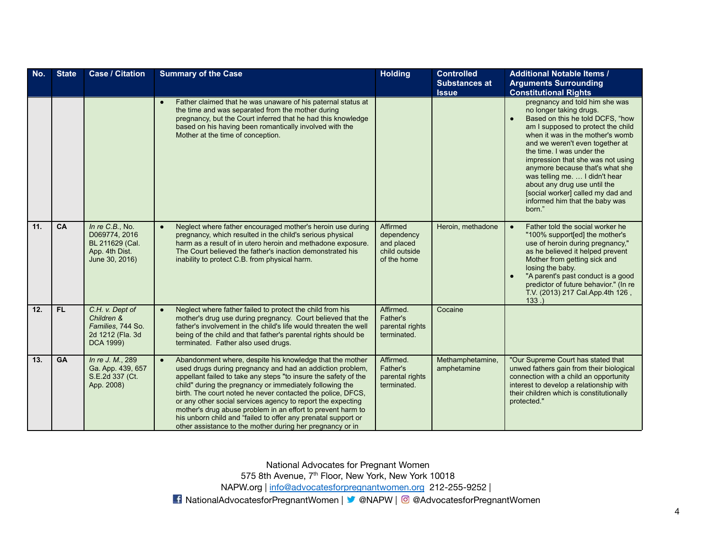| No. | <b>State</b> | <b>Case / Citation</b>                                                                  | <b>Summary of the Case</b>                                                                                                                                                                                                                                                                                                                                                                                                                                                                                                                                                                   | <b>Holding</b>                                                       | <b>Controlled</b><br><b>Substances at</b><br><b>Issue</b> | <b>Additional Notable Items /</b><br><b>Arguments Surrounding</b><br><b>Constitutional Rights</b>                                                                                                                                                                                                                                                                                                                                                                  |
|-----|--------------|-----------------------------------------------------------------------------------------|----------------------------------------------------------------------------------------------------------------------------------------------------------------------------------------------------------------------------------------------------------------------------------------------------------------------------------------------------------------------------------------------------------------------------------------------------------------------------------------------------------------------------------------------------------------------------------------------|----------------------------------------------------------------------|-----------------------------------------------------------|--------------------------------------------------------------------------------------------------------------------------------------------------------------------------------------------------------------------------------------------------------------------------------------------------------------------------------------------------------------------------------------------------------------------------------------------------------------------|
|     |              |                                                                                         | Father claimed that he was unaware of his paternal status at<br>the time and was separated from the mother during<br>pregnancy, but the Court inferred that he had this knowledge<br>based on his having been romantically involved with the<br>Mother at the time of conception.                                                                                                                                                                                                                                                                                                            |                                                                      |                                                           | pregnancy and told him she was<br>no longer taking drugs.<br>Based on this he told DCFS, "how<br>am I supposed to protect the child<br>when it was in the mother's womb<br>and we weren't even together at<br>the time. I was under the<br>impression that she was not using<br>anymore because that's what she<br>was telling me.  I didn't hear<br>about any drug use until the<br>[social worker] called my dad and<br>informed him that the baby was<br>born." |
| 11. | CA           | In re C.B., No.<br>D069774, 2016<br>BL 211629 (Cal.<br>App. 4th Dist.<br>June 30, 2016) | Neglect where father encouraged mother's heroin use during<br>pregnancy, which resulted in the child's serious physical<br>harm as a result of in utero heroin and methadone exposure.<br>The Court believed the father's inaction demonstrated his<br>inability to protect C.B. from physical harm.                                                                                                                                                                                                                                                                                         | Affirmed<br>dependency<br>and placed<br>child outside<br>of the home | Heroin, methadone                                         | Father told the social worker he<br>$\bullet$<br>"100% support[ed] the mother's<br>use of heroin during pregnancy,"<br>as he believed it helped prevent<br>Mother from getting sick and<br>losing the baby.<br>"A parent's past conduct is a good<br>predictor of future behavior." (In re<br>T.V. (2013) 217 Cal. App. 4th 126,<br>133.                                                                                                                           |
| 12. | FL.          | C.H. v. Dept of<br>Children &<br>Families, 744 So.<br>2d 1212 (Fla. 3d<br>DCA 1999)     | Neglect where father failed to protect the child from his<br>$\bullet$<br>mother's drug use during pregnancy. Court believed that the<br>father's involvement in the child's life would threaten the well<br>being of the child and that father's parental rights should be<br>terminated. Father also used drugs.                                                                                                                                                                                                                                                                           | Affirmed.<br>Father's<br>parental rights<br>terminated.              | Cocaine                                                   |                                                                                                                                                                                                                                                                                                                                                                                                                                                                    |
| 13. | <b>GA</b>    | In re J. M., 289<br>Ga. App. 439, 657<br>S.E.2d 337 (Ct.<br>App. 2008)                  | Abandonment where, despite his knowledge that the mother<br>$\bullet$<br>used drugs during pregnancy and had an addiction problem,<br>appellant failed to take any steps "to insure the safety of the<br>child" during the pregnancy or immediately following the<br>birth. The court noted he never contacted the police, DFCS,<br>or any other social services agency to report the expecting<br>mother's drug abuse problem in an effort to prevent harm to<br>his unborn child and "failed to offer any prenatal support or<br>other assistance to the mother during her pregnancy or in | Affirmed.<br>Father's<br>parental rights<br>terminated.              | Methamphetamine,<br>amphetamine                           | "Our Supreme Court has stated that<br>unwed fathers gain from their biological<br>connection with a child an opportunity<br>interest to develop a relationship with<br>their children which is constitutionally<br>protected."                                                                                                                                                                                                                                     |

575 8th Avenue, 7<sup>th</sup> Floor, New York, New York 10018

NAPW.org | [info@advocatesforpregnantwomen.org](mailto:info@advocatesforpregnantwomen.org) 212-255-9252 |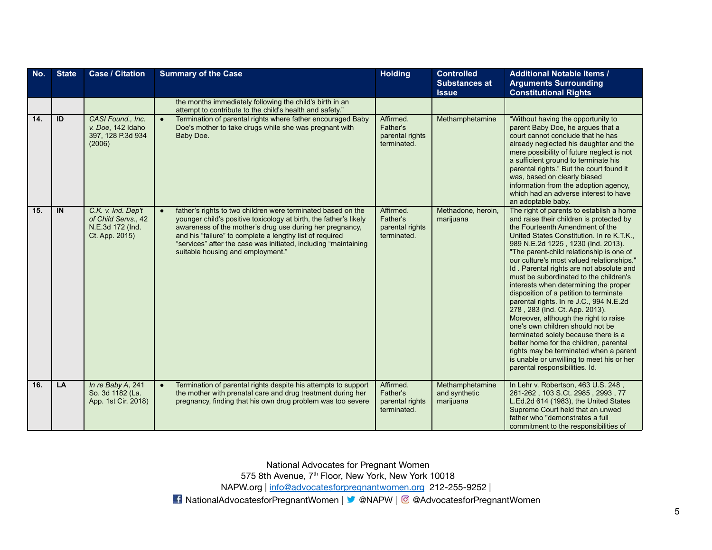| No. | <b>State</b> | <b>Case / Citation</b>                                                          | <b>Summary of the Case</b>                                                                                                                                                                                                                                                                                                                                                     | <b>Holding</b>                                          | <b>Controlled</b><br><b>Substances at</b><br><b>Issue</b> | <b>Additional Notable Items /</b><br><b>Arguments Surrounding</b><br><b>Constitutional Rights</b>                                                                                                                                                                                                                                                                                                                                                                                                                                                                                                                                                                                                                                                                                                                                                 |
|-----|--------------|---------------------------------------------------------------------------------|--------------------------------------------------------------------------------------------------------------------------------------------------------------------------------------------------------------------------------------------------------------------------------------------------------------------------------------------------------------------------------|---------------------------------------------------------|-----------------------------------------------------------|---------------------------------------------------------------------------------------------------------------------------------------------------------------------------------------------------------------------------------------------------------------------------------------------------------------------------------------------------------------------------------------------------------------------------------------------------------------------------------------------------------------------------------------------------------------------------------------------------------------------------------------------------------------------------------------------------------------------------------------------------------------------------------------------------------------------------------------------------|
|     |              |                                                                                 | the months immediately following the child's birth in an<br>attempt to contribute to the child's health and safety."                                                                                                                                                                                                                                                           |                                                         |                                                           |                                                                                                                                                                                                                                                                                                                                                                                                                                                                                                                                                                                                                                                                                                                                                                                                                                                   |
| 14. | ID           | CASI Found., Inc.<br>v. Doe, 142 Idaho<br>397, 128 P.3d 934<br>(2006)           | Termination of parental rights where father encouraged Baby<br>$\bullet$<br>Doe's mother to take drugs while she was pregnant with<br>Baby Doe.                                                                                                                                                                                                                                | Affirmed.<br>Father's<br>parental rights<br>terminated. | Methamphetamine                                           | "Without having the opportunity to<br>parent Baby Doe, he argues that a<br>court cannot conclude that he has<br>already neglected his daughter and the<br>mere possibility of future neglect is not<br>a sufficient ground to terminate his<br>parental rights." But the court found it<br>was, based on clearly biased<br>information from the adoption agency.<br>which had an adverse interest to have<br>an adoptable baby.                                                                                                                                                                                                                                                                                                                                                                                                                   |
| 15. | IN           | C.K. v. Ind. Dep't<br>of Child Servs., 42<br>N.E.3d 172 (Ind.<br>Ct. App. 2015) | father's rights to two children were terminated based on the<br>$\bullet$<br>younger child's positive toxicology at birth, the father's likely<br>awareness of the mother's drug use during her pregnancy.<br>and his "failure" to complete a lengthy list of required<br>"services" after the case was initiated, including "maintaining<br>suitable housing and employment." | Affirmed.<br>Father's<br>parental rights<br>terminated. | Methadone, heroin,<br>marijuana                           | The right of parents to establish a home<br>and raise their children is protected by<br>the Fourteenth Amendment of the<br>United States Constitution. In re K.T.K.,<br>989 N.E.2d 1225, 1230 (Ind. 2013).<br>"The parent-child relationship is one of<br>our culture's most valued relationships."<br>Id. Parental rights are not absolute and<br>must be subordinated to the children's<br>interests when determining the proper<br>disposition of a petition to terminate<br>parental rights. In re J.C., 994 N.E.2d<br>278, 283 (Ind. Ct. App. 2013).<br>Moreover, although the right to raise<br>one's own children should not be<br>terminated solely because there is a<br>better home for the children, parental<br>rights may be terminated when a parent<br>is unable or unwilling to meet his or her<br>parental responsibilities. Id. |
| 16. | LA           | In re Baby A, 241<br>So. 3d 1182 (La.<br>App. 1st Cir. 2018)                    | Termination of parental rights despite his attempts to support<br>$\bullet$<br>the mother with prenatal care and drug treatment during her<br>pregnancy, finding that his own drug problem was too severe                                                                                                                                                                      | Affirmed.<br>Father's<br>parental rights<br>terminated. | Methamphetamine<br>and synthetic<br>marijuana             | In Lehr v. Robertson, 463 U.S. 248,<br>261-262, 103 S.Ct. 2985, 2993, 77<br>L.Ed.2d 614 (1983), the United States<br>Supreme Court held that an unwed<br>father who "demonstrates a full<br>commitment to the responsibilities of                                                                                                                                                                                                                                                                                                                                                                                                                                                                                                                                                                                                                 |

575 8th Avenue, 7<sup>th</sup> Floor, New York, New York 10018

NAPW.org | [info@advocatesforpregnantwomen.org](mailto:info@advocatesforpregnantwomen.org) 212-255-9252 |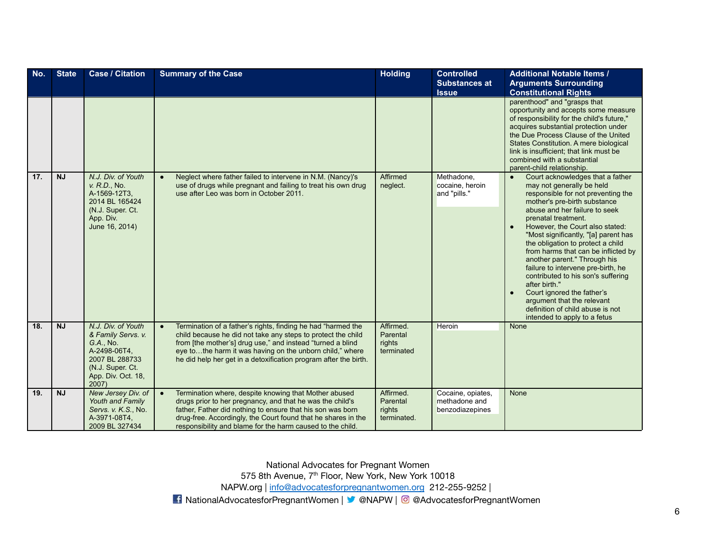| No. | <b>State</b> | <b>Case / Citation</b>                                                                                                                    | <b>Summary of the Case</b>                                                                                                                                                                                                                                                                                                              | <b>Holding</b>                                 | <b>Controlled</b>                                     | <b>Additional Notable Items /</b>                                                                                                                                                                                                                                                                                                                                                                                                                                                                                                                                                                                            |
|-----|--------------|-------------------------------------------------------------------------------------------------------------------------------------------|-----------------------------------------------------------------------------------------------------------------------------------------------------------------------------------------------------------------------------------------------------------------------------------------------------------------------------------------|------------------------------------------------|-------------------------------------------------------|------------------------------------------------------------------------------------------------------------------------------------------------------------------------------------------------------------------------------------------------------------------------------------------------------------------------------------------------------------------------------------------------------------------------------------------------------------------------------------------------------------------------------------------------------------------------------------------------------------------------------|
|     |              |                                                                                                                                           |                                                                                                                                                                                                                                                                                                                                         |                                                | <b>Substances at</b><br><b>Issue</b>                  | <b>Arguments Surrounding</b><br><b>Constitutional Rights</b>                                                                                                                                                                                                                                                                                                                                                                                                                                                                                                                                                                 |
|     |              |                                                                                                                                           |                                                                                                                                                                                                                                                                                                                                         |                                                |                                                       | parenthood" and "grasps that<br>opportunity and accepts some measure<br>of responsibility for the child's future."<br>acquires substantial protection under<br>the Due Process Clause of the United<br>States Constitution. A mere biological<br>link is insufficient; that link must be<br>combined with a substantial<br>parent-child relationship.                                                                                                                                                                                                                                                                        |
| 17. | <b>NJ</b>    | N.J. Div. of Youth<br>v. R.D., No.<br>A-1569-12T3,<br>2014 BL 165424<br>(N.J. Super. Ct.<br>App. Div.<br>June 16, 2014)                   | Neglect where father failed to intervene in N.M. (Nancy)'s<br>$\bullet$<br>use of drugs while pregnant and failing to treat his own drug<br>use after Leo was born in October 2011.                                                                                                                                                     | Affirmed<br>neglect.                           | Methadone.<br>cocaine, heroin<br>and "pills."         | Court acknowledges that a father<br>$\bullet$<br>may not generally be held<br>responsible for not preventing the<br>mother's pre-birth substance<br>abuse and her failure to seek<br>prenatal treatment.<br>However, the Court also stated:<br>"Most significantly, "[a] parent has<br>the obligation to protect a child<br>from harms that can be inflicted by<br>another parent." Through his<br>failure to intervene pre-birth, he<br>contributed to his son's suffering<br>after birth."<br>Court ignored the father's<br>argument that the relevant<br>definition of child abuse is not<br>intended to apply to a fetus |
| 18. | <b>NJ</b>    | N.J. Div. of Youth<br>& Family Servs. v.<br>G.A., No.<br>A-2498-06T4,<br>2007 BL 288733<br>(N.J. Super. Ct.<br>App. Div. Oct. 18,<br>2007 | Termination of a father's rights, finding he had "harmed the<br>$\bullet$<br>child because he did not take any steps to protect the child<br>from [the mother's] drug use," and instead "turned a blind<br>eye tothe harm it was having on the unborn child," where<br>he did help her get in a detoxification program after the birth. | Affirmed.<br>Parental<br>rights<br>terminated  | Heroin                                                | None                                                                                                                                                                                                                                                                                                                                                                                                                                                                                                                                                                                                                         |
| 19. | <b>NJ</b>    | New Jersey Div. of<br>Youth and Family<br>Servs. v. K.S., No.<br>A-3971-08T4,<br>2009 BL 327434                                           | Termination where, despite knowing that Mother abused<br>$\bullet$<br>drugs prior to her pregnancy, and that he was the child's<br>father. Father did nothing to ensure that his son was born<br>drug-free. Accordingly, the Court found that he shares in the<br>responsibility and blame for the harm caused to the child.            | Affirmed.<br>Parental<br>rights<br>terminated. | Cocaine, opiates,<br>methadone and<br>benzodiazepines | <b>None</b>                                                                                                                                                                                                                                                                                                                                                                                                                                                                                                                                                                                                                  |

575 8th Avenue, 7<sup>th</sup> Floor, New York, New York 10018

NAPW.org | [info@advocatesforpregnantwomen.org](mailto:info@advocatesforpregnantwomen.org) 212-255-9252 |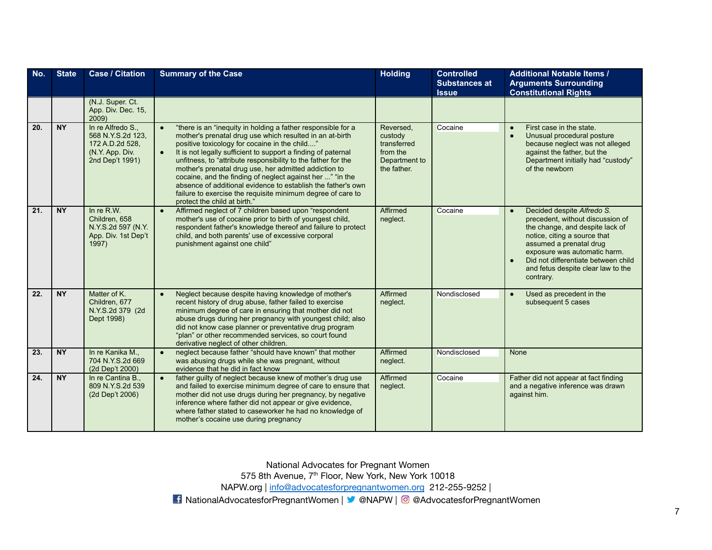| No. | <b>State</b> | <b>Case / Citation</b>                                                                          | <b>Summary of the Case</b>                                                                                                                                                                                                                                                                                                                                                                                                                                                                                                                                                                                                 | <b>Holding</b>                                                                  | <b>Controlled</b><br><b>Substances at</b><br><b>Issue</b> | <b>Additional Notable Items /</b><br><b>Arguments Surrounding</b><br><b>Constitutional Rights</b>                                                                                                                                                                                      |
|-----|--------------|-------------------------------------------------------------------------------------------------|----------------------------------------------------------------------------------------------------------------------------------------------------------------------------------------------------------------------------------------------------------------------------------------------------------------------------------------------------------------------------------------------------------------------------------------------------------------------------------------------------------------------------------------------------------------------------------------------------------------------------|---------------------------------------------------------------------------------|-----------------------------------------------------------|----------------------------------------------------------------------------------------------------------------------------------------------------------------------------------------------------------------------------------------------------------------------------------------|
|     |              | (N.J. Super. Ct.<br>App. Div. Dec. 15,<br>2009)                                                 |                                                                                                                                                                                                                                                                                                                                                                                                                                                                                                                                                                                                                            |                                                                                 |                                                           |                                                                                                                                                                                                                                                                                        |
| 20. | <b>NY</b>    | In re Alfredo S.,<br>568 N.Y.S.2d 123,<br>172 A.D.2d 528,<br>(N.Y. App. Div.<br>2nd Dep't 1991) | "there is an "inequity in holding a father responsible for a<br>$\bullet$<br>mother's prenatal drug use which resulted in an at-birth<br>positive toxicology for cocaine in the child"<br>It is not legally sufficient to support a finding of paternal<br>$\bullet$<br>unfitness, to "attribute responsibility to the father for the<br>mother's prenatal drug use, her admitted addiction to<br>cocaine, and the finding of neglect against her " "in the<br>absence of additional evidence to establish the father's own<br>failure to exercise the requisite minimum degree of care to<br>protect the child at birth." | Reversed,<br>custody<br>transferred<br>from the<br>Department to<br>the father. | Cocaine                                                   | First case in the state.<br>Unusual procedural posture<br>because neglect was not alleged<br>against the father, but the<br>Department initially had "custody"<br>of the newborn                                                                                                       |
| 21. | <b>NY</b>    | In re $R.W.$<br>Children, 658<br>N.Y.S.2d 597 (N.Y.<br>App. Div. 1st Dep't<br>1997)             | Affirmed neglect of 7 children based upon "respondent<br>$\bullet$<br>mother's use of cocaine prior to birth of youngest child,<br>respondent father's knowledge thereof and failure to protect<br>child, and both parents' use of excessive corporal<br>punishment against one child"                                                                                                                                                                                                                                                                                                                                     | Affirmed<br>neglect.                                                            | Cocaine                                                   | Decided despite Alfredo S.<br>precedent, without discussion of<br>the change, and despite lack of<br>notice, citing a source that<br>assumed a prenatal drug<br>exposure was automatic harm.<br>Did not differentiate between child<br>and fetus despite clear law to the<br>contrary. |
| 22. | <b>NY</b>    | Matter of K.<br>Children, 677<br>N.Y.S.2d 379 (2d)<br>Dept 1998)                                | Neglect because despite having knowledge of mother's<br>$\bullet$<br>recent history of drug abuse, father failed to exercise<br>minimum degree of care in ensuring that mother did not<br>abuse drugs during her pregnancy with youngest child; also<br>did not know case planner or preventative drug program<br>"plan" or other recommended services, so court found<br>derivative neglect of other children.                                                                                                                                                                                                            | Affirmed<br>neglect.                                                            | Nondisclosed                                              | Used as precedent in the<br>$\bullet$<br>subsequent 5 cases                                                                                                                                                                                                                            |
| 23. | NY           | In re Kanika M.,<br>704 N.Y.S.2d 669<br>(2d Dep't 2000)                                         | neglect because father "should have known" that mother<br>$\bullet$<br>was abusing drugs while she was pregnant, without<br>evidence that he did in fact know                                                                                                                                                                                                                                                                                                                                                                                                                                                              | Affirmed<br>neglect.                                                            | Nondisclosed                                              | None                                                                                                                                                                                                                                                                                   |
| 24. | <b>NY</b>    | In re Cantina B.,<br>809 N.Y.S.2d 539<br>(2d Dep't 2006)                                        | father guilty of neglect because knew of mother's drug use<br>and failed to exercise minimum degree of care to ensure that<br>mother did not use drugs during her pregnancy, by negative<br>inference where father did not appear or give evidence,<br>where father stated to caseworker he had no knowledge of<br>mother's cocaine use during pregnancy                                                                                                                                                                                                                                                                   | Affirmed<br>neglect.                                                            | Cocaine                                                   | Father did not appear at fact finding<br>and a negative inference was drawn<br>against him.                                                                                                                                                                                            |

575 8th Avenue, 7<sup>th</sup> Floor, New York, New York 10018

NAPW.org | [info@advocatesforpregnantwomen.org](mailto:info@advocatesforpregnantwomen.org) 212-255-9252 |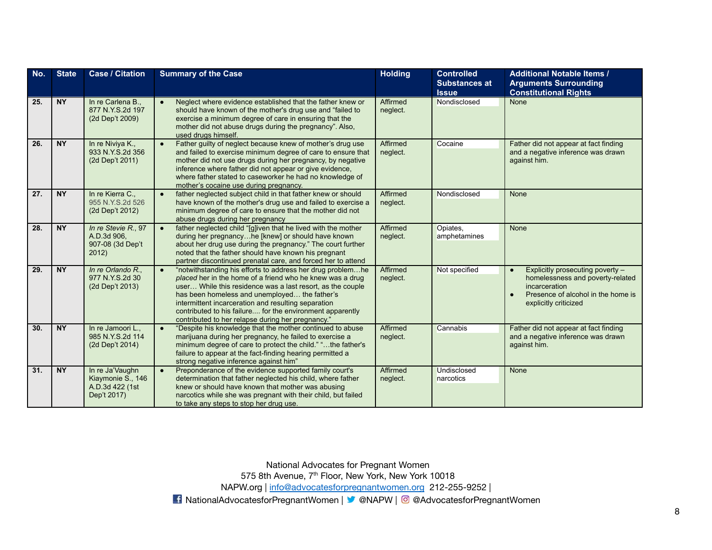| No. | <b>State</b> | <b>Case / Citation</b>                                                 | <b>Summary of the Case</b>                                                                                                                                                                                                                                                                                                                                                                                                   | <b>Holding</b>       | <b>Controlled</b><br><b>Substances at</b><br><b>Issue</b> | <b>Additional Notable Items /</b><br><b>Arguments Surrounding</b><br><b>Constitutional Rights</b>                                                    |
|-----|--------------|------------------------------------------------------------------------|------------------------------------------------------------------------------------------------------------------------------------------------------------------------------------------------------------------------------------------------------------------------------------------------------------------------------------------------------------------------------------------------------------------------------|----------------------|-----------------------------------------------------------|------------------------------------------------------------------------------------------------------------------------------------------------------|
| 25. | NY           | In re Carlena B.,<br>877 N.Y.S.2d 197<br>(2d Dep't 2009)               | Neglect where evidence established that the father knew or<br>$\bullet$<br>should have known of the mother's drug use and "failed to<br>exercise a minimum degree of care in ensuring that the<br>mother did not abuse drugs during the pregnancy". Also,<br>used drugs himself.                                                                                                                                             | Affirmed<br>neglect. | Nondisclosed                                              | <b>None</b>                                                                                                                                          |
| 26. | <b>NY</b>    | In re Niviya K.,<br>933 N.Y.S.2d 356<br>(2d Dep't 2011)                | Father guilty of neglect because knew of mother's drug use<br>$\bullet$<br>and failed to exercise minimum degree of care to ensure that<br>mother did not use drugs during her pregnancy, by negative<br>inference where father did not appear or give evidence,<br>where father stated to caseworker he had no knowledge of<br>mother's cocaine use during pregnancy.                                                       | Affirmed<br>neglect. | Cocaine                                                   | Father did not appear at fact finding<br>and a negative inference was drawn<br>against him.                                                          |
| 27. | <b>NY</b>    | In re Kierra C.,<br>955 N.Y.S.2d 526<br>(2d Dep't 2012)                | father neglected subject child in that father knew or should<br>$\bullet$<br>have known of the mother's drug use and failed to exercise a<br>minimum degree of care to ensure that the mother did not<br>abuse drugs during her pregnancy                                                                                                                                                                                    | Affirmed<br>neglect. | Nondisclosed                                              | None                                                                                                                                                 |
| 28. | <b>NY</b>    | In re Stevie R., 97<br>A.D.3d 906,<br>907-08 (3d Dep't<br>2012)        | father neglected child "[g]iven that he lived with the mother<br>$\bullet$<br>during her pregnancyhe [knew] or should have known<br>about her drug use during the pregnancy." The court further<br>noted that the father should have known his pregnant<br>partner discontinued prenatal care, and forced her to attend                                                                                                      | Affirmed<br>neglect. | Opiates,<br>amphetamines                                  | None                                                                                                                                                 |
| 29. | <b>NY</b>    | In re Orlando R<br>977 N.Y.S.2d 30<br>(2d Dep't 2013)                  | "notwithstanding his efforts to address her drug problemhe<br>$\bullet$<br>placed her in the home of a friend who he knew was a drug<br>user While this residence was a last resort, as the couple<br>has been homeless and unemployed the father's<br>intermittent incarceration and resulting separation<br>contributed to his failure for the environment apparently<br>contributed to her relapse during her pregnancy." | Affirmed<br>neglect. | Not specified                                             | Explicitly prosecuting poverty -<br>homelessness and poverty-related<br>incarceration<br>Presence of alcohol in the home is<br>explicitly criticized |
| 30. | <b>NY</b>    | In re Jamoori L.,<br>985 N.Y.S.2d 114<br>(2d Dep't 2014)               | "Despite his knowledge that the mother continued to abuse<br>$\bullet$<br>marijuana during her pregnancy, he failed to exercise a<br>minimum degree of care to protect the child." "the father's<br>failure to appear at the fact-finding hearing permitted a<br>strong negative inference against him"                                                                                                                      | Affirmed<br>neglect. | Cannabis                                                  | Father did not appear at fact finding<br>and a negative inference was drawn<br>against him.                                                          |
| 31. | <b>NY</b>    | In re Ja'Vaughn<br>Kiaymonie S., 146<br>A.D.3d 422 (1st<br>Dep't 2017) | Preponderance of the evidence supported family court's<br>$\bullet$<br>determination that father neglected his child, where father<br>knew or should have known that mother was abusing<br>narcotics while she was pregnant with their child, but failed<br>to take any steps to stop her drug use.                                                                                                                          | Affirmed<br>neglect. | <b>Undisclosed</b><br>narcotics                           | None                                                                                                                                                 |

National Advocates for Pregnant Women 575 8th Avenue, 7<sup>th</sup> Floor, New York, New York 10018 NAPW.org | [info@advocatesforpregnantwomen.org](mailto:info@advocatesforpregnantwomen.org) 212-255-9252 |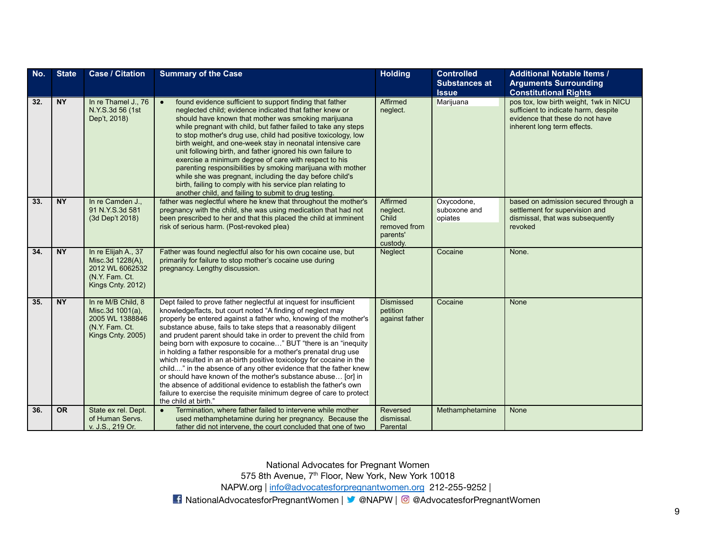| No. | <b>State</b> | <b>Case / Citation</b>                                                                            | <b>Summary of the Case</b>                                                                                                                                                                                                                                                                                                                                                                                                                                                                                                                                                                                                                                                                                                                                                                                                                                          | <b>Holding</b>                                                        | <b>Controlled</b><br><b>Substances at</b><br><b>Issue</b> | <b>Additional Notable Items /</b><br><b>Arguments Surrounding</b><br><b>Constitutional Rights</b>                                                |
|-----|--------------|---------------------------------------------------------------------------------------------------|---------------------------------------------------------------------------------------------------------------------------------------------------------------------------------------------------------------------------------------------------------------------------------------------------------------------------------------------------------------------------------------------------------------------------------------------------------------------------------------------------------------------------------------------------------------------------------------------------------------------------------------------------------------------------------------------------------------------------------------------------------------------------------------------------------------------------------------------------------------------|-----------------------------------------------------------------------|-----------------------------------------------------------|--------------------------------------------------------------------------------------------------------------------------------------------------|
| 32. | <b>NY</b>    | In re Thamel J., 76<br>N.Y.S.3d 56 (1st<br>Dep't, 2018)                                           | found evidence sufficient to support finding that father<br>$\bullet$<br>neglected child; evidence indicated that father knew or<br>should have known that mother was smoking marijuana<br>while pregnant with child, but father failed to take any steps<br>to stop mother's drug use, child had positive toxicology, low<br>birth weight, and one-week stay in neonatal intensive care<br>unit following birth, and father ignored his own failure to<br>exercise a minimum degree of care with respect to his<br>parenting responsibilities by smoking marijuana with mother<br>while she was pregnant, including the day before child's<br>birth, failing to comply with his service plan relating to<br>another child, and failing to submit to drug testing.                                                                                                  | Affirmed<br>neglect.                                                  | Marijuana                                                 | pos tox, low birth weight, 1wk in NICU<br>sufficient to indicate harm, despite<br>evidence that these do not have<br>inherent long term effects. |
| 33. | <b>NY</b>    | In re Camden J.,<br>91 N.Y.S.3d 581<br>(3d Dep't 2018)                                            | father was neglectful where he knew that throughout the mother's<br>pregnancy with the child, she was using medication that had not<br>been prescribed to her and that this placed the child at imminent<br>risk of serious harm. (Post-revoked plea)                                                                                                                                                                                                                                                                                                                                                                                                                                                                                                                                                                                                               | Affirmed<br>neglect.<br>Child<br>removed from<br>parents'<br>custody. | Oxycodone,<br>suboxone and<br>opiates                     | based on admission secured through a<br>settlement for supervision and<br>dismissal, that was subsequently<br>revoked                            |
| 34. | <b>NY</b>    | In re Elijah A., 37<br>Misc.3d 1228(A),<br>2012 WL 6062532<br>(N.Y. Fam. Ct.<br>Kings Cnty. 2012) | Father was found neglectful also for his own cocaine use, but<br>primarily for failure to stop mother's cocaine use during<br>pregnancy. Lengthy discussion.                                                                                                                                                                                                                                                                                                                                                                                                                                                                                                                                                                                                                                                                                                        | Neglect                                                               | Cocaine                                                   | None.                                                                                                                                            |
| 35. | <b>NY</b>    | In re M/B Child, 8<br>Misc.3d 1001(a),<br>2005 WL 1388846<br>(N.Y. Fam. Ct.<br>Kings Cnty. 2005)  | Dept failed to prove father neglectful at inquest for insufficient<br>knowledge/facts, but court noted "A finding of neglect may<br>properly be entered against a father who, knowing of the mother's<br>substance abuse, fails to take steps that a reasonably diligent<br>and prudent parent should take in order to prevent the child from<br>being born with exposure to cocaine" BUT "there is an "inequity<br>in holding a father responsible for a mother's prenatal drug use<br>which resulted in an at-birth positive toxicology for cocaine in the<br>child" in the absence of any other evidence that the father knew<br>or should have known of the mother's substance abuse [or] in<br>the absence of additional evidence to establish the father's own<br>failure to exercise the requisite minimum degree of care to protect<br>the child at birth." | <b>Dismissed</b><br>petition<br>against father                        | Cocaine                                                   | None                                                                                                                                             |
| 36. | <b>OR</b>    | State ex rel. Dept.<br>of Human Servs.<br>v. J.S., 219 Or.                                        | Termination, where father failed to intervene while mother<br>$\bullet$<br>used methamphetamine during her pregnancy. Because the<br>father did not intervene, the court concluded that one of two                                                                                                                                                                                                                                                                                                                                                                                                                                                                                                                                                                                                                                                                  | Reversed<br>dismissal.<br>Parental                                    | Methamphetamine                                           | None                                                                                                                                             |

575 8th Avenue, 7<sup>th</sup> Floor, New York, New York 10018

NAPW.org | [info@advocatesforpregnantwomen.org](mailto:info@advocatesforpregnantwomen.org) 212-255-9252 |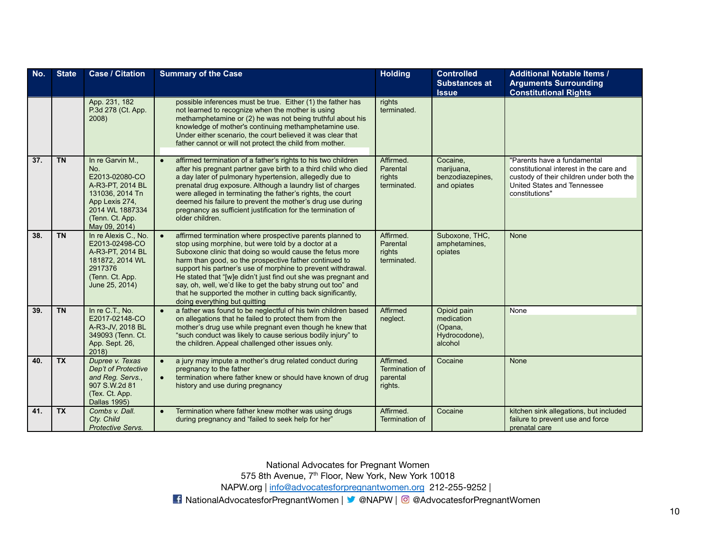| No. | <b>State</b> | <b>Case / Citation</b>                                                                                                                                    | <b>Summary of the Case</b>                                                                                                                                                                                                                                                                                                                                                                                                                                                                                                                            | <b>Holding</b>                                     | <b>Controlled</b><br><b>Substances at</b><br><b>Issue</b>        | <b>Additional Notable Items /</b><br><b>Arguments Surrounding</b><br><b>Constitutional Rights</b>                                                                   |
|-----|--------------|-----------------------------------------------------------------------------------------------------------------------------------------------------------|-------------------------------------------------------------------------------------------------------------------------------------------------------------------------------------------------------------------------------------------------------------------------------------------------------------------------------------------------------------------------------------------------------------------------------------------------------------------------------------------------------------------------------------------------------|----------------------------------------------------|------------------------------------------------------------------|---------------------------------------------------------------------------------------------------------------------------------------------------------------------|
|     |              | App. 231, 182<br>P.3d 278 (Ct. App.<br>2008)                                                                                                              | possible inferences must be true. Either (1) the father has<br>not learned to recognize when the mother is using<br>methamphetamine or (2) he was not being truthful about his<br>knowledge of mother's continuing methamphetamine use.<br>Under either scenario, the court believed it was clear that<br>father cannot or will not protect the child from mother.                                                                                                                                                                                    | rights<br>terminated.                              |                                                                  |                                                                                                                                                                     |
| 37. | <b>TN</b>    | In re Garvin M.,<br>No.<br>E2013-02080-CO<br>A-R3-PT, 2014 BL<br>131036, 2014 Tn<br>App Lexis 274,<br>2014 WL 1887334<br>(Tenn. Ct. App.<br>May 09, 2014) | affirmed termination of a father's rights to his two children<br>$\bullet$<br>after his pregnant partner gave birth to a third child who died<br>a day later of pulmonary hypertension, allegedly due to<br>prenatal drug exposure. Although a laundry list of charges<br>were alleged in terminating the father's rights, the court<br>deemed his failure to prevent the mother's drug use during<br>pregnancy as sufficient justification for the termination of<br>older children.                                                                 | Affirmed.<br>Parental<br>rights<br>terminated.     | Cocaine.<br>marijuana,<br>benzodiazepines,<br>and opiates        | "Parents have a fundamental<br>constitutional interest in the care and<br>custody of their children under both the<br>United States and Tennessee<br>constitutions" |
| 38. | <b>TN</b>    | In re Alexis C., No.<br>E2013-02498-CO<br>A-R3-PT, 2014 BL<br>181872, 2014 WL<br>2917376<br>(Tenn. Ct. App.<br>June 25, 2014)                             | affirmed termination where prospective parents planned to<br>$\bullet$<br>stop using morphine, but were told by a doctor at a<br>Suboxone clinic that doing so would cause the fetus more<br>harm than good, so the prospective father continued to<br>support his partner's use of morphine to prevent withdrawal.<br>He stated that "[w]e didn't just find out she was pregnant and<br>say, oh, well, we'd like to get the baby strung out too" and<br>that he supported the mother in cutting back significantly,<br>doing everything but quitting | Affirmed.<br>Parental<br>rights<br>terminated.     | Suboxone, THC,<br>amphetamines,<br>opiates                       | <b>None</b>                                                                                                                                                         |
| 39. | <b>TN</b>    | In re C.T., No.<br>E2017-02148-CO<br>A-R3-JV, 2018 BL<br>349093 (Tenn. Ct.<br>App. Sept. 26,<br>2018                                                      | a father was found to be neglectful of his twin children based<br>$\bullet$<br>on allegations that he failed to protect them from the<br>mother's drug use while pregnant even though he knew that<br>"such conduct was likely to cause serious bodily injury" to<br>the children. Appeal challenged other issues only.                                                                                                                                                                                                                               | Affirmed<br>neglect.                               | Opioid pain<br>medication<br>(Opana,<br>Hydrocodone),<br>alcohol | <b>None</b>                                                                                                                                                         |
| 40. | <b>TX</b>    | Dupree v. Texas<br>Dep't of Protective<br>and Reg. Servs.,<br>907 S.W.2d 81<br>(Tex. Ct. App.<br>Dallas 1995)                                             | a jury may impute a mother's drug related conduct during<br>$\bullet$<br>pregnancy to the father<br>termination where father knew or should have known of drug<br>$\bullet$<br>history and use during pregnancy                                                                                                                                                                                                                                                                                                                                       | Affirmed.<br>Termination of<br>parental<br>rights. | Cocaine                                                          | <b>None</b>                                                                                                                                                         |
| 41. | <b>TX</b>    | Combs v. Dall.<br>Cty. Child<br>Protective Servs.                                                                                                         | Termination where father knew mother was using drugs<br>$\bullet$<br>during pregnancy and "failed to seek help for her"                                                                                                                                                                                                                                                                                                                                                                                                                               | Affirmed.<br>Termination of                        | Cocaine                                                          | kitchen sink allegations, but included<br>failure to prevent use and force<br>prenatal care                                                                         |

575 8th Avenue, 7<sup>th</sup> Floor, New York, New York 10018

NAPW.org | [info@advocatesforpregnantwomen.org](mailto:info@advocatesforpregnantwomen.org) 212-255-9252 |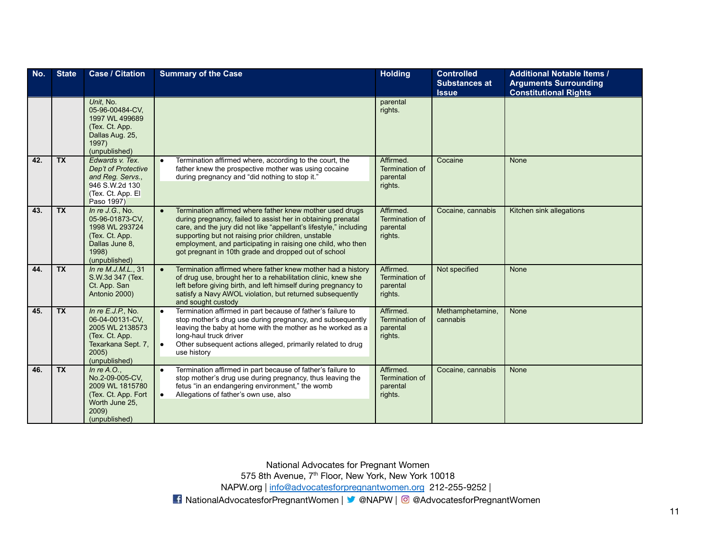| No. | <b>State</b> | <b>Case / Citation</b>                                                                                                      | <b>Summary of the Case</b>                                                                                                                                                                                                                                                                                                                                                                 | <b>Holding</b>                                     | <b>Controlled</b><br><b>Substances at</b> | <b>Additional Notable Items /</b><br><b>Arguments Surrounding</b> |
|-----|--------------|-----------------------------------------------------------------------------------------------------------------------------|--------------------------------------------------------------------------------------------------------------------------------------------------------------------------------------------------------------------------------------------------------------------------------------------------------------------------------------------------------------------------------------------|----------------------------------------------------|-------------------------------------------|-------------------------------------------------------------------|
|     |              |                                                                                                                             |                                                                                                                                                                                                                                                                                                                                                                                            |                                                    | <b>Issue</b>                              | <b>Constitutional Rights</b>                                      |
|     |              | Unit, No.<br>05-96-00484-CV,<br>1997 WL 499689<br>(Tex. Ct. App.<br>Dallas Aug. 25,<br>1997)<br>(unpublished)               |                                                                                                                                                                                                                                                                                                                                                                                            | parental<br>rights.                                |                                           |                                                                   |
| 42. | <b>TX</b>    | Edwards v. Tex.<br>Dep't of Protective<br>and Reg. Servs.,<br>946 S.W.2d 130<br>(Tex. Ct. App. El<br>Paso 1997)             | Termination affirmed where, according to the court, the<br>$\bullet$<br>father knew the prospective mother was using cocaine<br>during pregnancy and "did nothing to stop it."                                                                                                                                                                                                             | Affirmed.<br>Termination of<br>parental<br>rights. | Cocaine                                   | None                                                              |
| 43. | <b>TX</b>    | In $re$ J.G., No.<br>05-96-01873-CV,<br>1998 WL 293724<br>(Tex. Ct. App.<br>Dallas June 8,<br>1998)<br>(unpublished)        | Termination affirmed where father knew mother used drugs<br>$\bullet$<br>during pregnancy, failed to assist her in obtaining prenatal<br>care, and the jury did not like "appellant's lifestyle," including<br>supporting but not raising prior children, unstable<br>employment, and participating in raising one child, who then<br>got pregnant in 10th grade and dropped out of school | Affirmed.<br>Termination of<br>parental<br>rights. | Cocaine, cannabis                         | Kitchen sink allegations                                          |
| 44. | <b>TX</b>    | In re M.J.M.L., 31<br>S.W.3d 347 (Tex.<br>Ct. App. San<br>Antonio 2000)                                                     | Termination affirmed where father knew mother had a history<br>$\bullet$<br>of drug use, brought her to a rehabilitation clinic, knew she<br>left before giving birth, and left himself during pregnancy to<br>satisfy a Navy AWOL violation, but returned subsequently<br>and sought custody                                                                                              | Affirmed.<br>Termination of<br>parental<br>rights. | Not specified                             | None                                                              |
| 45. | <b>TX</b>    | In $re E.J.P., No.$<br>06-04-00131-CV,<br>2005 WL 2138573<br>(Tex. Ct. App.<br>Texarkana Sept. 7,<br>2005)<br>(unpublished) | Termination affirmed in part because of father's failure to<br>$\bullet$<br>stop mother's drug use during pregnancy, and subsequently<br>leaving the baby at home with the mother as he worked as a<br>long-haul truck driver<br>Other subsequent actions alleged, primarily related to drug<br>$\bullet$<br>use history                                                                   | Affirmed.<br>Termination of<br>parental<br>rights. | Methamphetamine,<br>cannabis              | <b>None</b>                                                       |
| 46. | TX           | In $re A.O.,$<br>No.2-09-005-CV.<br>2009 WL 1815780<br>(Tex. Ct. App. Fort<br>Worth June 25,<br>2009)<br>(unpublished)      | Termination affirmed in part because of father's failure to<br>$\bullet$<br>stop mother's drug use during pregnancy, thus leaving the<br>fetus "in an endangering environment," the womb<br>Allegations of father's own use, also<br>$\bullet$                                                                                                                                             | Affirmed.<br>Termination of<br>parental<br>rights. | Cocaine, cannabis                         | <b>None</b>                                                       |

575 8th Avenue, 7<sup>th</sup> Floor, New York, New York 10018

NAPW.org | [info@advocatesforpregnantwomen.org](mailto:info@advocatesforpregnantwomen.org) 212-255-9252 |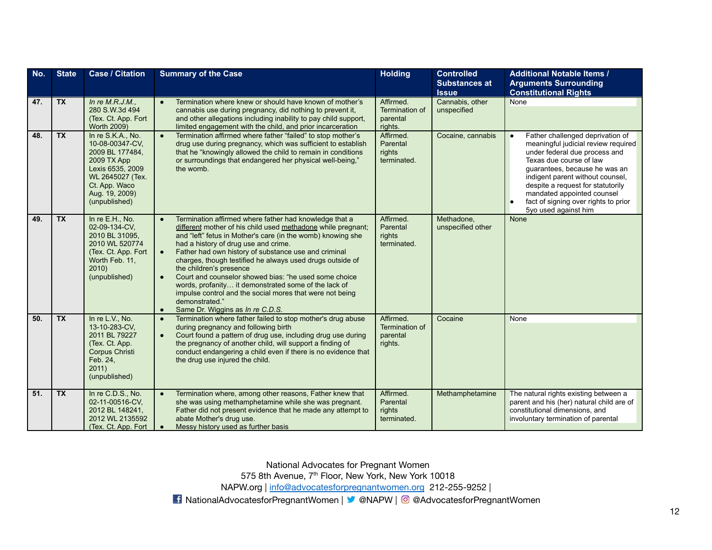| No. | <b>State</b>    | <b>Case / Citation</b>                                                                                                                                             | <b>Summary of the Case</b>                                                                                                                                                                                                                                                                                                                                                                                                                                                                                                                                                                                                                                           | <b>Holding</b>                                     | <b>Controlled</b><br><b>Substances at</b> | <b>Additional Notable Items /</b><br><b>Arguments Surrounding</b>                                                                                                                                                                                                                                                                           |
|-----|-----------------|--------------------------------------------------------------------------------------------------------------------------------------------------------------------|----------------------------------------------------------------------------------------------------------------------------------------------------------------------------------------------------------------------------------------------------------------------------------------------------------------------------------------------------------------------------------------------------------------------------------------------------------------------------------------------------------------------------------------------------------------------------------------------------------------------------------------------------------------------|----------------------------------------------------|-------------------------------------------|---------------------------------------------------------------------------------------------------------------------------------------------------------------------------------------------------------------------------------------------------------------------------------------------------------------------------------------------|
|     |                 |                                                                                                                                                                    |                                                                                                                                                                                                                                                                                                                                                                                                                                                                                                                                                                                                                                                                      |                                                    | <b>Issue</b>                              | <b>Constitutional Rights</b>                                                                                                                                                                                                                                                                                                                |
| 47. | $\overline{TX}$ | In re $M.R.J.M.,$<br>280 S.W.3d 494<br>(Tex. Ct. App. Fort)<br>Worth 2009)                                                                                         | Termination where knew or should have known of mother's<br>$\bullet$<br>cannabis use during pregnancy, did nothing to prevent it,<br>and other allegations including inability to pay child support,<br>limited engagement with the child, and prior incarceration                                                                                                                                                                                                                                                                                                                                                                                                   | Affirmed.<br>Termination of<br>parental<br>rights. | Cannabis, other<br>unspecified            | <b>None</b>                                                                                                                                                                                                                                                                                                                                 |
| 48. | <b>TX</b>       | In re S.K.A., No.<br>10-08-00347-CV,<br>2009 BL 177484.<br>2009 TX App<br>Lexis 6535, 2009<br>WL 2645027 (Tex.<br>Ct. App. Waco<br>Aug. 19, 2009)<br>(unpublished) | Termination affirmed where father "failed" to stop mother's<br>$\bullet$<br>drug use during pregnancy, which was sufficient to establish<br>that he "knowingly allowed the child to remain in conditions<br>or surroundings that endangered her physical well-being."<br>the womb.                                                                                                                                                                                                                                                                                                                                                                                   | Affirmed.<br>Parental<br>rights<br>terminated.     | Cocaine, cannabis                         | Father challenged deprivation of<br>meaningful judicial review required<br>under federal due process and<br>Texas due course of law<br>quarantees, because he was an<br>indigent parent without counsel,<br>despite a request for statutorily<br>mandated appointed counsel<br>fact of signing over rights to prior<br>5yo used against him |
| 49. | <b>TX</b>       | In re E.H., No.<br>02-09-134-CV,<br>2010 BL 31095,<br>2010 WL 520774<br>(Tex. Ct. App. Fort)<br>Worth Feb. 11,<br>2010)<br>(unpublished)                           | Termination affirmed where father had knowledge that a<br>$\bullet$<br>different mother of his child used methadone while pregnant;<br>and "left" fetus in Mother's care (in the womb) knowing she<br>had a history of drug use and crime.<br>Father had own history of substance use and criminal<br>$\bullet$<br>charges, though testified he always used drugs outside of<br>the children's presence<br>Court and counselor showed bias: "he used some choice<br>$\bullet$<br>words, profanity it demonstrated some of the lack of<br>impulse control and the social mores that were not being<br>demonstrated."<br>Same Dr. Wiggins as In re C.D.S.<br>$\bullet$ | Affirmed.<br>Parental<br>rights<br>terminated.     | Methadone.<br>unspecified other           | None                                                                                                                                                                                                                                                                                                                                        |
| 50. | <b>TX</b>       | In re L.V., No.<br>13-10-283-CV.<br>2011 BL 79227<br>(Tex. Ct. App.<br>Corpus Christi<br>Feb. 24,<br>2011)<br>(unpublished)                                        | Termination where father failed to stop mother's drug abuse<br>$\bullet$<br>during pregnancy and following birth<br>Court found a pattern of drug use, including drug use during<br>$\bullet$<br>the pregnancy of another child, will support a finding of<br>conduct endangering a child even if there is no evidence that<br>the drug use injured the child.                                                                                                                                                                                                                                                                                                       | Affirmed.<br>Termination of<br>parental<br>rights. | Cocaine                                   | <b>None</b>                                                                                                                                                                                                                                                                                                                                 |
| 51. | <b>TX</b>       | In re C.D.S., No.<br>02-11-00516-CV,<br>2012 BL 148241,<br>2012 WL 2135592<br>(Tex. Ct. App. Fort)                                                                 | Termination where, among other reasons, Father knew that<br>$\bullet$<br>she was using methamphetamine while she was pregnant.<br>Father did not present evidence that he made any attempt to<br>abate Mother's drug use.<br>Messy history used as further basis<br>$\bullet$                                                                                                                                                                                                                                                                                                                                                                                        | Affirmed.<br>Parental<br>rights<br>terminated.     | Methamphetamine                           | The natural rights existing between a<br>parent and his (her) natural child are of<br>constitutional dimensions, and<br>involuntary termination of parental                                                                                                                                                                                 |

575 8th Avenue, 7<sup>th</sup> Floor, New York, New York 10018

NAPW.org | [info@advocatesforpregnantwomen.org](mailto:info@advocatesforpregnantwomen.org) 212-255-9252 |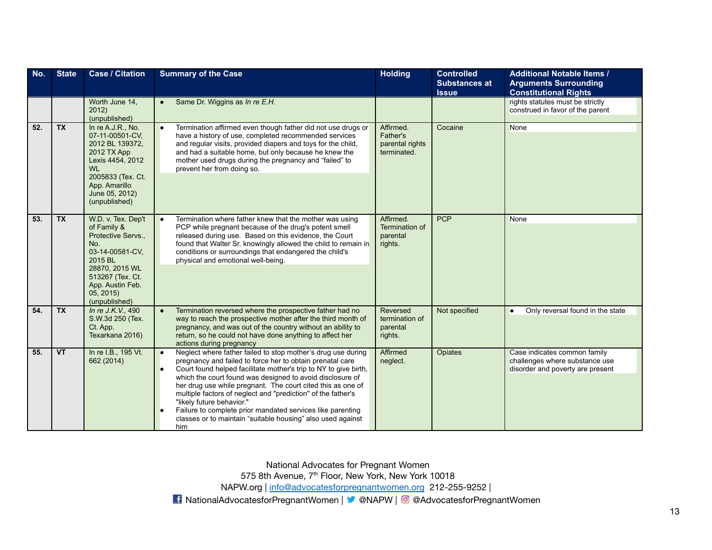| No. | <b>State</b>                      | <b>Case / Citation</b>                                                                                                                                                              | <b>Summary of the Case</b>                                                                                                                                                                                                                                                                                                                                                                                                                                                                                                                                              | <b>Holding</b>                                          | <b>Controlled</b><br><b>Substances at</b><br><b>Issue</b> | <b>Additional Notable Items /</b><br><b>Arguments Surrounding</b><br><b>Constitutional Rights</b>  |
|-----|-----------------------------------|-------------------------------------------------------------------------------------------------------------------------------------------------------------------------------------|-------------------------------------------------------------------------------------------------------------------------------------------------------------------------------------------------------------------------------------------------------------------------------------------------------------------------------------------------------------------------------------------------------------------------------------------------------------------------------------------------------------------------------------------------------------------------|---------------------------------------------------------|-----------------------------------------------------------|----------------------------------------------------------------------------------------------------|
|     |                                   | Worth June 14,<br>2012)<br>(unpublished)                                                                                                                                            | Same Dr. Wiggins as In re E.H.<br>$\bullet$                                                                                                                                                                                                                                                                                                                                                                                                                                                                                                                             |                                                         |                                                           | rights statutes must be strictly<br>construed in favor of the parent                               |
| 52. | <b>TX</b>                         | In re A.J.R., No.<br>07-11-00501-CV,<br>2012 BL 139372,<br>2012 TX App<br>Lexis 4454, 2012<br>WL.<br>2005833 (Tex. Ct.<br>App. Amarillo<br>June 05, 2012)<br>(unpublished)          | Termination affirmed even though father did not use drugs or<br>$\bullet$<br>have a history of use, completed recommended services<br>and regular visits, provided diapers and toys for the child,<br>and had a suitable home, but only because he knew the<br>mother used drugs during the pregnancy and "failed" to<br>prevent her from doing so.                                                                                                                                                                                                                     | Affirmed.<br>Father's<br>parental rights<br>terminated. | Cocaine                                                   | <b>None</b>                                                                                        |
| 53. | <b>TX</b>                         | W.D. v. Tex. Dep't<br>of Family &<br>Protective Servs.,<br>No.<br>03-14-00581-CV,<br>2015 BL<br>28870, 2015 WL<br>513267 (Tex. Ct.<br>App. Austin Feb.<br>05, 2015<br>(unpublished) | Termination where father knew that the mother was using<br>$\bullet$<br>PCP while pregnant because of the drug's potent smell<br>released during use. Based on this evidence, the Court<br>found that Walter Sr. knowingly allowed the child to remain in<br>conditions or surroundings that endangered the child's<br>physical and emotional well-being.                                                                                                                                                                                                               | Affirmed.<br>Termination of<br>parental<br>rights.      | <b>PCP</b>                                                | None                                                                                               |
| 54. | <b>TX</b>                         | In re J.K.V., 490<br>S.W.3d 250 (Tex.<br>Ct. App.<br>Texarkana 2016)                                                                                                                | Termination reversed where the prospective father had no<br>$\bullet$<br>way to reach the prospective mother after the third month of<br>pregnancy, and was out of the country without an ability to<br>return, so he could not have done anything to affect her<br>actions during pregnancy                                                                                                                                                                                                                                                                            | Reversed<br>termination of<br>parental<br>rights.       | Not specified                                             | Only reversal found in the state<br>$\bullet$                                                      |
| 55. | $\overline{\mathsf{V}\mathsf{T}}$ | In re I.B., 195 Vt.<br>662 (2014)                                                                                                                                                   | Neglect where father failed to stop mother's drug use during<br>$\bullet$<br>pregnancy and failed to force her to obtain prenatal care<br>Court found helped facilitate mother's trip to NY to give birth,<br>which the court found was designed to avoid disclosure of<br>her drug use while pregnant. The court cited this as one of<br>multiple factors of neglect and "prediction" of the father's<br>"likely future behavior."<br>Failure to complete prior mandated services like parenting<br>classes or to maintain "suitable housing" also used against<br>him | <b>Affirmed</b><br>neglect.                             | <b>Opiates</b>                                            | Case indicates common family<br>challenges where substance use<br>disorder and poverty are present |

575 8th Avenue, 7<sup>th</sup> Floor, New York, New York 10018

NAPW.org | [info@advocatesforpregnantwomen.org](mailto:info@advocatesforpregnantwomen.org) 212-255-9252 |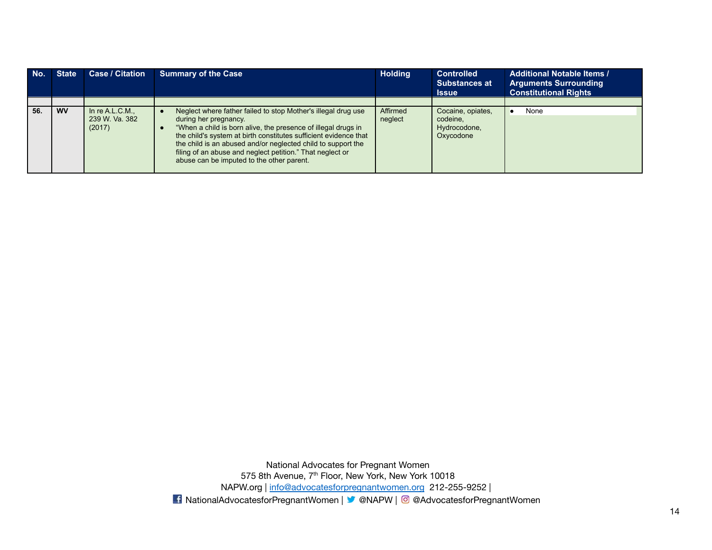| No. | <b>State</b> | <b>Case / Citation</b>                        | <b>Summary of the Case</b>                                                                                                                                                                                                                                                                                                                                                                            | <b>Holding</b>      | <b>Controlled</b><br><b>Substances at</b><br><b>Issue</b>  | <b>Additional Notable Items /</b><br><b>Arguments Surrounding</b><br><b>Constitutional Rights</b> |
|-----|--------------|-----------------------------------------------|-------------------------------------------------------------------------------------------------------------------------------------------------------------------------------------------------------------------------------------------------------------------------------------------------------------------------------------------------------------------------------------------------------|---------------------|------------------------------------------------------------|---------------------------------------------------------------------------------------------------|
|     |              |                                               |                                                                                                                                                                                                                                                                                                                                                                                                       |                     |                                                            |                                                                                                   |
| 56. | <b>WV</b>    | In re $A.L.C.M.,$<br>239 W. Va. 382<br>(2017) | Neglect where father failed to stop Mother's illegal drug use<br>during her pregnancy.<br>"When a child is born alive, the presence of illegal drugs in<br>the child's system at birth constitutes sufficient evidence that<br>the child is an abused and/or neglected child to support the<br>filing of an abuse and neglect petition." That neglect or<br>abuse can be imputed to the other parent. | Affirmed<br>neglect | Cocaine, opiates,<br>codeine.<br>Hydrocodone,<br>Oxycodone | None                                                                                              |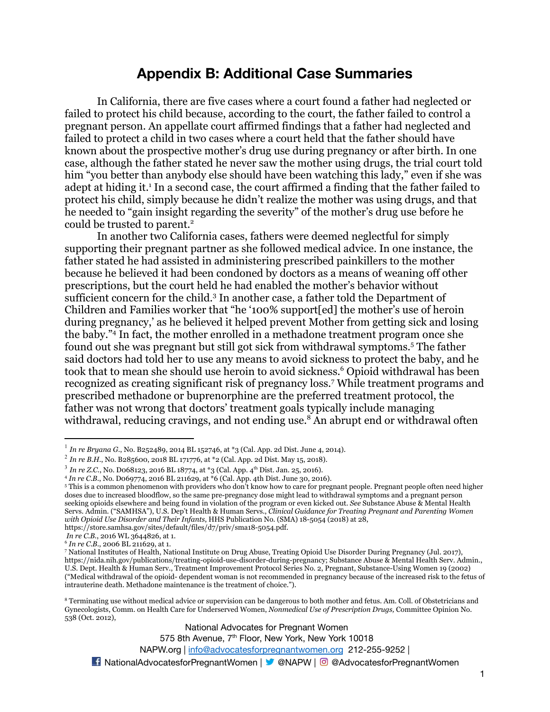### **Appendix B: Additional Case Summaries**

In California, there are five cases where a court found a father had neglected or failed to protect his child because, according to the court, the father failed to control a pregnant person. An appellate court affirmed findings that a father had neglected and failed to protect a child in two cases where a court held that the father should have known about the prospective mother's drug use during pregnancy or after birth. In one case, although the father stated he never saw the mother using drugs, the trial court told him "you better than anybody else should have been watching this lady," even if she was adept at hiding it.<sup>1</sup> In a second case, the court affirmed a finding that the father failed to protect his child, simply because he didn't realize the mother was using drugs, and that he needed to "gain insight regarding the severity" of the mother's drug use before he could be trusted to parent.<sup>2</sup>

In another two California cases, fathers were deemed neglectful for simply supporting their pregnant partner as she followed medical advice. In one instance, the father stated he had assisted in administering prescribed painkillers to the mother because he believed it had been condoned by doctors as a means of weaning off other prescriptions, but the court held he had enabled the mother's behavior without sufficient concern for the child.<sup>3</sup> In another case, a father told the Department of Children and Families worker that "he '100% support[ed] the mother's use of heroin during pregnancy,' as he believed it helped prevent Mother from getting sick and losing the baby."<sup>4</sup> In fact, the mother enrolled in a methadone treatment program once she found out she was pregnant but still got sick from withdrawal symptoms.<sup>5</sup> The father said doctors had told her to use any means to avoid sickness to protect the baby, and he took that to mean she should use heroin to avoid sickness.<sup>6</sup> Opioid withdrawal has been recognized as creating significant risk of pregnancy loss.<sup>7</sup> While treatment programs and prescribed methadone or buprenorphine are the preferred treatment protocol, the father was not wrong that doctors' treatment goals typically include managing withdrawal, reducing cravings, and not ending use.<sup>8</sup> An abrupt end or withdrawal often

National Advocates for Pregnant Women

575 8th Avenue, 7<sup>th</sup> Floor, New York, New York 10018

NAPW.org | [info@advocatesforpregnantwomen.org](mailto:info@advocatesforpregnantwomen.org) 212-255-9252 |

<sup>1</sup> *In re Bryana G.*, No. B252489, 2014 BL 152746, at \*3 (Cal. App. 2d Dist. June 4, 2014).

<sup>2</sup> *In re B.H.*, No. B285600, 2018 BL 171776, at \*2 (Cal. App. 2d Dist. May 15, 2018).

<sup>&</sup>lt;sup>3</sup> In re Z.C., No. D068123, 2016 BL 18774, at \*3 (Cal. App. 4<sup>th</sup> Dist. Jan. 25, 2016).

<sup>4</sup> *In re C.B.*, No. D069774, 2016 BL 211629, at \*6 (Cal. App. 4th Dist. June 30, 2016).

<sup>&</sup>lt;sup>5</sup> This is a common phenomenon with providers who don't know how to care for pregnant people. Pregnant people often need higher doses due to increased bloodflow, so the same pre-pregnancy dose might lead to withdrawal symptoms and a pregnant person seeking opioids elsewhere and being found in violation of the program or even kicked out. *See* Substance Abuse & Mental Health Servs. Admin. ("SAMHSA"), U.S. Dep't Health & Human Servs., *Clinical Guidance for Treating Pregnant and Parenting Women with Opioid Use Disorder and Their Infants*, HHS Publication No. (SMA) 18-5054 (2018) at 28, https://store.samhsa.gov/sites/default/files/d7/priv/sma18-5054.pdf.

*In re C.B.*, 2016 WL 3644826, at 1.

<sup>6</sup> *In re C.B.*, 2006 BL 211629, at 1.

<sup>7</sup> National Institutes of Health, National Institute on Drug Abuse, Treating Opioid Use Disorder During Pregnancy (Jul. 2017), https://nida.nih.gov/publications/treating-opioid-use-disorder-during-pregnancy; Substance Abuse & Mental Health Serv. Admin., U.S. Dept. Health & Human Serv., Treatment Improvement Protocol Series No. 2, Pregnant, Substance-Using Women 19 (2002) ("Medical withdrawal of the opioid- dependent woman is not recommended in pregnancy because of the increased risk to the fetus of intrauterine death. Methadone maintenance is the treatment of choice.").

<sup>8</sup> Terminating use without medical advice or supervision can be dangerous to both mother and fetus. Am. Coll. of Obstetricians and Gynecologists, Comm. on Health Care for Underserved Women, *Nonmedical Use of Prescription Drugs,* Committee Opinion No. 538 (Oct. 2012),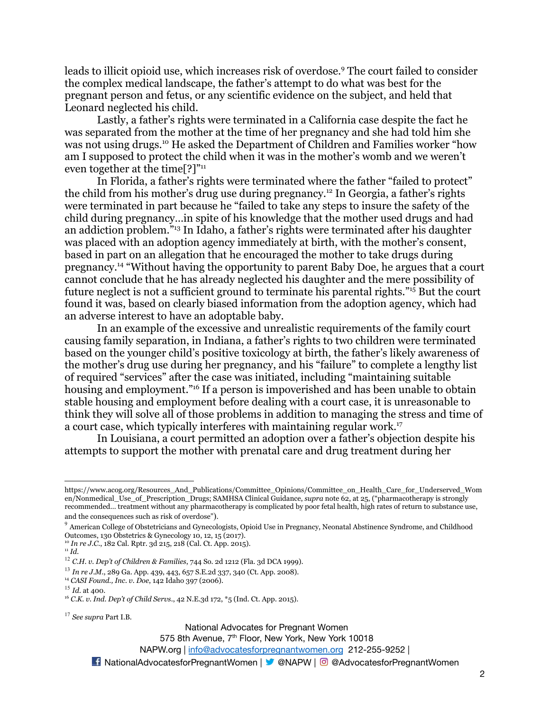leads to illicit opioid use, which increases risk of overdose.<sup>9</sup> The court failed to consider the complex medical landscape, the father's attempt to do what was best for the pregnant person and fetus, or any scientific evidence on the subject, and held that Leonard neglected his child.

Lastly, a father's rights were terminated in a California case despite the fact he was separated from the mother at the time of her pregnancy and she had told him she was not using drugs.<sup>10</sup> He asked the Department of Children and Families worker "how am I supposed to protect the child when it was in the mother's womb and we weren't even together at the time[?]"<sup>11</sup>

In Florida, a father's rights were terminated where the father "failed to protect" the child from his mother's drug use during pregnancy.<sup>12</sup> In Georgia, a father's rights were terminated in part because he "failed to take any steps to insure the safety of the child during pregnancy…in spite of his knowledge that the mother used drugs and had an addiction problem."<sup>13</sup> In Idaho, a father's rights were terminated after his daughter was placed with an adoption agency immediately at birth, with the mother's consent, based in part on an allegation that he encouraged the mother to take drugs during pregnancy.<sup>14</sup> "Without having the opportunity to parent Baby Doe, he argues that a court cannot conclude that he has already neglected his daughter and the mere possibility of future neglect is not a sufficient ground to terminate his parental rights."<sup>15</sup> But the court found it was, based on clearly biased information from the adoption agency, which had an adverse interest to have an adoptable baby.

In an example of the excessive and unrealistic requirements of the family court causing family separation, in Indiana, a father's rights to two children were terminated based on the younger child's positive toxicology at birth, the father's likely awareness of the mother's drug use during her pregnancy, and his "failure" to complete a lengthy list of required "services" after the case was initiated, including "maintaining suitable housing and employment."<sup>16</sup> If a person is impoverished and has been unable to obtain stable housing and employment before dealing with a court case, it is unreasonable to think they will solve all of those problems in addition to managing the stress and time of a court case, which typically interferes with maintaining regular work.<sup>17</sup>

In Louisiana, a court permitted an adoption over a father's objection despite his attempts to support the mother with prenatal care and drug treatment during her

<sup>10</sup> *In re J.C.*, 182 Cal. Rptr. 3d 215, 218 (Cal. Ct. App. 2015).

National Advocates for Pregnant Women

575 8th Avenue, 7<sup>th</sup> Floor, New York, New York 10018

https://www.acog.org/Resources\_And\_Publications/Committee\_Opinions/Committee\_on\_Health\_Care\_for\_Underserved\_Wom en/Nonmedical\_Use\_of\_Prescription\_Drugs; SAMHSA Clinical Guidance, *supra* note 62, at 25, ("pharmacotherapy is strongly recommended… treatment without any pharmacotherapy is complicated by poor fetal health, high rates of return to substance use, and the consequences such as risk of overdose").

 $9$  American College of Obstetricians and Gynecologists, Opioid Use in Pregnancy, Neonatal Abstinence Syndrome, and Childhood Outcomes, 130 Obstetrics & Gynecology 10, 12, 15 (2017).

<sup>11</sup> *Id.*

<sup>12</sup> *C.H. v. Dep't of Children & Families*, 744 So. 2d 1212 (Fla. 3d DCA 1999).

<sup>13</sup> *In re J.M.*, 289 Ga. App. 439, 443, 657 S.E.2d 337, 340 (Ct. App. 2008).

<sup>14</sup> *CASI Found., Inc. v. Doe*, 142 Idaho 397 (2006).

<sup>15</sup> *Id.* at 400.

<sup>16</sup> *C.K. v. Ind. Dep't of Child Servs.*, 42 N.E.3d 172, \*5 (Ind. Ct. App. 2015).

<sup>17</sup> *See supra* Part I.B.

<sup>■</sup> NationalAdvocatesforPregnantWomen | ■ @NAPW | © @AdvocatesforPregnantWomen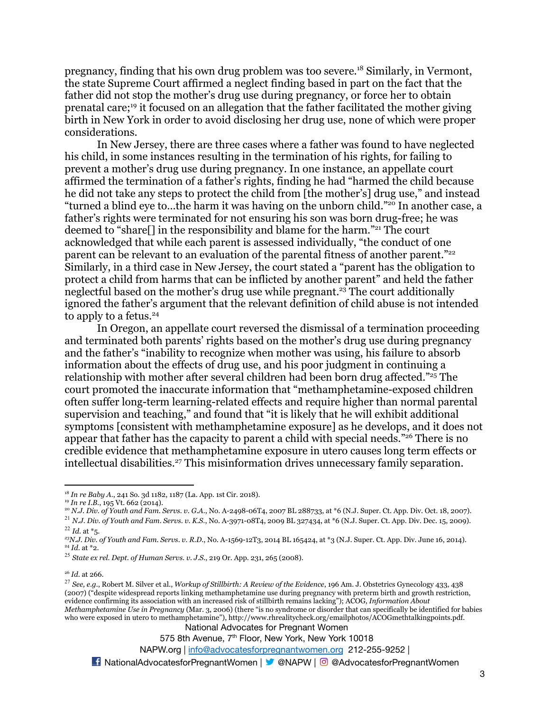pregnancy, finding that his own drug problem was too severe.<sup>18</sup> Similarly, in Vermont, the state Supreme Court affirmed a neglect finding based in part on the fact that the father did not stop the mother's drug use during pregnancy, or force her to obtain prenatal care;<sup>19</sup> it focused on an allegation that the father facilitated the mother giving birth in New York in order to avoid disclosing her drug use, none of which were proper considerations.

In New Jersey, there are three cases where a father was found to have neglected his child, in some instances resulting in the termination of his rights, for failing to prevent a mother's drug use during pregnancy. In one instance, an appellate court affirmed the termination of a father's rights, finding he had "harmed the child because he did not take any steps to protect the child from [the mother's] drug use," and instead "turned a blind eye to…the harm it was having on the unborn child."<sup>20</sup> In another case, a father's rights were terminated for not ensuring his son was born drug-free; he was deemed to "share[] in the responsibility and blame for the harm."<sup>21</sup> The court acknowledged that while each parent is assessed individually, "the conduct of one parent can be relevant to an evaluation of the parental fitness of another parent."<sup>22</sup> Similarly, in a third case in New Jersey, the court stated a "parent has the obligation to protect a child from harms that can be inflicted by another parent" and held the father neglectful based on the mother's drug use while pregnant.<sup>23</sup> The court additionally ignored the father's argument that the relevant definition of child abuse is not intended to apply to a fetus.<sup>24</sup>

In Oregon, an appellate court reversed the dismissal of a termination proceeding and terminated both parents' rights based on the mother's drug use during pregnancy and the father's "inability to recognize when mother was using, his failure to absorb information about the effects of drug use, and his poor judgment in continuing a relationship with mother after several children had been born drug affected."<sup>25</sup> The court promoted the inaccurate information that "methamphetamine-exposed children often suffer long-term learning-related effects and require higher than normal parental supervision and teaching," and found that "it is likely that he will exhibit additional symptoms [consistent with methamphetamine exposure] as he develops, and it does not appear that father has the capacity to parent a child with special needs."<sup>26</sup> There is no credible evidence that methamphetamine exposure in utero causes long term effects or intellectual disabilities.<sup>27</sup> This misinformation drives unnecessary family separation.

National Advocates for Pregnant Women

575 8th Avenue, 7<sup>th</sup> Floor, New York, New York 10018

#### NAPW.org | [info@advocatesforpregnantwomen.org](mailto:info@advocatesforpregnantwomen.org) 212-255-9252 |

<sup>18</sup> *In re Baby A.*, 241 So. 3d 1182, 1187 (La. App. 1st Cir. 2018).

<sup>19</sup> *In re I.B.*, 195 Vt. 662 (2014).

<sup>20</sup> *N.J. Div. of Youth and Fam. Servs. v. G.A.*, No. A-2498-06T4, 2007 BL 288733, at \*6 (N.J. Super. Ct. App. Div. Oct. 18, 2007).

<sup>22</sup> *Id.* at \*5. <sup>21</sup> *N.J. Div. of Youth and Fam. Servs. v. K.S*., No. A-3971-08T4, 2009 BL 327434, at \*6 (N.J. Super. Ct. App. Div. Dec. 15, 2009).

<sup>24</sup> *Id.* at \*2. *<sup>23</sup>N.J. Div. of Youth and Fam. Servs. v. R.D.*, No. A-1569-12T3, 2014 BL 165424, at \*3 (N.J. Super. Ct. App. Div. June 16, 2014).

<sup>25</sup> *State ex rel. Dept. of Human Servs. v. J.S.*, 219 Or. App. 231, 265 (2008).

<sup>26</sup> *Id.* at 266.

<sup>27</sup> *See, e.g.*, Robert M. Silver et al., *Workup of Stillbirth: A Review of the Evidence*, 196 Am. J. Obstetrics Gynecology 433, 438 (2007) ("despite widespread reports linking methamphetamine use during pregnancy with preterm birth and growth restriction, evidence confirming its association with an increased risk of stillbirth remains lacking"); ACOG, *Information About Methamphetamine Use in Pregnancy* (Mar. 3, 2006) (there "is no syndrome or disorder that can specifically be identified for babies who were exposed in utero to methamphetamine"), http://www.rhrealitycheck.org/emailphotos/ACOGmethtalkingpoints.pdf.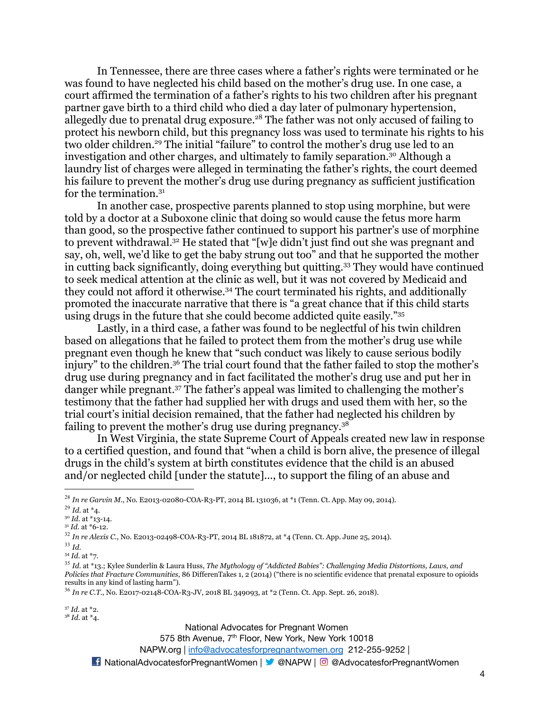In Tennessee, there are three cases where a father's rights were terminated or he was found to have neglected his child based on the mother's drug use. In one case, a court affirmed the termination of a father's rights to his two children after his pregnant partner gave birth to a third child who died a day later of pulmonary hypertension, allegedly due to prenatal drug exposure.<sup>28</sup> The father was not only accused of failing to protect his newborn child, but this pregnancy loss was used to terminate his rights to his two older children.<sup>29</sup> The initial "failure" to control the mother's drug use led to an investigation and other charges, and ultimately to family separation.<sup>30</sup> Although a laundry list of charges were alleged in terminating the father's rights, the court deemed his failure to prevent the mother's drug use during pregnancy as sufficient justification for the termination.<sup>31</sup>

In another case, prospective parents planned to stop using morphine, but were told by a doctor at a Suboxone clinic that doing so would cause the fetus more harm than good, so the prospective father continued to support his partner's use of morphine to prevent withdrawal.<sup>32</sup> He stated that "[w]e didn't just find out she was pregnant and say, oh, well, we'd like to get the baby strung out too" and that he supported the mother in cutting back significantly, doing everything but quitting.<sup>33</sup> They would have continued to seek medical attention at the clinic as well, but it was not covered by Medicaid and they could not afford it otherwise.<sup>34</sup> The court terminated his rights, and additionally promoted the inaccurate narrative that there is "a great chance that if this child starts using drugs in the future that she could become addicted quite easily."<sup>35</sup>

Lastly, in a third case, a father was found to be neglectful of his twin children based on allegations that he failed to protect them from the mother's drug use while pregnant even though he knew that "such conduct was likely to cause serious bodily injury" to the children.<sup>36</sup> The trial court found that the father failed to stop the mother's drug use during pregnancy and in fact facilitated the mother's drug use and put her in danger while pregnant.<sup>37</sup> The father's appeal was limited to challenging the mother's testimony that the father had supplied her with drugs and used them with her, so the trial court's initial decision remained, that the father had neglected his children by failing to prevent the mother's drug use during pregnancy.<sup>38</sup>

In West Virginia, the state Supreme Court of Appeals created new law in response to a certified question, and found that "when a child is born alive, the presence of illegal drugs in the child's system at birth constitutes evidence that the child is an abused and/or neglected child [under the statute]..., to support the filing of an abuse and

<sup>37</sup> *Id.* at \*2.

<sup>38</sup> *Id.* at \*4.

National Advocates for Pregnant Women

575 8th Avenue, 7<sup>th</sup> Floor, New York, New York 10018

NAPW.org | [info@advocatesforpregnantwomen.org](mailto:info@advocatesforpregnantwomen.org) 212-255-9252 |

<sup>28</sup> *In re Garvin M.*, No. E2013-02080-COA-R3-PT, 2014 BL 131036, at \*1 (Tenn. Ct. App. May 09, 2014).

<sup>29</sup> *Id.* at \*4.

<sup>30</sup> *Id.* at \*13-14.

<sup>31</sup> *Id.* at \*6-12.

<sup>32</sup> *In re Alexis C.*, No. E2013-02498-COA-R3-PT, 2014 BL 181872, at \*4 (Tenn. Ct. App. June 25, 2014).

<sup>33</sup> *Id.*

<sup>34</sup> *Id.* at \*7.

<sup>35</sup> *Id.* at \*13.; Kylee Sunderlin & Laura Huss, *The Mythology of "Addicted Babies": Challenging Media Distortions, Laws, and Policies that Fracture Communities*, 86 DifferenTakes 1, 2 (2014) ("there is no scientific evidence that prenatal exposure to opioids results in any kind of lasting harm").

<sup>36</sup> *In re C.T.*, No. E2017-02148-COA-R3-JV, 2018 BL 349093, at \*2 (Tenn. Ct. App. Sept. 26, 2018).